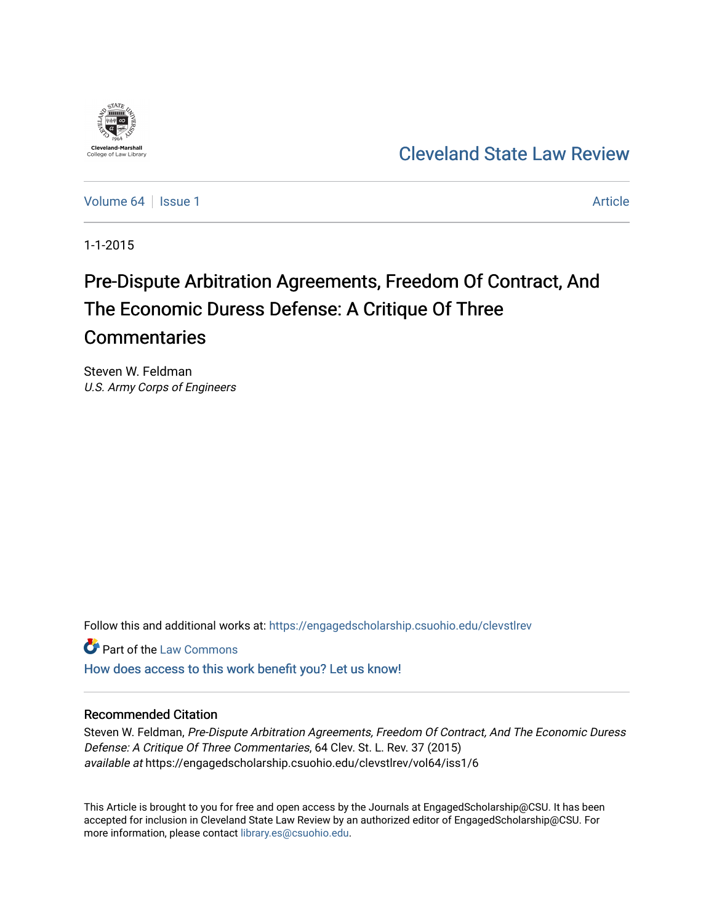

[Cleveland State Law Review](https://engagedscholarship.csuohio.edu/clevstlrev) 

[Volume 64](https://engagedscholarship.csuohio.edu/clevstlrev/vol64) | [Issue 1](https://engagedscholarship.csuohio.edu/clevstlrev/vol64/iss1) Article

1-1-2015

# Pre-Dispute Arbitration Agreements, Freedom Of Contract, And The Economic Duress Defense: A Critique Of Three **Commentaries**

Steven W. Feldman U.S. Army Corps of Engineers

Follow this and additional works at: [https://engagedscholarship.csuohio.edu/clevstlrev](https://engagedscholarship.csuohio.edu/clevstlrev?utm_source=engagedscholarship.csuohio.edu%2Fclevstlrev%2Fvol64%2Fiss1%2F6&utm_medium=PDF&utm_campaign=PDFCoverPages)

Part of the [Law Commons](http://network.bepress.com/hgg/discipline/578?utm_source=engagedscholarship.csuohio.edu%2Fclevstlrev%2Fvol64%2Fiss1%2F6&utm_medium=PDF&utm_campaign=PDFCoverPages)

[How does access to this work benefit you? Let us know!](http://library.csuohio.edu/engaged/)

## Recommended Citation

Steven W. Feldman, Pre-Dispute Arbitration Agreements, Freedom Of Contract, And The Economic Duress Defense: A Critique Of Three Commentaries, 64 Clev. St. L. Rev. 37 (2015) available at https://engagedscholarship.csuohio.edu/clevstlrev/vol64/iss1/6

This Article is brought to you for free and open access by the Journals at EngagedScholarship@CSU. It has been accepted for inclusion in Cleveland State Law Review by an authorized editor of EngagedScholarship@CSU. For more information, please contact [library.es@csuohio.edu](mailto:library.es@csuohio.edu).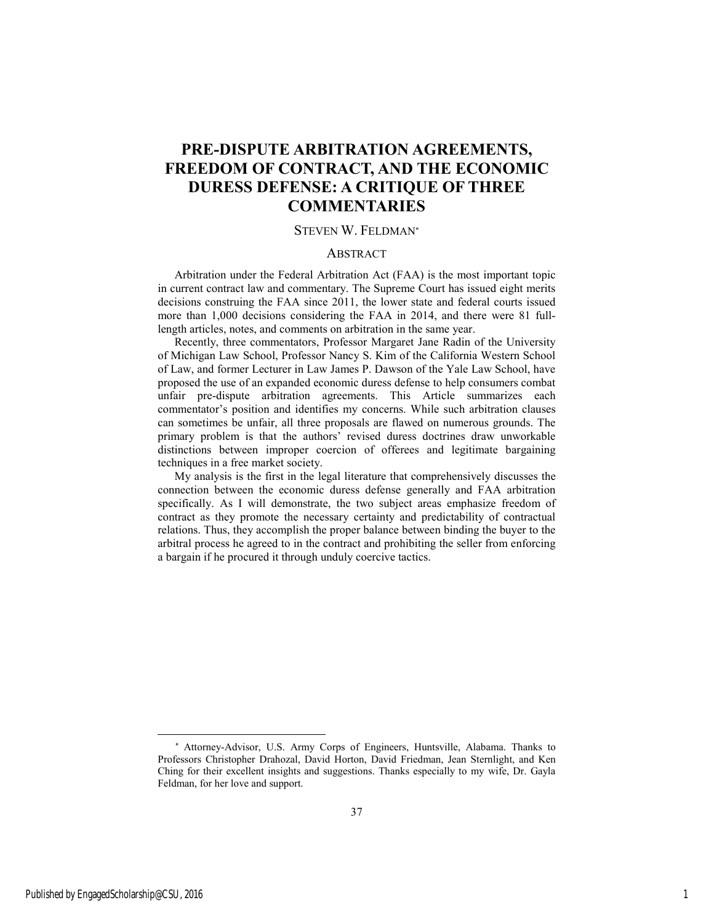## **PRE-DISPUTE ARBITRATION AGREEMENTS, FREEDOM OF CONTRACT, AND THE ECONOMIC DURESS DEFENSE: A CRITIQUE OF THREE COMMENTARIES**

## STEVEN W. FELDMAN

#### ABSTRACT

Arbitration under the Federal Arbitration Act (FAA) is the most important topic in current contract law and commentary. The Supreme Court has issued eight merits decisions construing the FAA since 2011, the lower state and federal courts issued more than 1,000 decisions considering the FAA in 2014, and there were 81 fulllength articles, notes, and comments on arbitration in the same year.

Recently, three commentators, Professor Margaret Jane Radin of the University of Michigan Law School, Professor Nancy S. Kim of the California Western School of Law, and former Lecturer in Law James P. Dawson of the Yale Law School, have proposed the use of an expanded economic duress defense to help consumers combat unfair pre-dispute arbitration agreements. This Article summarizes each commentator's position and identifies my concerns. While such arbitration clauses can sometimes be unfair, all three proposals are flawed on numerous grounds. The primary problem is that the authors' revised duress doctrines draw unworkable distinctions between improper coercion of offerees and legitimate bargaining techniques in a free market society.

My analysis is the first in the legal literature that comprehensively discusses the connection between the economic duress defense generally and FAA arbitration specifically. As I will demonstrate, the two subject areas emphasize freedom of contract as they promote the necessary certainty and predictability of contractual relations. Thus, they accomplish the proper balance between binding the buyer to the arbitral process he agreed to in the contract and prohibiting the seller from enforcing a bargain if he procured it through unduly coercive tactics.

l

Attorney-Advisor, U.S. Army Corps of Engineers, Huntsville, Alabama. Thanks to Professors Christopher Drahozal, David Horton, David Friedman, Jean Sternlight, and Ken Ching for their excellent insights and suggestions. Thanks especially to my wife, Dr. Gayla Feldman, for her love and support.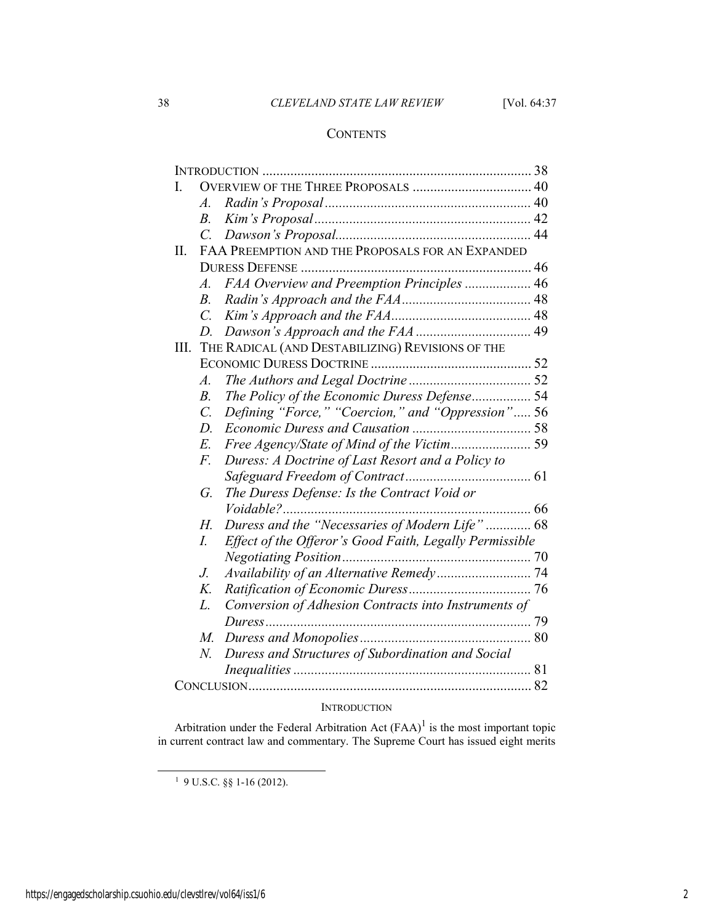## 38 *CLEVELAND STATE LAW REVIEW* [Vol. 64:37

## **CONTENTS**

| I.   |                                                  |                                                         |  |
|------|--------------------------------------------------|---------------------------------------------------------|--|
|      | A.                                               |                                                         |  |
|      | $B_{\cdot}$                                      |                                                         |  |
|      | $\mathcal{C}$                                    |                                                         |  |
| П.   | FAA PREEMPTION AND THE PROPOSALS FOR AN EXPANDED |                                                         |  |
|      |                                                  |                                                         |  |
|      | $\mathcal{A}$ .                                  | FAA Overview and Preemption Principles  46              |  |
|      | $B_{\cdot}$                                      |                                                         |  |
|      | $\mathcal{C}$ .                                  |                                                         |  |
|      | D.                                               |                                                         |  |
| III. | THE RADICAL (AND DESTABILIZING) REVISIONS OF THE |                                                         |  |
|      |                                                  |                                                         |  |
|      | $\mathcal{A}.$                                   |                                                         |  |
|      | B <sub>1</sub>                                   | The Policy of the Economic Duress Defense 54            |  |
|      | $\overline{C}$ .                                 | Defining "Force," "Coercion," and "Oppression" 56       |  |
|      | $D$ .                                            |                                                         |  |
|      | E.                                               |                                                         |  |
|      | F.                                               | Duress: A Doctrine of Last Resort and a Policy to       |  |
|      |                                                  |                                                         |  |
|      | G.                                               | The Duress Defense: Is the Contract Void or             |  |
|      |                                                  |                                                         |  |
|      | Н.                                               | Duress and the "Necessaries of Modern Life"  68         |  |
|      | I.                                               | Effect of the Offeror's Good Faith, Legally Permissible |  |
|      |                                                  |                                                         |  |
|      | J.                                               |                                                         |  |
|      | K.                                               |                                                         |  |
|      | L.                                               | Conversion of Adhesion Contracts into Instruments of    |  |
|      |                                                  |                                                         |  |
|      | М.                                               |                                                         |  |
|      | N.                                               | Duress and Structures of Subordination and Social       |  |
|      |                                                  |                                                         |  |
|      |                                                  |                                                         |  |
|      |                                                  |                                                         |  |

## **INTRODUCTION**

Arbitration under the Federal Arbitration Act  $(FAA)^{1}$  is the most important topic in current contract law and commentary. The Supreme Court has issued eight merits

1 9 U.S.C. §§ 1-16 (2012).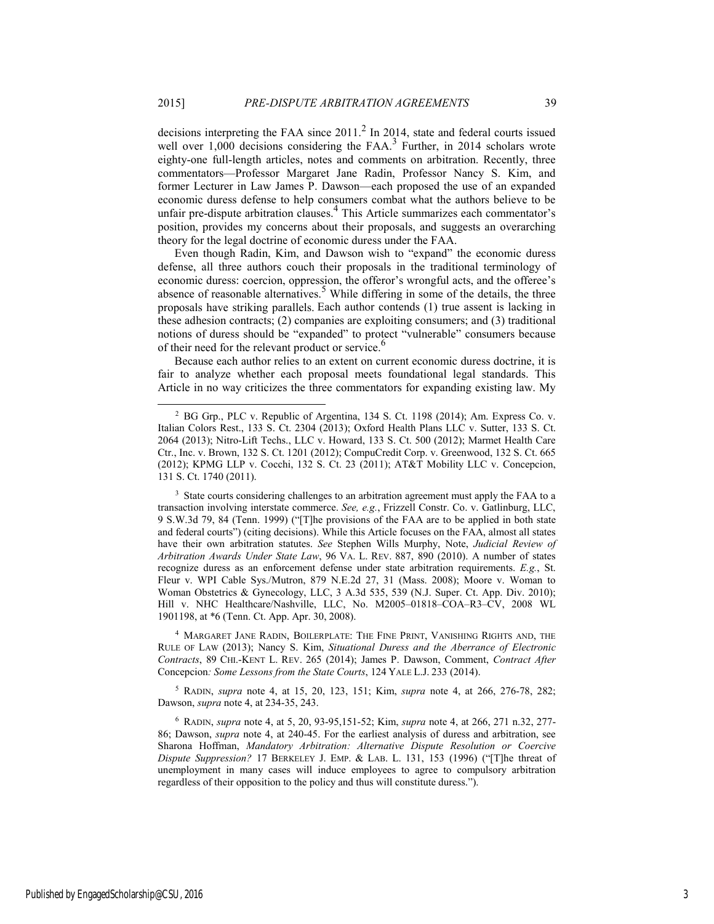decisions interpreting the FAA since  $2011$ .<sup>2</sup> In 2014, state and federal courts issued well over  $1,000$  decisions considering the FAA.<sup>3</sup> Further, in 2014 scholars wrote eighty-one full-length articles, notes and comments on arbitration. Recently, three commentators—Professor Margaret Jane Radin, Professor Nancy S. Kim, and former Lecturer in Law James P. Dawson—each proposed the use of an expanded economic duress defense to help consumers combat what the authors believe to be unfair pre-dispute arbitration clauses.<sup>4</sup> This Article summarizes each commentator's position, provides my concerns about their proposals, and suggests an overarching theory for the legal doctrine of economic duress under the FAA.

Even though Radin, Kim, and Dawson wish to "expand" the economic duress defense, all three authors couch their proposals in the traditional terminology of economic duress: coercion, oppression, the offeror's wrongful acts, and the offeree's absence of reasonable alternatives.<sup>5</sup> While differing in some of the details, the three proposals have striking parallels. Each author contends (1) true assent is lacking in these adhesion contracts; (2) companies are exploiting consumers; and (3) traditional notions of duress should be "expanded" to protect "vulnerable" consumers because of their need for the relevant product or service.<sup>6</sup>

Because each author relies to an extent on current economic duress doctrine, it is fair to analyze whether each proposal meets foundational legal standards. This Article in no way criticizes the three commentators for expanding existing law. My

4 MARGARET JANE RADIN, BOILERPLATE: THE FINE PRINT, VANISHING RIGHTS AND, THE RULE OF LAW (2013); Nancy S. Kim, *Situational Duress and the Aberrance of Electronic Contracts*, 89 CHI.-KENT L. REV. 265 (2014); James P. Dawson, Comment, *Contract After*  Concepcion*: Some Lessons from the State Courts*, 124 YALE L.J. 233 (2014).

5 RADIN, *supra* note 4, at 15, 20, 123, 151; Kim, *supra* note 4, at 266, 276-78, 282; Dawson, *supra* note 4, at 234-35, 243.

 <sup>2</sup> BG Grp., PLC v. Republic of Argentina, 134 S. Ct. 1198 (2014); Am. Express Co. v. Italian Colors Rest., 133 S. Ct. 2304 (2013); Oxford Health Plans LLC v. Sutter, 133 S. Ct. 2064 (2013); Nitro-Lift Techs., LLC v. Howard, 133 S. Ct. 500 (2012); Marmet Health Care Ctr., Inc. v. Brown, 132 S. Ct. 1201 (2012); CompuCredit Corp. v. Greenwood, 132 S. Ct. 665 (2012); KPMG LLP v. Cocchi, 132 S. Ct. 23 (2011); AT&T Mobility LLC v. Concepcion, 131 S. Ct. 1740 (2011).

<sup>&</sup>lt;sup>3</sup> State courts considering challenges to an arbitration agreement must apply the FAA to a transaction involving interstate commerce. *See, e.g.*, Frizzell Constr. Co. v. Gatlinburg, LLC, 9 S.W.3d 79, 84 (Tenn. 1999) ("[T]he provisions of the FAA are to be applied in both state and federal courts") (citing decisions). While this Article focuses on the FAA, almost all states have their own arbitration statutes. *See* Stephen Wills Murphy, Note, *Judicial Review of Arbitration Awards Under State Law*, 96 VA. L. REV. 887, 890 (2010). A number of states recognize duress as an enforcement defense under state arbitration requirements. *E.g.*, St. Fleur v. WPI Cable Sys./Mutron, 879 N.E.2d 27, 31 (Mass. 2008); Moore v. Woman to Woman Obstetrics & Gynecology, LLC, 3 A.3d 535, 539 (N.J. Super. Ct. App. Div. 2010); Hill v. NHC Healthcare/Nashville, LLC, No. M2005–01818–COA–R3–CV, 2008 WL 1901198, at \*6 (Tenn. Ct. App. Apr. 30, 2008).

<sup>6</sup> RADIN, *supra* note 4, at 5, 20, 93-95,151-52; Kim, *supra* note 4, at 266, 271 n.32, 277- 86; Dawson, *supra* note 4, at 240-45. For the earliest analysis of duress and arbitration, see Sharona Hoffman, *Mandatory Arbitration: Alternative Dispute Resolution or Coercive Dispute Suppression?* 17 BERKELEY J. EMP. & LAB. L. 131, 153 (1996) ("[T]he threat of unemployment in many cases will induce employees to agree to compulsory arbitration regardless of their opposition to the policy and thus will constitute duress.").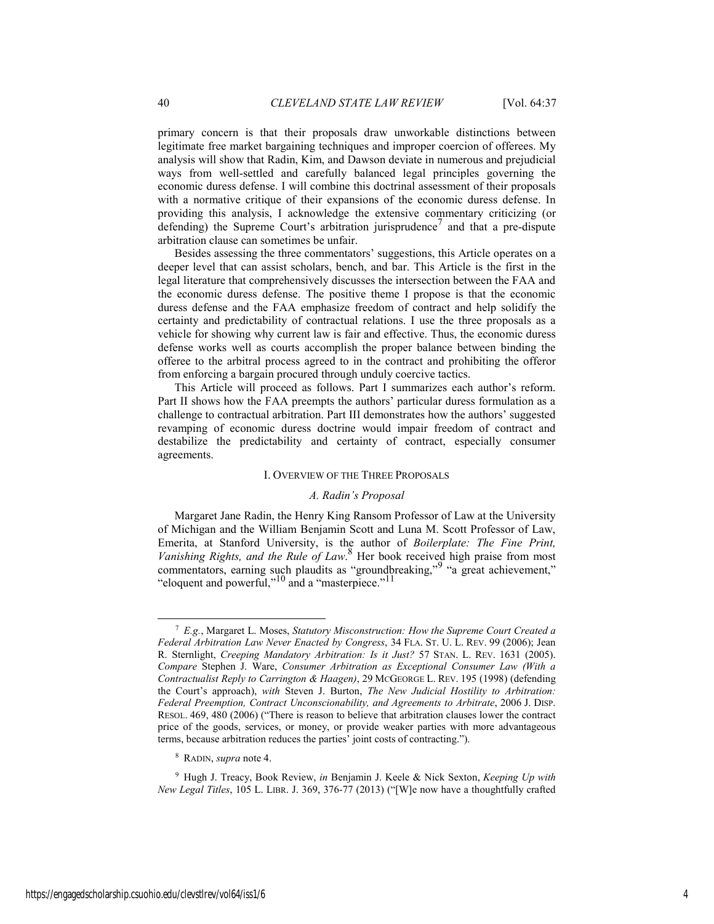primary concern is that their proposals draw unworkable distinctions between legitimate free market bargaining techniques and improper coercion of offerees. My analysis will show that Radin, Kim, and Dawson deviate in numerous and prejudicial ways from well-settled and carefully balanced legal principles governing the economic duress defense. I will combine this doctrinal assessment of their proposals with a normative critique of their expansions of the economic duress defense. In providing this analysis, I acknowledge the extensive commentary criticizing (or defending) the Supreme Court's arbitration jurisprudence<sup>7</sup> and that a pre-dispute arbitration clause can sometimes be unfair.

Besides assessing the three commentators' suggestions, this Article operates on a deeper level that can assist scholars, bench, and bar. This Article is the first in the legal literature that comprehensively discusses the intersection between the FAA and the economic duress defense. The positive theme I propose is that the economic duress defense and the FAA emphasize freedom of contract and help solidify the certainty and predictability of contractual relations. I use the three proposals as a vehicle for showing why current law is fair and effective. Thus, the economic duress defense works well as courts accomplish the proper balance between binding the offeree to the arbitral process agreed to in the contract and prohibiting the offeror from enforcing a bargain procured through unduly coercive tactics.

This Article will proceed as follows. Part I summarizes each author's reform. Part II shows how the FAA preempts the authors' particular duress formulation as a challenge to contractual arbitration. Part III demonstrates how the authors' suggested revamping of economic duress doctrine would impair freedom of contract and destabilize the predictability and certainty of contract, especially consumer agreements.

#### I. OVERVIEW OF THE THREE PROPOSALS

#### *A. Radin's Proposal*

Margaret Jane Radin, the Henry King Ransom Professor of Law at the University of Michigan and the William Benjamin Scott and Luna M. Scott Professor of Law, Emerita, at Stanford University, is the author of *Boilerplate: The Fine Print, Vanishing Rights, and the Rule of Law*. <sup>8</sup> Her book received high praise from most commentators, earning such plaudits as "groundbreaking,"<sup>9</sup> "a great achievement," "eloquent and powerful,"<sup>10</sup> and a "masterpiece."<sup>11</sup>

 <sup>7</sup> *E.g.*, Margaret L. Moses, *Statutory Misconstruction: How the Supreme Court Created a Federal Arbitration Law Never Enacted by Congress*, 34 FLA. ST. U. L. REV. 99 (2006); Jean R. Sternlight, *Creeping Mandatory Arbitration: Is it Just?* 57 STAN. L. REV. 1631 (2005). *Compare* Stephen J. Ware, *Consumer Arbitration as Exceptional Consumer Law (With a Contractualist Reply to Carrington & Haagen)*, 29 MCGEORGE L. REV. 195 (1998) (defending the Court's approach), *with* Steven J. Burton, *The New Judicial Hostility to Arbitration: Federal Preemption, Contract Unconscionability, and Agreements to Arbitrate*, 2006 J. DISP. RESOL. 469, 480 (2006) ("There is reason to believe that arbitration clauses lower the contract price of the goods, services, or money, or provide weaker parties with more advantageous terms, because arbitration reduces the parties' joint costs of contracting.").

<sup>8</sup> RADIN, *supra* note 4.

<sup>9</sup> Hugh J. Treacy, Book Review, *in* Benjamin J. Keele & Nick Sexton, *Keeping Up with New Legal Titles*, 105 L. LIBR. J. 369, 376-77 (2013) ("[W]e now have a thoughtfully crafted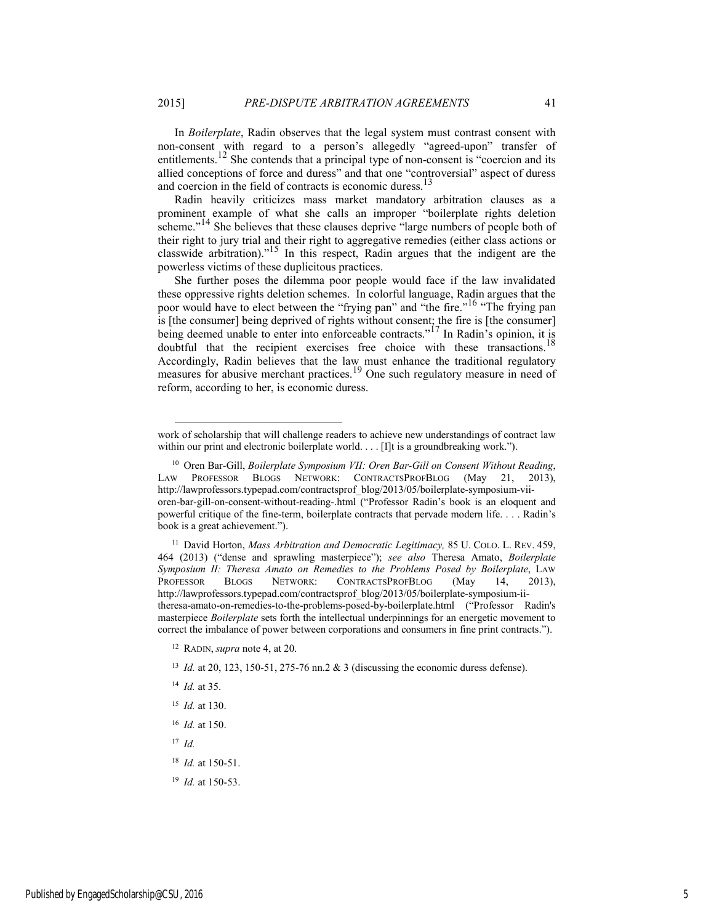In *Boilerplate*, Radin observes that the legal system must contrast consent with non-consent with regard to a person's allegedly "agreed-upon" transfer of entitlements.<sup>12</sup> She contends that a principal type of non-consent is "coercion and its allied conceptions of force and duress" and that one "controversial" aspect of duress and coercion in the field of contracts is economic duress.<sup>13</sup>

Radin heavily criticizes mass market mandatory arbitration clauses as a prominent example of what she calls an improper "boilerplate rights deletion scheme."<sup>14</sup> She believes that these clauses deprive "large numbers of people both of their right to jury trial and their right to aggregative remedies (either class actions or classwide arbitration)."<sup>15</sup> In this respect, Radin argues that the indigent are the powerless victims of these duplicitous practices.

She further poses the dilemma poor people would face if the law invalidated these oppressive rights deletion schemes. In colorful language, Radin argues that the poor would have to elect between the "frying pan" and "the fire."<sup>16</sup> "The frying pan is [the consumer] being deprived of rights without consent; the fire is [the consumer] being deemed unable to enter into enforceable contracts."<sup>17</sup> In Radin's opinion, it is doubtful that the recipient exercises free choice with these transactions.<sup>1</sup> Accordingly, Radin believes that the law must enhance the traditional regulatory measures for abusive merchant practices.<sup>19</sup> One such regulatory measure in need of reform, according to her, is economic duress.

11 David Horton, *Mass Arbitration and Democratic Legitimacy,* 85 U. COLO. L. REV. 459, 464 (2013) ("dense and sprawling masterpiece"); *see also* Theresa Amato, *Boilerplate Symposium II: Theresa Amato on Remedies to the Problems Posed by Boilerplate*, LAW PROFESSOR BLOGS NETWORK: CONTRACTSPROFBLOG (May 14, 2013), http://lawprofessors.typepad.com/contractsprof\_blog/2013/05/boilerplate-symposium-iitheresa-amato-on-remedies-to-the-problems-posed-by-boilerplate.html ("Professor Radin's masterpiece *Boilerplate* sets forth the intellectual underpinnings for an energetic movement to correct the imbalance of power between corporations and consumers in fine print contracts.").

- 12 RADIN, *supra* note 4, at 20.
- <sup>13</sup> *Id.* at 20, 123, 150-51, 275-76 nn.2 & 3 (discussing the economic duress defense).
- <sup>14</sup> *Id.* at 35.
- <sup>15</sup> *Id.* at 130.
- <sup>16</sup> *Id.* at 150.
- <sup>17</sup> *Id.*

l

- <sup>18</sup> *Id.* at 150-51.
- <sup>19</sup> *Id.* at 150-53.

work of scholarship that will challenge readers to achieve new understandings of contract law within our print and electronic boilerplate world. . . . [I]t is a groundbreaking work.").

<sup>10</sup> Oren Bar-Gill, *Boilerplate Symposium VII: Oren Bar-Gill on Consent Without Reading*, LAW PROFESSOR BLOGS NETWORK: CONTRACTSPROFBLOG (May 21, 2013), http://lawprofessors.typepad.com/contractsprof\_blog/2013/05/boilerplate-symposium-viioren-bar-gill-on-consent-without-reading-.html ("Professor Radin's book is an eloquent and powerful critique of the fine-term, boilerplate contracts that pervade modern life. . . . Radin's book is a great achievement.").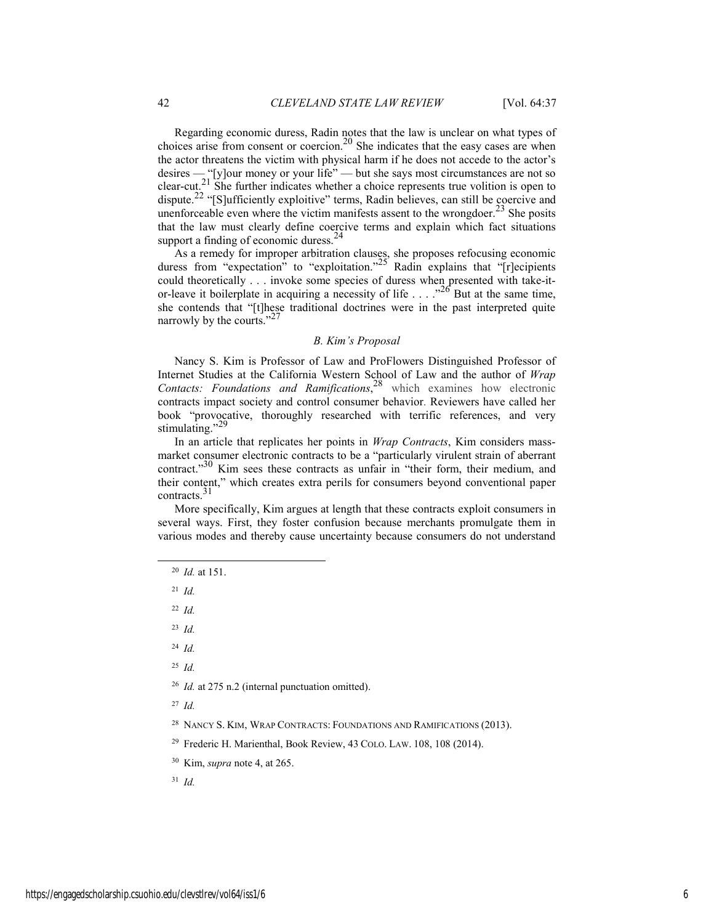Regarding economic duress, Radin notes that the law is unclear on what types of choices arise from consent or coercion.<sup>20</sup> She indicates that the easy cases are when the actor threatens the victim with physical harm if he does not accede to the actor's desires — "[y]our money or your life" — but she says most circumstances are not so clear-cut.<sup>21</sup> She further indicates whether a choice represents true volition is open to dispute.<sup>22</sup> "[S]ufficiently exploitive" terms, Radin believes, can still be coercive and unenforceable even where the victim manifests assent to the wrongdoer.<sup>23</sup> She posits that the law must clearly define coercive terms and explain which fact situations support a finding of economic duress.<sup>24</sup>

As a remedy for improper arbitration clauses, she proposes refocusing economic duress from "expectation" to "exploitation."<sup>25</sup> Radin explains that " $[r]$ ecipients could theoretically . . . invoke some species of duress when presented with take-itor-leave it boilerplate in acquiring a necessity of life  $\ldots$  ... <sup>226</sup> But at the same time, she contends that "[t]hese traditional doctrines were in the past interpreted quite narrowly by the courts."

#### *B. Kim's Proposal*

Nancy S. Kim is Professor of Law and ProFlowers Distinguished Professor of Internet Studies at the California Western School of Law and the author of *Wrap Contacts: Foundations and Ramifications*, <sup>28</sup> which examines how electronic contracts impact society and control consumer behavior. Reviewers have called her book "provocative, thoroughly researched with terrific references, and very stimulating."<sup>29</sup>

In an article that replicates her points in *Wrap Contracts*, Kim considers massmarket consumer electronic contracts to be a "particularly virulent strain of aberrant contract."<sup>30</sup> Kim sees these contracts as unfair in "their form, their medium, and their content," which creates extra perils for consumers beyond conventional paper contracts.<sup>31</sup>

More specifically, Kim argues at length that these contracts exploit consumers in several ways. First, they foster confusion because merchants promulgate them in various modes and thereby cause uncertainty because consumers do not understand

20 *Id.* at 151.

<sup>21</sup> *Id.*

<sup>22</sup> *Id.*

<sup>23</sup> *Id.*

<sup>24</sup> *Id.*

<sup>25</sup> *Id.*

<sup>26</sup> *Id.* at 275 n.2 (internal punctuation omitted).

<sup>27</sup> *Id.*

<sup>28</sup> NANCY S. KIM, WRAP CONTRACTS: FOUNDATIONS AND RAMIFICATIONS (2013).

29 Frederic H. Marienthal, Book Review, 43 COLO. LAW. 108, 108 (2014).

30 Kim, *supra* note 4, at 265.

<sup>31</sup> *Id.*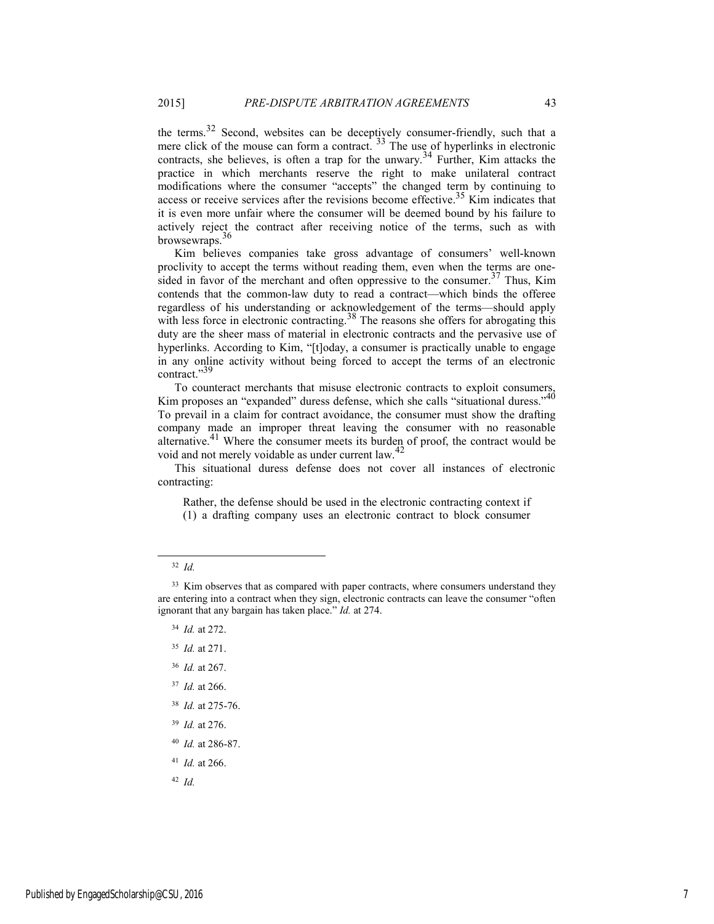the terms.<sup>32</sup> Second, websites can be deceptively consumer-friendly, such that a mere click of the mouse can form a contract.  $33$  The use of hyperlinks in electronic contracts, she believes, is often a trap for the unwary.<sup>34</sup> Further, Kim attacks the practice in which merchants reserve the right to make unilateral contract modifications where the consumer "accepts" the changed term by continuing to access or receive services after the revisions become effective.<sup>35</sup> Kim indicates that it is even more unfair where the consumer will be deemed bound by his failure to actively reject the contract after receiving notice of the terms, such as with browsewraps.36

Kim believes companies take gross advantage of consumers' well-known proclivity to accept the terms without reading them, even when the terms are onesided in favor of the merchant and often oppressive to the consumer.<sup>37</sup> Thus, Kim contends that the common-law duty to read a contract—which binds the offeree regardless of his understanding or acknowledgement of the terms—should apply with less force in electronic contracting.<sup>38</sup> The reasons she offers for abrogating this duty are the sheer mass of material in electronic contracts and the pervasive use of hyperlinks. According to Kim, "[t]oday, a consumer is practically unable to engage in any online activity without being forced to accept the terms of an electronic contract."39

To counteract merchants that misuse electronic contracts to exploit consumers, Kim proposes an "expanded" duress defense, which she calls "situational duress."<sup>40</sup> To prevail in a claim for contract avoidance, the consumer must show the drafting company made an improper threat leaving the consumer with no reasonable alternative.41 Where the consumer meets its burden of proof, the contract would be void and not merely voidable as under current law.<sup>42</sup>

This situational duress defense does not cover all instances of electronic contracting:

Rather, the defense should be used in the electronic contracting context if (1) a drafting company uses an electronic contract to block consumer

- <sup>35</sup> *Id.* at 271.
- <sup>36</sup> *Id.* at 267.
- <sup>37</sup> *Id.* at 266.
- <sup>38</sup> *Id.* at 275-76.
- <sup>39</sup> *Id.* at 276.
- <sup>40</sup> *Id.* at 286-87.
- <sup>41</sup> *Id.* at 266.

<sup>42</sup> *Id.*

 <sup>32</sup> *Id.*

<sup>&</sup>lt;sup>33</sup> Kim observes that as compared with paper contracts, where consumers understand they are entering into a contract when they sign, electronic contracts can leave the consumer "often ignorant that any bargain has taken place." *Id.* at 274.

<sup>34</sup> *Id.* at 272.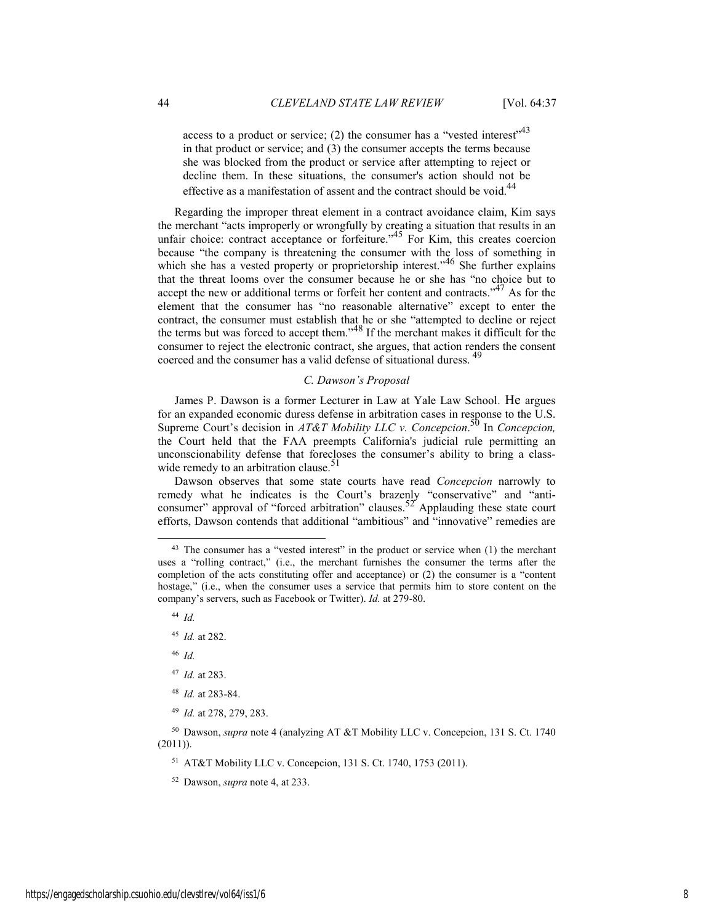access to a product or service; (2) the consumer has a "vested interest"<sup>43</sup> in that product or service; and (3) the consumer accepts the terms because she was blocked from the product or service after attempting to reject or decline them. In these situations, the consumer's action should not be effective as a manifestation of assent and the contract should be void.<sup>44</sup>

Regarding the improper threat element in a contract avoidance claim, Kim says the merchant "acts improperly or wrongfully by creating a situation that results in an unfair choice: contract acceptance or forfeiture."<sup>45</sup> For Kim, this creates coercion because "the company is threatening the consumer with the loss of something in which she has a vested property or proprietorship interest.<sup>46</sup> She further explains that the threat looms over the consumer because he or she has "no choice but to accept the new or additional terms or forfeit her content and contracts." $47$  As for the element that the consumer has "no reasonable alternative" except to enter the contract, the consumer must establish that he or she "attempted to decline or reject the terms but was forced to accept them."<sup>48</sup> If the merchant makes it difficult for the consumer to reject the electronic contract, she argues, that action renders the consent coerced and the consumer has a valid defense of situational duress.<sup>49</sup>

#### *C. Dawson's Proposal*

James P. Dawson is a former Lecturer in Law at Yale Law School. He argues for an expanded economic duress defense in arbitration cases in response to the U.S. Supreme Court's decision in *AT&T Mobility LLC v. Concepcion*.<sup>50</sup> In *Concepcion*, the Court held that the FAA preempts California's judicial rule permitting an unconscionability defense that forecloses the consumer's ability to bring a classwide remedy to an arbitration clause.<sup>51</sup>

Dawson observes that some state courts have read *Concepcion* narrowly to remedy what he indicates is the Court's brazenly "conservative" and "anticonsumer" approval of "forced arbitration" clauses.<sup>52</sup> Applauding these state court efforts, Dawson contends that additional "ambitious" and "innovative" remedies are

<sup>44</sup> *Id.*

<sup>46</sup> *Id.*

- <sup>47</sup> *Id.* at 283.
- <sup>48</sup> *Id.* at 283-84.
- <sup>49</sup> *Id.* at 278, 279, 283.

50 Dawson, *supra* note 4 (analyzing AT &T Mobility LLC v. Concepcion, 131 S. Ct. 1740  $(2011)$ ).

51 AT&T Mobility LLC v. Concepcion, 131 S. Ct. 1740, 1753 (2011).

52 Dawson, *supra* note 4, at 233.

 $43$  The consumer has a "vested interest" in the product or service when  $(1)$  the merchant uses a "rolling contract," (i.e., the merchant furnishes the consumer the terms after the completion of the acts constituting offer and acceptance) or (2) the consumer is a "content hostage," (i.e., when the consumer uses a service that permits him to store content on the company's servers, such as Facebook or Twitter). *Id.* at 279-80.

<sup>45</sup> *Id.* at 282.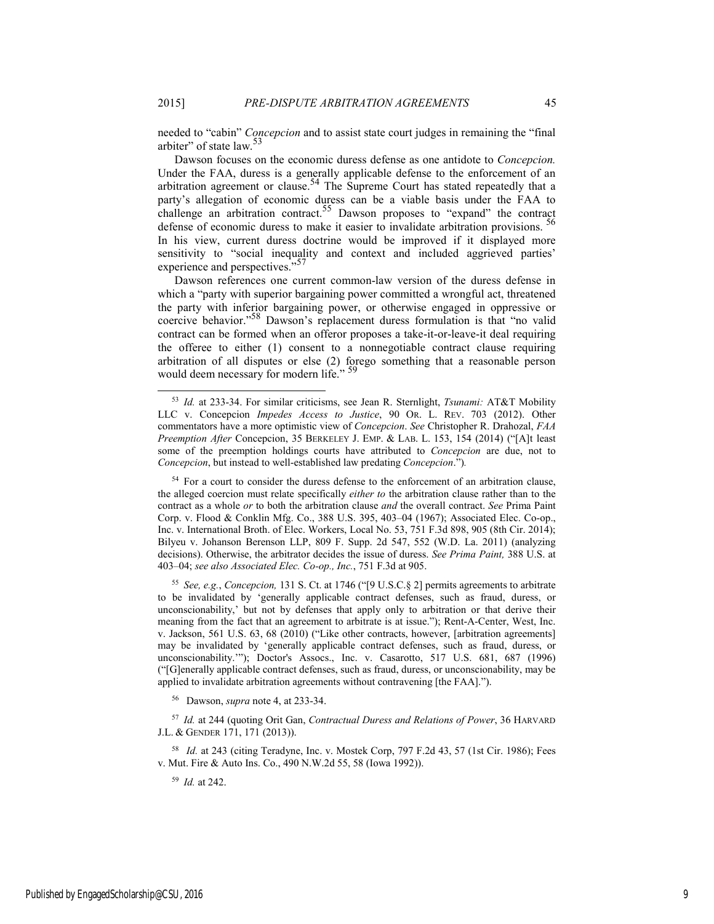needed to "cabin" *Concepcion* and to assist state court judges in remaining the "final arbiter" of state law.<sup>5</sup>

Dawson focuses on the economic duress defense as one antidote to *Concepcion.* Under the FAA, duress is a generally applicable defense to the enforcement of an arbitration agreement or clause.<sup>54</sup> The Supreme Court has stated repeatedly that a party's allegation of economic duress can be a viable basis under the FAA to challenge an arbitration contract.<sup>55</sup> Dawson proposes to "expand" the contract defense of economic duress to make it easier to invalidate arbitration provisions.<sup>56</sup> In his view, current duress doctrine would be improved if it displayed more sensitivity to "social inequality and context and included aggrieved parties' experience and perspectives."<sup>57</sup>

Dawson references one current common-law version of the duress defense in which a "party with superior bargaining power committed a wrongful act, threatened the party with inferior bargaining power, or otherwise engaged in oppressive or coercive behavior."58 Dawson's replacement duress formulation is that "no valid contract can be formed when an offeror proposes a take-it-or-leave-it deal requiring the offeree to either (1) consent to a nonnegotiable contract clause requiring arbitration of all disputes or else (2) forego something that a reasonable person would deem necessary for modern life." <sup>59</sup>

<sup>55</sup> *See, e.g.*, *Concepcion,* 131 S. Ct. at 1746 ("[9 U.S.C.§ 2] permits agreements to arbitrate to be invalidated by 'generally applicable contract defenses, such as fraud, duress, or unconscionability,' but not by defenses that apply only to arbitration or that derive their meaning from the fact that an agreement to arbitrate is at issue."); Rent-A-Center, West, Inc. v. Jackson, 561 U.S. 63, 68 (2010) ("Like other contracts, however, [arbitration agreements] may be invalidated by 'generally applicable contract defenses, such as fraud, duress, or unconscionability.'"); Doctor's Assocs., Inc. v. Casarotto, 517 U.S. 681, 687 (1996) ("[G]enerally applicable contract defenses, such as fraud, duress, or unconscionability, may be applied to invalidate arbitration agreements without contravening [the FAA].").

56 Dawson, *supra* note 4, at 233-34.

<sup>57</sup> *Id.* at 244 (quoting Orit Gan, *Contractual Duress and Relations of Power*, 36 HARVARD J.L. & GENDER 171, 171 (2013)).

58 *Id.* at 243 (citing Teradyne, Inc. v. Mostek Corp, 797 F.2d 43, 57 (1st Cir. 1986); Fees v. Mut. Fire & Auto Ins. Co., 490 N.W.2d 55, 58 (Iowa 1992)).

<sup>59</sup> *Id.* at 242.

 <sup>53</sup> *Id.* at 233-34. For similar criticisms, see Jean R. Sternlight, *Tsunami:* AT&T Mobility LLC v. Concepcion *Impedes Access to Justice*, 90 OR. L. REV. 703 (2012). Other commentators have a more optimistic view of *Concepcion*. *See* Christopher R. Drahozal, *FAA Preemption After* Concepcion, 35 BERKELEY J. EMP. & LAB. L. 153, 154 (2014) ("[A]t least some of the preemption holdings courts have attributed to *Concepcion* are due, not to *Concepcion*, but instead to well-established law predating *Concepcion*.")*.*

<sup>&</sup>lt;sup>54</sup> For a court to consider the duress defense to the enforcement of an arbitration clause, the alleged coercion must relate specifically *either to* the arbitration clause rather than to the contract as a whole *or* to both the arbitration clause *and* the overall contract. *See* Prima Paint Corp. v. Flood & Conklin Mfg. Co., 388 U.S. 395, 403–04 (1967); Associated Elec. Co-op., Inc. v. International Broth. of Elec. Workers, Local No. 53, 751 F.3d 898, 905 (8th Cir. 2014); Bilyeu v. Johanson Berenson LLP, 809 F. Supp. 2d 547, 552 (W.D. La. 2011) (analyzing decisions). Otherwise, the arbitrator decides the issue of duress. *See Prima Paint,* 388 U.S. at 403–04; *see also Associated Elec. Co-op., Inc.*, 751 F.3d at 905.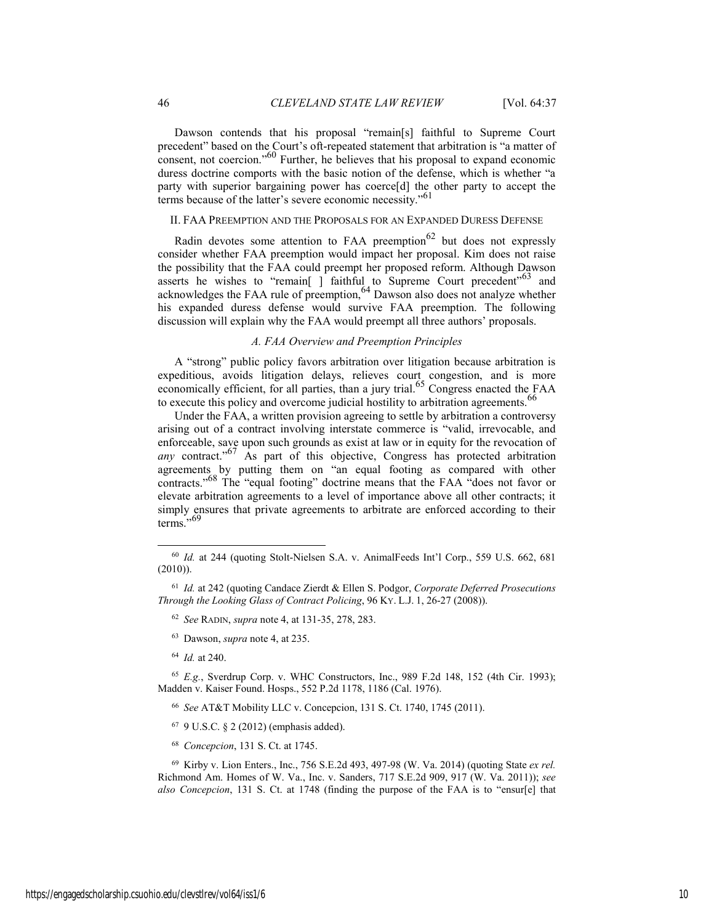Dawson contends that his proposal "remain[s] faithful to Supreme Court precedent" based on the Court's oft-repeated statement that arbitration is "a matter of consent, not coercion."60 Further, he believes that his proposal to expand economic duress doctrine comports with the basic notion of the defense, which is whether "a party with superior bargaining power has coerce[d] the other party to accept the terms because of the latter's severe economic necessity."61

## II. FAA PREEMPTION AND THE PROPOSALS FOR AN EXPANDED DURESS DEFENSE

Radin devotes some attention to FAA preemption $62$  but does not expressly consider whether FAA preemption would impact her proposal. Kim does not raise the possibility that the FAA could preempt her proposed reform. Although Dawson asserts he wishes to "remain[ ] faithful to Supreme Court precedent"<sup>63</sup> and acknowledges the FAA rule of preemption,  $64$  Dawson also does not analyze whether his expanded duress defense would survive FAA preemption. The following discussion will explain why the FAA would preempt all three authors' proposals.

#### *A. FAA Overview and Preemption Principles*

A "strong" public policy favors arbitration over litigation because arbitration is expeditious, avoids litigation delays, relieves court congestion, and is more economically efficient, for all parties, than a jury trial.<sup>65</sup> Congress enacted the FAA to execute this policy and overcome judicial hostility to arbitration agreements.<sup>66</sup>

Under the FAA, a written provision agreeing to settle by arbitration a controversy arising out of a contract involving interstate commerce is "valid, irrevocable, and enforceable, save upon such grounds as exist at law or in equity for the revocation of *any* contract."<sup>67</sup> As part of this objective, Congress has protected arbitration agreements by putting them on "an equal footing as compared with other contracts."68 The "equal footing" doctrine means that the FAA "does not favor or elevate arbitration agreements to a level of importance above all other contracts; it simply ensures that private agreements to arbitrate are enforced according to their terms."<sup>69</sup>

- 63 Dawson, *supra* note 4, at 235.
- <sup>64</sup> *Id.* at 240.

- <sup>66</sup> *See* AT&T Mobility LLC v. Concepcion, 131 S. Ct. 1740, 1745 (2011).
- 67 9 U.S.C. § 2 (2012) (emphasis added).
- <sup>68</sup> *Concepcion*, 131 S. Ct. at 1745.

 <sup>60</sup> *Id.* at 244 (quoting Stolt-Nielsen S.A. v. AnimalFeeds Int'l Corp., 559 U.S. 662, 681 (2010)).

<sup>61</sup> *Id.* at 242 (quoting Candace Zierdt & Ellen S. Podgor, *Corporate Deferred Prosecutions Through the Looking Glass of Contract Policing*, 96 KY. L.J. 1, 26-27 (2008)).

<sup>62</sup> *See* RADIN, *supra* note 4, at 131-35, 278, 283.

<sup>65</sup> *E.g.*, Sverdrup Corp. v. WHC Constructors, Inc., 989 F.2d 148, 152 (4th Cir. 1993); Madden v. Kaiser Found. Hosps., 552 P.2d 1178, 1186 (Cal. 1976).

<sup>69</sup> Kirby v. Lion Enters., Inc., 756 S.E.2d 493, 497-98 (W. Va. 2014) (quoting State *ex rel.* Richmond Am. Homes of W. Va., Inc. v. Sanders, 717 S.E.2d 909, 917 (W. Va. 2011)); *see also Concepcion*, 131 S. Ct. at 1748 (finding the purpose of the FAA is to "ensur[e] that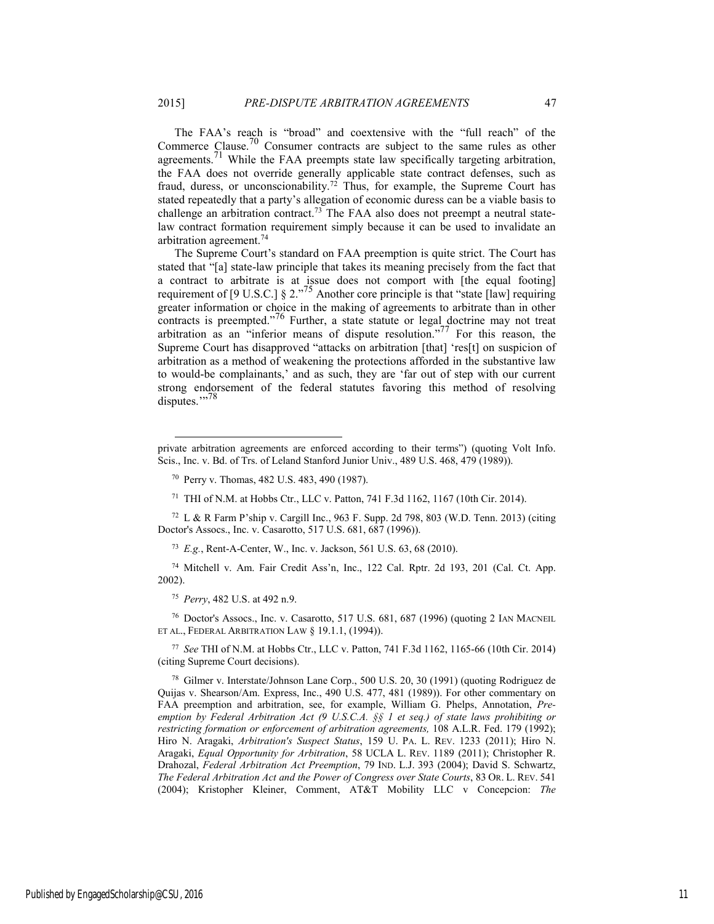The FAA's reach is "broad" and coextensive with the "full reach" of the Commerce Clause.<sup>70</sup> Consumer contracts are subject to the same rules as other agreements.<sup>71</sup> While the FAA preempts state law specifically targeting arbitration, the FAA does not override generally applicable state contract defenses, such as fraud, duress, or unconscionability.<sup>72</sup> Thus, for example, the Supreme Court has stated repeatedly that a party's allegation of economic duress can be a viable basis to challenge an arbitration contract.73 The FAA also does not preempt a neutral statelaw contract formation requirement simply because it can be used to invalidate an arbitration agreement.74

The Supreme Court's standard on FAA preemption is quite strict. The Court has stated that "[a] state-law principle that takes its meaning precisely from the fact that a contract to arbitrate is at issue does not comport with [the equal footing] requirement of [9 U.S.C.] § 2. $^{75}$  Another core principle is that "state [law] requiring greater information or choice in the making of agreements to arbitrate than in other contracts is preempted."<sup>76</sup> Further, a state statute or legal doctrine may not treat arbitration as an "inferior means of dispute resolution."<sup>77</sup> For this reason, the Supreme Court has disapproved "attacks on arbitration [that] 'res[t] on suspicion of arbitration as a method of weakening the protections afforded in the substantive law to would-be complainants,' and as such, they are 'far out of step with our current strong endorsement of the federal statutes favoring this method of resolving disputes."<sup>78</sup>

72 L & R Farm P'ship v. Cargill Inc., 963 F. Supp. 2d 798, 803 (W.D. Tenn. 2013) (citing Doctor's Assocs., Inc. v. Casarotto, 517 U.S. 681, 687 (1996)).

<sup>73</sup> *E.g.*, Rent-A-Center, W., Inc. v. Jackson, 561 U.S. 63, 68 (2010).

74 Mitchell v. Am. Fair Credit Ass'n, Inc., 122 Cal. Rptr. 2d 193, 201 (Cal. Ct. App. 2002).

<sup>75</sup> *Perry*, 482 U.S. at 492 n.9.

l

76 Doctor's Assocs., Inc. v. Casarotto, 517 U.S. 681, 687 (1996) (quoting 2 IAN MACNEIL ET AL., FEDERAL ARBITRATION LAW § 19.1.1, (1994)).

<sup>77</sup> *See* THI of N.M. at Hobbs Ctr., LLC v. Patton, 741 F.3d 1162, 1165-66 (10th Cir. 2014) (citing Supreme Court decisions).

78 Gilmer v. Interstate/Johnson Lane Corp., 500 U.S. 20, 30 (1991) (quoting Rodriguez de Quijas v. Shearson/Am. Express, Inc., 490 U.S. 477, 481 (1989)). For other commentary on FAA preemption and arbitration, see, for example, William G. Phelps, Annotation, *Preemption by Federal Arbitration Act (9 U.S.C.A. §§ 1 et seq.) of state laws prohibiting or restricting formation or enforcement of arbitration agreements,* 108 A.L.R. Fed. 179 (1992); Hiro N. Aragaki, *Arbitration's Suspect Status*, 159 U. PA. L. REV. 1233 (2011); Hiro N. Aragaki, *Equal Opportunity for Arbitration*, 58 UCLA L. REV. 1189 (2011); Christopher R. Drahozal, *Federal Arbitration Act Preemption*, 79 IND. L.J. 393 (2004); David S. Schwartz, *The Federal Arbitration Act and the Power of Congress over State Courts*, 83 OR. L. REV. 541 (2004); Kristopher Kleiner, Comment, AT&T Mobility LLC v Concepcion: *The* 

private arbitration agreements are enforced according to their terms") (quoting Volt Info. Scis., Inc. v. Bd. of Trs. of Leland Stanford Junior Univ., 489 U.S. 468, 479 (1989)).

<sup>70</sup> Perry v. Thomas, 482 U.S. 483, 490 (1987).

<sup>71</sup> THI of N.M. at Hobbs Ctr., LLC v. Patton, 741 F.3d 1162, 1167 (10th Cir. 2014).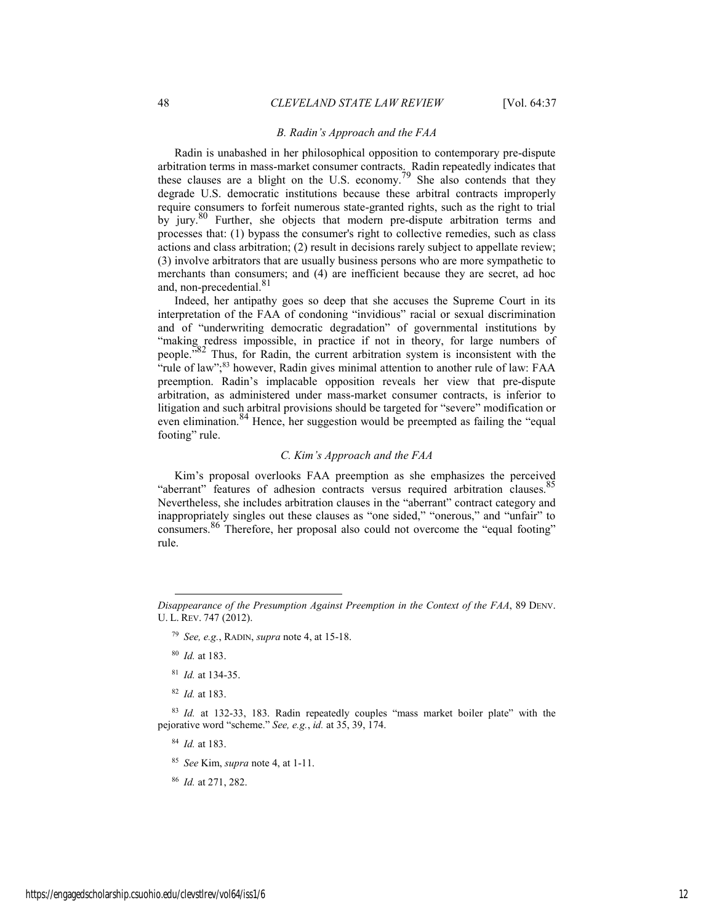#### *B. Radin's Approach and the FAA*

Radin is unabashed in her philosophical opposition to contemporary pre-dispute arbitration terms in mass-market consumer contracts. Radin repeatedly indicates that these clauses are a blight on the U.S. economy.<sup>79</sup> She also contends that they degrade U.S. democratic institutions because these arbitral contracts improperly require consumers to forfeit numerous state-granted rights, such as the right to trial by jury.<sup>80</sup> Further, she objects that modern pre-dispute arbitration terms and processes that: (1) bypass the consumer's right to collective remedies, such as class actions and class arbitration; (2) result in decisions rarely subject to appellate review; (3) involve arbitrators that are usually business persons who are more sympathetic to merchants than consumers; and (4) are inefficient because they are secret, ad hoc and, non-precedential.<sup>81</sup>

Indeed, her antipathy goes so deep that she accuses the Supreme Court in its interpretation of the FAA of condoning "invidious" racial or sexual discrimination and of "underwriting democratic degradation" of governmental institutions by "making redress impossible, in practice if not in theory, for large numbers of people."82 Thus, for Radin, the current arbitration system is inconsistent with the "rule of law";<sup>83</sup> however, Radin gives minimal attention to another rule of law: FAA preemption. Radin's implacable opposition reveals her view that pre-dispute arbitration, as administered under mass-market consumer contracts, is inferior to litigation and such arbitral provisions should be targeted for "severe" modification or even elimination.<sup>84</sup> Hence, her suggestion would be preempted as failing the "equal" footing" rule.

## *C. Kim's Approach and the FAA*

Kim's proposal overlooks FAA preemption as she emphasizes the perceived "aberrant" features of adhesion contracts versus required arbitration clauses. $85$ Nevertheless, she includes arbitration clauses in the "aberrant" contract category and inappropriately singles out these clauses as "one sided," "onerous," and "unfair" to consumers.86 Therefore, her proposal also could not overcome the "equal footing" rule.

l

<sup>84</sup> *Id.* at 183.

<sup>85</sup> *See* Kim, *supra* note 4, at 1-11.

<sup>86</sup> *Id.* at 271, 282.

*Disappearance of the Presumption Against Preemption in the Context of the FAA*, 89 DENV. U. L. REV. 747 (2012).

<sup>79</sup> *See, e.g.*, RADIN, *supra* note 4, at 15-18.

<sup>80</sup> *Id.* at 183.

<sup>81</sup> *Id.* at 134-35.

<sup>82</sup> *Id.* at 183.

<sup>83</sup> *Id.* at 132-33, 183. Radin repeatedly couples "mass market boiler plate" with the pejorative word "scheme." *See, e.g.*, *id.* at 35, 39, 174.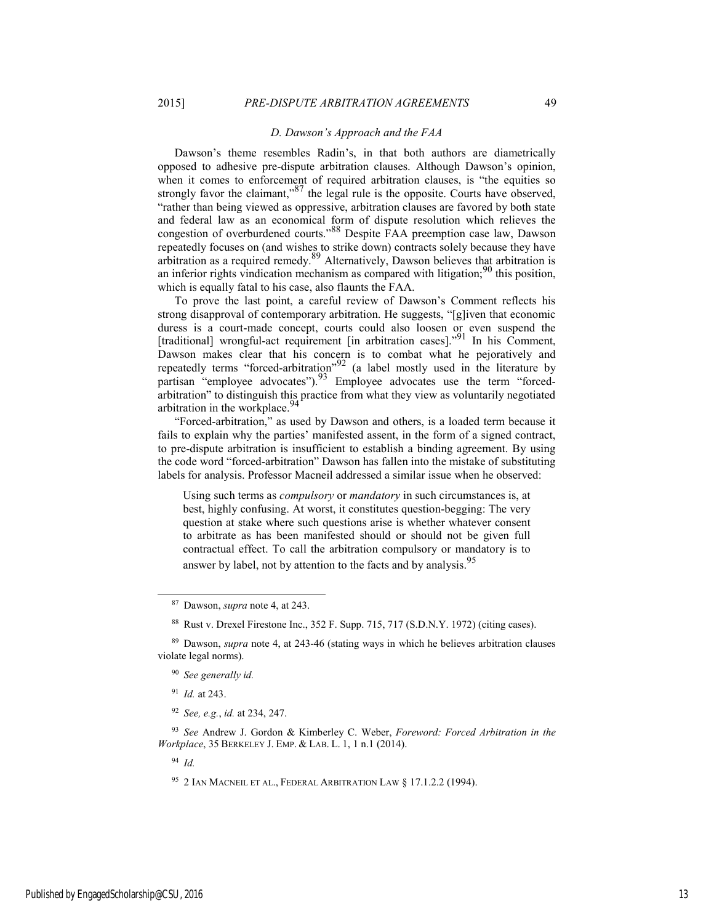#### *D. Dawson's Approach and the FAA*

Dawson's theme resembles Radin's, in that both authors are diametrically opposed to adhesive pre-dispute arbitration clauses. Although Dawson's opinion, when it comes to enforcement of required arbitration clauses, is "the equities so strongly favor the claimant,"<sup>87</sup> the legal rule is the opposite. Courts have observed, "rather than being viewed as oppressive, arbitration clauses are favored by both state and federal law as an economical form of dispute resolution which relieves the congestion of overburdened courts."88 Despite FAA preemption case law, Dawson repeatedly focuses on (and wishes to strike down) contracts solely because they have arbitration as a required remedy.<sup>89</sup> Alternatively, Dawson believes that arbitration is an inferior rights vindication mechanism as compared with litigation;  $90$  this position, which is equally fatal to his case, also flaunts the FAA.

To prove the last point, a careful review of Dawson's Comment reflects his strong disapproval of contemporary arbitration. He suggests, "[g]iven that economic duress is a court-made concept, courts could also loosen or even suspend the [traditional] wrongful-act requirement [in arbitration cases]."<sup>91</sup> In his Comment, Dawson makes clear that his concern is to combat what he pejoratively and repeatedly terms "forced-arbitration"<sup>92</sup> (a label mostly used in the literature by partisan "employee advocates").<sup>93</sup> Employee advocates use the term "forcedarbitration" to distinguish this practice from what they view as voluntarily negotiated arbitration in the workplace.<sup>9</sup>

"Forced-arbitration," as used by Dawson and others, is a loaded term because it fails to explain why the parties' manifested assent, in the form of a signed contract, to pre-dispute arbitration is insufficient to establish a binding agreement. By using the code word "forced-arbitration" Dawson has fallen into the mistake of substituting labels for analysis. Professor Macneil addressed a similar issue when he observed:

Using such terms as *compulsory* or *mandatory* in such circumstances is, at best, highly confusing. At worst, it constitutes question-begging: The very question at stake where such questions arise is whether whatever consent to arbitrate as has been manifested should or should not be given full contractual effect. To call the arbitration compulsory or mandatory is to answer by label, not by attention to the facts and by analysis.<sup>95</sup>

<sup>94</sup> *Id.* 

 <sup>87</sup> Dawson, *supra* note 4, at 243.

<sup>88</sup> Rust v. Drexel Firestone Inc., 352 F. Supp. 715, 717 (S.D.N.Y. 1972) (citing cases).

<sup>89</sup> Dawson, *supra* note 4, at 243-46 (stating ways in which he believes arbitration clauses violate legal norms).

<sup>90</sup> *See generally id.*

<sup>91</sup> *Id.* at 243.

<sup>92</sup> *See, e.g.*, *id.* at 234, 247.

<sup>93</sup> *See* Andrew J. Gordon & Kimberley C. Weber, *Foreword: Forced Arbitration in the Workplace*, 35 BERKELEY J. EMP. & LAB. L. 1, 1 n.1 (2014).

<sup>95 2</sup> IAN MACNEIL ET AL., FEDERAL ARBITRATION LAW § 17.1.2.2 (1994).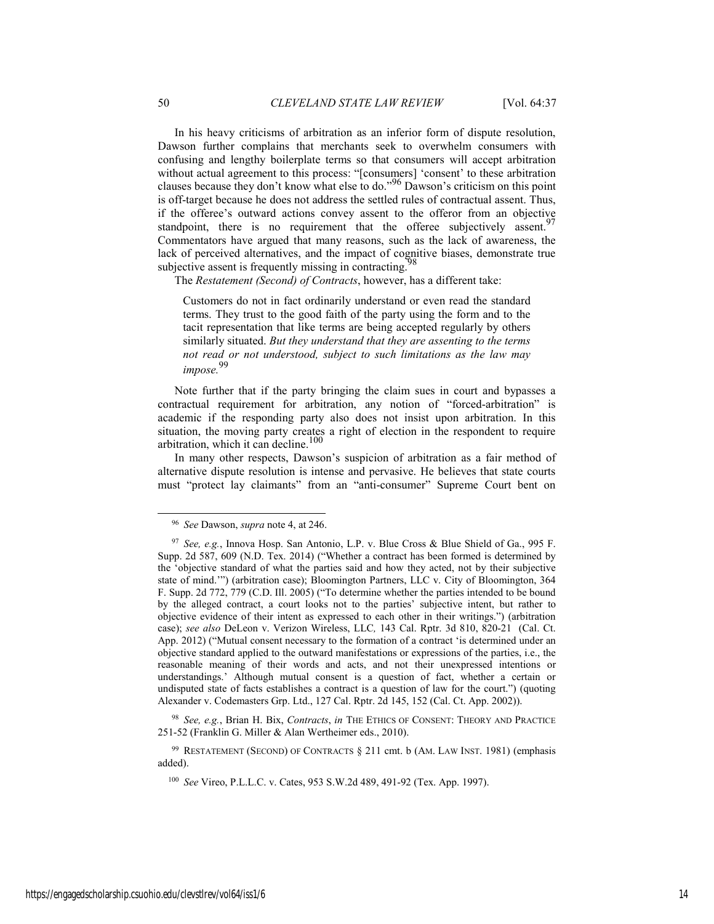In his heavy criticisms of arbitration as an inferior form of dispute resolution, Dawson further complains that merchants seek to overwhelm consumers with confusing and lengthy boilerplate terms so that consumers will accept arbitration without actual agreement to this process: "[consumers] 'consent' to these arbitration clauses because they don't know what else to do."96 Dawson's criticism on this point is off-target because he does not address the settled rules of contractual assent. Thus, if the offeree's outward actions convey assent to the offeror from an objective standpoint, there is no requirement that the offeree subjectively assent.<sup>97</sup> Commentators have argued that many reasons, such as the lack of awareness, the lack of perceived alternatives, and the impact of cognitive biases, demonstrate true subjective assent is frequently missing in contracting.

The *Restatement (Second) of Contracts*, however, has a different take:

Customers do not in fact ordinarily understand or even read the standard terms. They trust to the good faith of the party using the form and to the tacit representation that like terms are being accepted regularly by others similarly situated. *But they understand that they are assenting to the terms not read or not understood, subject to such limitations as the law may impose.*<sup>99</sup>

Note further that if the party bringing the claim sues in court and bypasses a contractual requirement for arbitration, any notion of "forced-arbitration" is academic if the responding party also does not insist upon arbitration. In this situation, the moving party creates a right of election in the respondent to require arbitration, which it can decline.<sup>100</sup>

In many other respects, Dawson's suspicion of arbitration as a fair method of alternative dispute resolution is intense and pervasive. He believes that state courts must "protect lay claimants" from an "anti-consumer" Supreme Court bent on

<sup>98</sup> *See, e.g.*, Brian H. Bix, *Contracts*, *in* THE ETHICS OF CONSENT: THEORY AND PRACTICE 251-52 (Franklin G. Miller & Alan Wertheimer eds., 2010).

99 RESTATEMENT (SECOND) OF CONTRACTS § 211 cmt. b (AM. LAW INST. 1981) (emphasis added).

 <sup>96</sup> *See* Dawson, *supra* note 4, at 246.

<sup>97</sup> *See, e.g.*, Innova Hosp. San Antonio, L.P. v. Blue Cross & Blue Shield of Ga., 995 F. Supp. 2d 587, 609 (N.D. Tex. 2014) ("Whether a contract has been formed is determined by the 'objective standard of what the parties said and how they acted, not by their subjective state of mind.'") (arbitration case); Bloomington Partners, LLC v. City of Bloomington, 364 F. Supp. 2d 772, 779 (C.D. Ill. 2005) ("To determine whether the parties intended to be bound by the alleged contract, a court looks not to the parties' subjective intent, but rather to objective evidence of their intent as expressed to each other in their writings.") (arbitration case); *see also* DeLeon v. Verizon Wireless, LLC*,* 143 Cal. Rptr. 3d 810, 820-21 (Cal. Ct. App. 2012) ("Mutual consent necessary to the formation of a contract 'is determined under an objective standard applied to the outward manifestations or expressions of the parties, i.e., the reasonable meaning of their words and acts, and not their unexpressed intentions or understandings.' Although mutual consent is a question of fact, whether a certain or undisputed state of facts establishes a contract is a question of law for the court.") (quoting Alexander v. Codemasters Grp. Ltd., 127 Cal. Rptr. 2d 145, 152 (Cal. Ct. App. 2002)).

<sup>100</sup> *See* Vireo, P.L.L.C. v. Cates, 953 S.W.2d 489, 491-92 (Tex. App. 1997).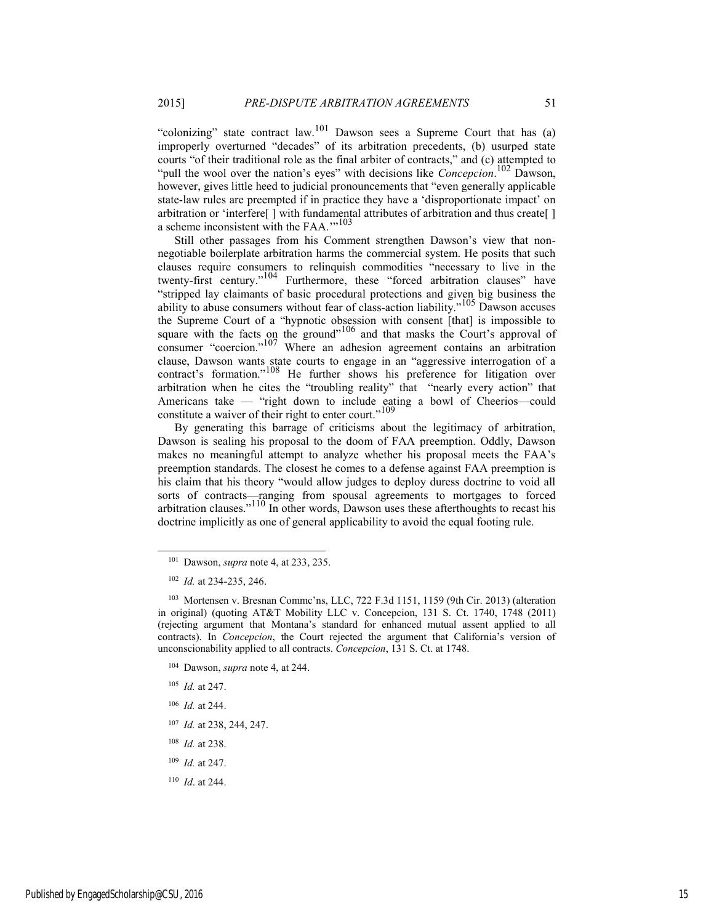"colonizing" state contract law.<sup>101</sup> Dawson sees a Supreme Court that has (a) improperly overturned "decades" of its arbitration precedents, (b) usurped state courts "of their traditional role as the final arbiter of contracts," and (c) attempted to "pull the wool over the nation's eyes" with decisions like *Concepcion*. 102 Dawson, however, gives little heed to judicial pronouncements that "even generally applicable state-law rules are preempted if in practice they have a 'disproportionate impact' on arbitration or 'interfere[ ] with fundamental attributes of arbitration and thus create[ ] a scheme inconsistent with the FAA.'"103

Still other passages from his Comment strengthen Dawson's view that nonnegotiable boilerplate arbitration harms the commercial system. He posits that such clauses require consumers to relinquish commodities "necessary to live in the twenty-first century."104 Furthermore, these "forced arbitration clauses" have "stripped lay claimants of basic procedural protections and given big business the ability to abuse consumers without fear of class-action liability."105 Dawson accuses the Supreme Court of a "hypnotic obsession with consent [that] is impossible to square with the facts on the ground"<sup>106</sup> and that masks the Court's approval of consumer "coercion."<sup>107</sup> Where an adhesion agreement contains an arbitration clause, Dawson wants state courts to engage in an "aggressive interrogation of a contract's formation."<sup>108</sup> He further shows his preference for litigation over arbitration when he cites the "troubling reality" that "nearly every action" that Americans take — "right down to include eating a bowl of Cheerios—could constitute a waiver of their right to enter court."<sup>109</sup>

By generating this barrage of criticisms about the legitimacy of arbitration, Dawson is sealing his proposal to the doom of FAA preemption. Oddly, Dawson makes no meaningful attempt to analyze whether his proposal meets the FAA's preemption standards. The closest he comes to a defense against FAA preemption is his claim that his theory "would allow judges to deploy duress doctrine to void all sorts of contracts—ranging from spousal agreements to mortgages to forced arbitration clauses." $110$  In other words, Dawson uses these afterthoughts to recast his doctrine implicitly as one of general applicability to avoid the equal footing rule.

<sup>105</sup> *Id.* at 247.

- <sup>106</sup> *Id.* at 244.
- <sup>107</sup> *Id.* at 238, 244, 247.
- <sup>108</sup> *Id.* at 238.
- <sup>109</sup> *Id.* at 247.
- <sup>110</sup> *Id*. at 244.

 <sup>101</sup> Dawson, *supra* note 4, at 233, 235.

<sup>102</sup> *Id.* at 234-235, 246.

<sup>103</sup> Mortensen v. Bresnan Commc'ns, LLC, 722 F.3d 1151, 1159 (9th Cir. 2013) (alteration in original) (quoting AT&T Mobility LLC v. Concepcion, 131 S. Ct. 1740, 1748 (2011) (rejecting argument that Montana's standard for enhanced mutual assent applied to all contracts). In *Concepcion*, the Court rejected the argument that California's version of unconscionability applied to all contracts. *Concepcion*, 131 S. Ct. at 1748.

<sup>104</sup> Dawson, *supra* note 4, at 244.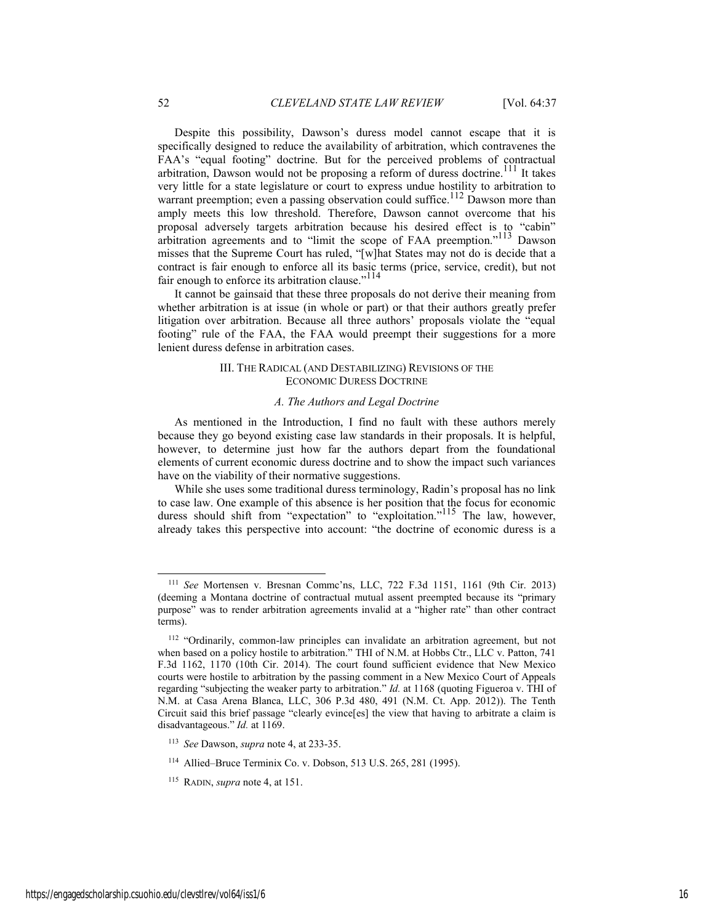Despite this possibility, Dawson's duress model cannot escape that it is specifically designed to reduce the availability of arbitration, which contravenes the FAA's "equal footing" doctrine. But for the perceived problems of contractual arbitration, Dawson would not be proposing a reform of duress doctrine.<sup>111</sup> It takes very little for a state legislature or court to express undue hostility to arbitration to warrant preemption; even a passing observation could suffice.<sup>112</sup> Dawson more than amply meets this low threshold. Therefore, Dawson cannot overcome that his proposal adversely targets arbitration because his desired effect is to "cabin" arbitration agreements and to "limit the scope of FAA preemption."<sup>113</sup> Dawson misses that the Supreme Court has ruled, "[w]hat States may not do is decide that a contract is fair enough to enforce all its basic terms (price, service, credit), but not fair enough to enforce its arbitration clause."<sup>114</sup>

It cannot be gainsaid that these three proposals do not derive their meaning from whether arbitration is at issue (in whole or part) or that their authors greatly prefer litigation over arbitration. Because all three authors' proposals violate the "equal footing" rule of the FAA, the FAA would preempt their suggestions for a more lenient duress defense in arbitration cases.

#### III. THE RADICAL (AND DESTABILIZING) REVISIONS OF THE ECONOMIC DURESS DOCTRINE

#### *A. The Authors and Legal Doctrine*

As mentioned in the Introduction, I find no fault with these authors merely because they go beyond existing case law standards in their proposals. It is helpful, however, to determine just how far the authors depart from the foundational elements of current economic duress doctrine and to show the impact such variances have on the viability of their normative suggestions.

While she uses some traditional duress terminology, Radin's proposal has no link to case law. One example of this absence is her position that the focus for economic duress should shift from "expectation" to "exploitation."<sup>115</sup> The law, however, already takes this perspective into account: "the doctrine of economic duress is a

 <sup>111</sup> *See* Mortensen v. Bresnan Commc'ns, LLC, 722 F.3d 1151, 1161 (9th Cir. 2013) (deeming a Montana doctrine of contractual mutual assent preempted because its "primary purpose" was to render arbitration agreements invalid at a "higher rate" than other contract terms).

<sup>&</sup>lt;sup>112</sup> "Ordinarily, common-law principles can invalidate an arbitration agreement, but not when based on a policy hostile to arbitration." THI of N.M. at Hobbs Ctr., LLC v. Patton, 741 F.3d 1162, 1170 (10th Cir. 2014). The court found sufficient evidence that New Mexico courts were hostile to arbitration by the passing comment in a New Mexico Court of Appeals regarding "subjecting the weaker party to arbitration." *Id.* at 1168 (quoting Figueroa v. THI of N.M. at Casa Arena Blanca, LLC, 306 P.3d 480, 491 (N.M. Ct. App. 2012)). The Tenth Circuit said this brief passage "clearly evince[es] the view that having to arbitrate a claim is disadvantageous." *Id.* at 1169.

<sup>113</sup> *See* Dawson, *supra* note 4, at 233-35.

<sup>114</sup> Allied–Bruce Terminix Co. v. Dobson, 513 U.S. 265, 281 (1995).

<sup>115</sup> RADIN, *supra* note 4, at 151.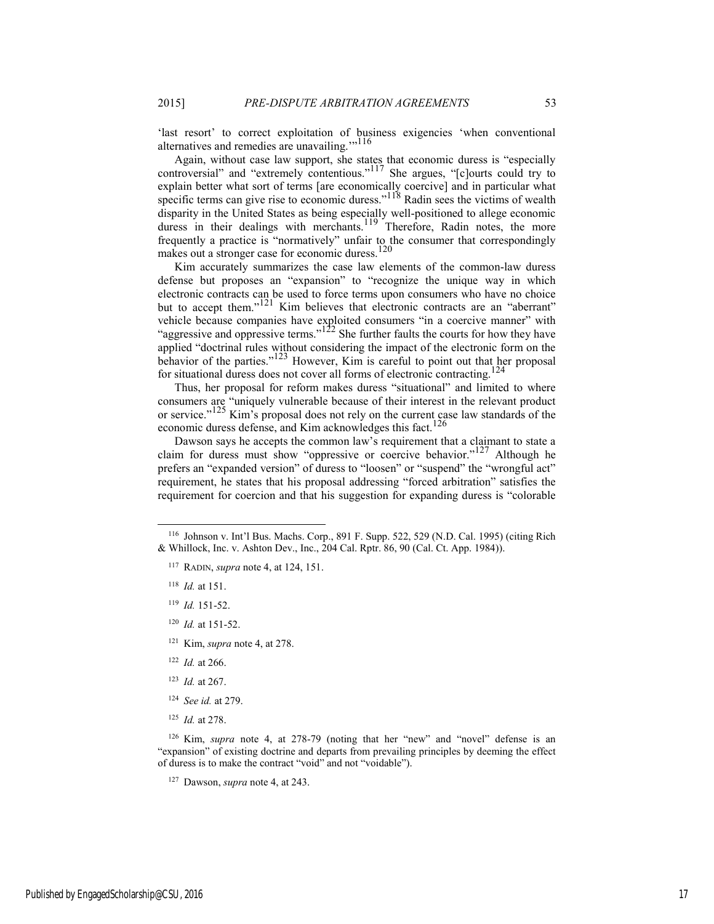'last resort' to correct exploitation of business exigencies 'when conventional alternatives and remedies are unavailing.'"116

Again, without case law support, she states that economic duress is "especially controversial" and "extremely contentious."117 She argues, "[c]ourts could try to explain better what sort of terms [are economically coercive] and in particular what specific terms can give rise to economic duress."<sup>118</sup> Radin sees the victims of wealth disparity in the United States as being especially well-positioned to allege economic duress in their dealings with merchants.<sup>119</sup> Therefore, Radin notes, the more frequently a practice is "normatively" unfair to the consumer that correspondingly makes out a stronger case for economic duress.<sup>120</sup>

Kim accurately summarizes the case law elements of the common-law duress defense but proposes an "expansion" to "recognize the unique way in which electronic contracts can be used to force terms upon consumers who have no choice but to accept them."<sup>121</sup> Kim believes that electronic contracts are an "aberrant" vehicle because companies have exploited consumers "in a coercive manner" with "aggressive and oppressive terms."<sup>122</sup> She further faults the courts for how they have applied "doctrinal rules without considering the impact of the electronic form on the behavior of the parties."<sup>123</sup> However, Kim is careful to point out that her proposal for situational duress does not cover all forms of electronic contracting.<sup>124</sup>

Thus, her proposal for reform makes duress "situational" and limited to where consumers are "uniquely vulnerable because of their interest in the relevant product or service."<sup>125</sup> Kim's proposal does not rely on the current case law standards of the economic duress defense, and Kim acknowledges this fact.<sup>126</sup>

Dawson says he accepts the common law's requirement that a claimant to state a claim for duress must show "oppressive or coercive behavior."<sup>127</sup> Although he prefers an "expanded version" of duress to "loosen" or "suspend" the "wrongful act" requirement, he states that his proposal addressing "forced arbitration" satisfies the requirement for coercion and that his suggestion for expanding duress is "colorable

- <sup>118</sup>*Id.* at 151.
- <sup>119</sup> *Id.* 151-52.
- <sup>120</sup> *Id.* at 151-52.
- 121 Kim, *supra* note 4, at 278.
- <sup>122</sup> *Id.* at 266.
- <sup>123</sup> *Id.* at 267.
- <sup>124</sup> *See id.* at 279.
- <sup>125</sup> *Id.* at 278.

126 Kim, *supra* note 4, at 278-79 (noting that her "new" and "novel" defense is an "expansion" of existing doctrine and departs from prevailing principles by deeming the effect of duress is to make the contract "void" and not "voidable").

127 Dawson, *supra* note 4, at 243.

 <sup>116</sup> Johnson v. Int'l Bus. Machs. Corp., 891 F. Supp. 522, 529 (N.D. Cal. 1995) (citing Rich & Whillock, Inc. v. Ashton Dev., Inc., 204 Cal. Rptr. 86, 90 (Cal. Ct. App. 1984)).

<sup>117</sup> RADIN, *supra* note 4, at 124, 151.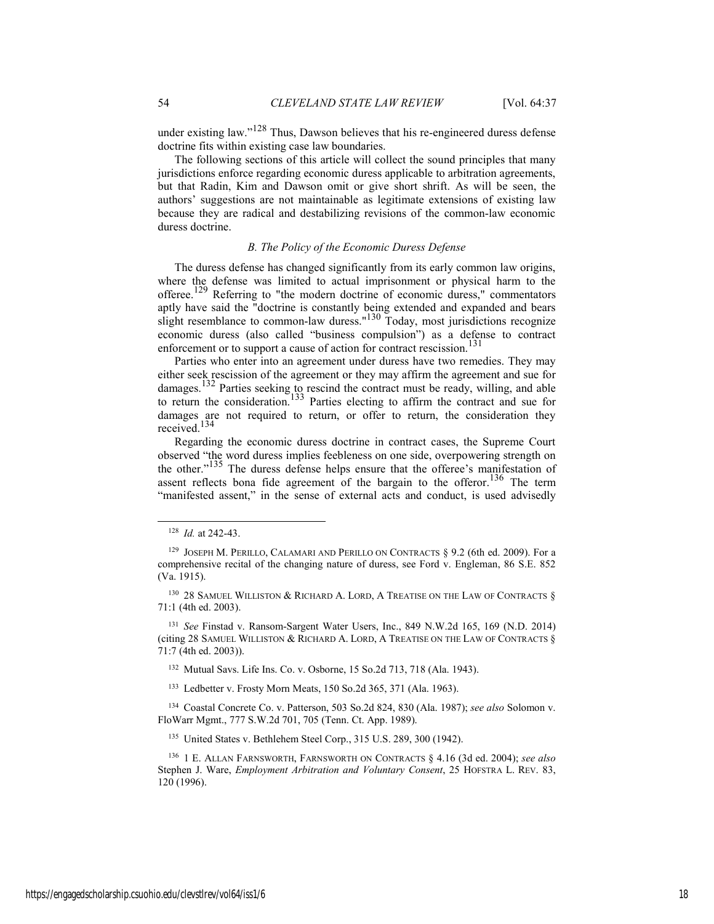under existing law."<sup>128</sup> Thus, Dawson believes that his re-engineered duress defense doctrine fits within existing case law boundaries.

The following sections of this article will collect the sound principles that many jurisdictions enforce regarding economic duress applicable to arbitration agreements, but that Radin, Kim and Dawson omit or give short shrift. As will be seen, the authors' suggestions are not maintainable as legitimate extensions of existing law because they are radical and destabilizing revisions of the common-law economic duress doctrine.

## *B. The Policy of the Economic Duress Defense*

The duress defense has changed significantly from its early common law origins, where the defense was limited to actual imprisonment or physical harm to the offeree.<sup>129</sup> Referring to "the modern doctrine of economic duress," commentators aptly have said the "doctrine is constantly being extended and expanded and bears slight resemblance to common-law duress."<sup>130</sup> Today, most jurisdictions recognize economic duress (also called "business compulsion") as a defense to contract enforcement or to support a cause of action for contract rescission.<sup>131</sup>

Parties who enter into an agreement under duress have two remedies. They may either seek rescission of the agreement or they may affirm the agreement and sue for damages.132 Parties seeking to rescind the contract must be ready, willing, and able to return the consideration.<sup>133</sup> Parties electing to affirm the contract and sue for damages are not required to return, or offer to return, the consideration they received.<sup>134</sup>

Regarding the economic duress doctrine in contract cases, the Supreme Court observed "the word duress implies feebleness on one side, overpowering strength on the other."135 The duress defense helps ensure that the offeree's manifestation of assent reflects bona fide agreement of the bargain to the offeror.<sup>136</sup> The term "manifested assent," in the sense of external acts and conduct, is used advisedly

132 Mutual Savs. Life Ins. Co. v. Osborne, 15 So.2d 713, 718 (Ala. 1943).

133 Ledbetter v. Frosty Morn Meats, 150 So.2d 365, 371 (Ala. 1963).

134 Coastal Concrete Co. v. Patterson, 503 So.2d 824, 830 (Ala. 1987); *see also* Solomon v. FloWarr Mgmt., 777 S.W.2d 701, 705 (Tenn. Ct. App. 1989).

135 United States v. Bethlehem Steel Corp., 315 U.S. 289, 300 (1942).

 <sup>128</sup> *Id.* at 242-43.

<sup>129</sup> JOSEPH M. PERILLO, CALAMARI AND PERILLO ON CONTRACTS § 9.2 (6th ed. 2009). For a comprehensive recital of the changing nature of duress, see Ford v. Engleman, 86 S.E. 852 (Va. 1915).

<sup>&</sup>lt;sup>130</sup> 28 SAMUEL WILLISTON & RICHARD A. LORD, A TREATISE ON THE LAW OF CONTRACTS § 71:1 (4th ed. 2003).

<sup>131</sup> *See* Finstad v. Ransom-Sargent Water Users, Inc., 849 N.W.2d 165, 169 (N.D. 2014) (citing 28 SAMUEL WILLISTON & RICHARD A. LORD, A TREATISE ON THE LAW OF CONTRACTS § 71:7 (4th ed. 2003)).

<sup>136 1</sup> E. ALLAN FARNSWORTH, FARNSWORTH ON CONTRACTS § 4.16 (3d ed. 2004); *see also* Stephen J. Ware, *Employment Arbitration and Voluntary Consent*, 25 HOFSTRA L. REV. 83, 120 (1996).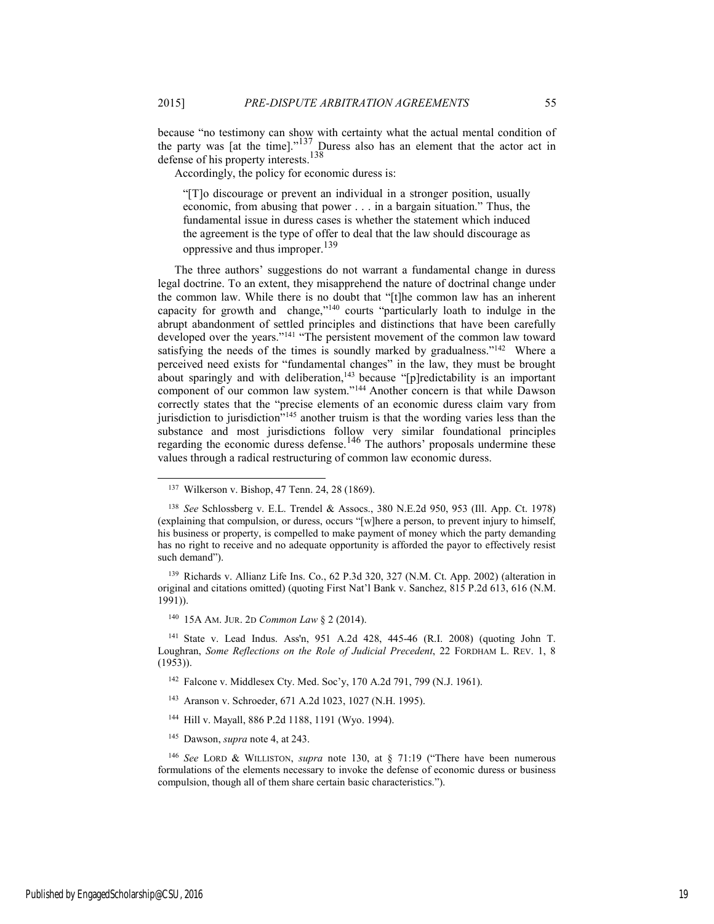because "no testimony can show with certainty what the actual mental condition of the party was [at the time]."<sup>137</sup> Duress also has an element that the actor act in defense of his property interests.<sup>138</sup>

Accordingly, the policy for economic duress is:

"[T]o discourage or prevent an individual in a stronger position, usually economic, from abusing that power . . . in a bargain situation." Thus, the fundamental issue in duress cases is whether the statement which induced the agreement is the type of offer to deal that the law should discourage as oppressive and thus improper.<sup>139</sup>

The three authors' suggestions do not warrant a fundamental change in duress legal doctrine. To an extent, they misapprehend the nature of doctrinal change under the common law. While there is no doubt that "[t]he common law has an inherent capacity for growth and change,"140 courts "particularly loath to indulge in the abrupt abandonment of settled principles and distinctions that have been carefully developed over the years."141 "The persistent movement of the common law toward satisfying the needs of the times is soundly marked by gradualness."<sup>142</sup> Where a perceived need exists for "fundamental changes" in the law, they must be brought about sparingly and with deliberation, $143$  because "[p]redictability is an important component of our common law system."144 Another concern is that while Dawson correctly states that the "precise elements of an economic duress claim vary from jurisdiction to jurisdiction<sup>7145</sup> another truism is that the wording varies less than the substance and most jurisdictions follow very similar foundational principles regarding the economic duress defense.<sup>146</sup> The authors' proposals undermine these values through a radical restructuring of common law economic duress.

139 Richards v. Allianz Life Ins. Co., 62 P.3d 320, 327 (N.M. Ct. App. 2002) (alteration in original and citations omitted) (quoting First Nat'l Bank v. Sanchez, 815 P.2d 613, 616 (N.M. 1991)).

140 15A AM. JUR. 2D *Common Law* § 2 (2014).

141 State v. Lead Indus. Ass'n, 951 A.2d 428, 445-46 (R.I. 2008) (quoting John T. Loughran, *Some Reflections on the Role of Judicial Precedent*, 22 FORDHAM L. REV. 1, 8 (1953)).

- 142 Falcone v. Middlesex Cty. Med. Soc'y, 170 A.2d 791, 799 (N.J. 1961).
- 143 Aranson v. Schroeder, 671 A.2d 1023, 1027 (N.H. 1995).
- 144 Hill v. Mayall, 886 P.2d 1188, 1191 (Wyo. 1994).
- 145 Dawson, *supra* note 4, at 243.

<sup>146</sup> *See* LORD & WILLISTON, *supra* note 130, at § 71:19 ("There have been numerous formulations of the elements necessary to invoke the defense of economic duress or business compulsion, though all of them share certain basic characteristics.").

 <sup>137</sup> Wilkerson v. Bishop, 47 Tenn. 24, 28 (1869).

<sup>138</sup> *See* Schlossberg v. E.L. Trendel & Assocs., 380 N.E.2d 950, 953 (Ill. App. Ct. 1978) (explaining that compulsion, or duress, occurs "[w]here a person, to prevent injury to himself, his business or property, is compelled to make payment of money which the party demanding has no right to receive and no adequate opportunity is afforded the payor to effectively resist such demand").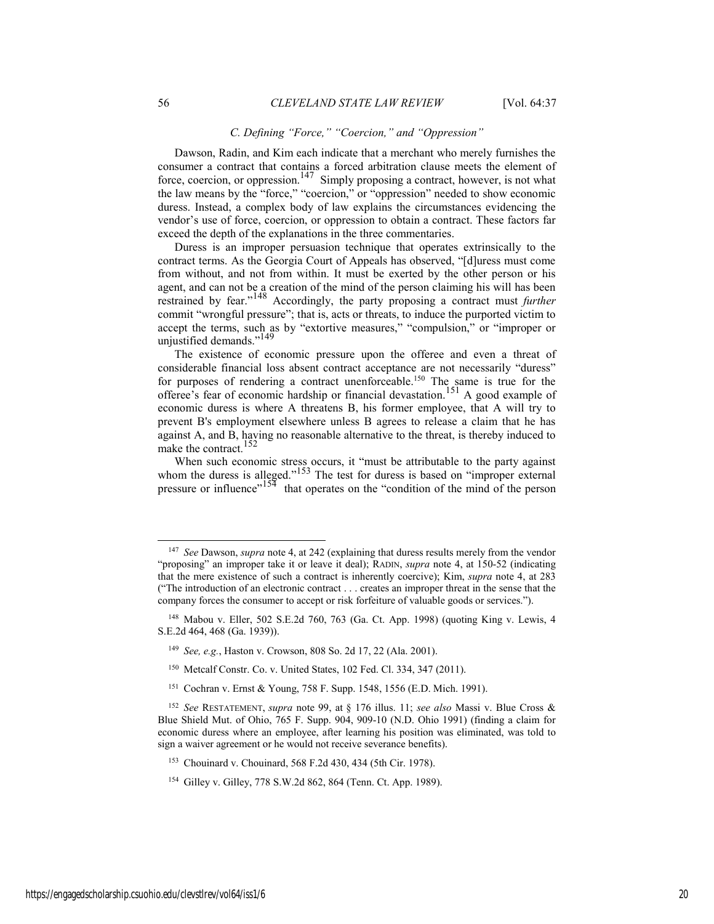#### *C. Defining "Force," "Coercion," and "Oppression"*

Dawson, Radin, and Kim each indicate that a merchant who merely furnishes the consumer a contract that contains a forced arbitration clause meets the element of force, coercion, or oppression.<sup>147</sup> Simply proposing a contract, however, is not what the law means by the "force," "coercion," or "oppression" needed to show economic duress. Instead, a complex body of law explains the circumstances evidencing the vendor's use of force, coercion, or oppression to obtain a contract. These factors far exceed the depth of the explanations in the three commentaries.

Duress is an improper persuasion technique that operates extrinsically to the contract terms. As the Georgia Court of Appeals has observed, "[d]uress must come from without, and not from within. It must be exerted by the other person or his agent, and can not be a creation of the mind of the person claiming his will has been restrained by fear."148 Accordingly, the party proposing a contract must *further* commit "wrongful pressure"; that is, acts or threats, to induce the purported victim to accept the terms, such as by "extortive measures," "compulsion," or "improper or unjustified demands."<sup>149</sup>

The existence of economic pressure upon the offeree and even a threat of considerable financial loss absent contract acceptance are not necessarily "duress" for purposes of rendering a contract unenforceable.150 The same is true for the offeree's fear of economic hardship or financial devastation.151 A good example of economic duress is where A threatens B, his former employee, that A will try to prevent B's employment elsewhere unless B agrees to release a claim that he has against A, and B, having no reasonable alternative to the threat, is thereby induced to make the contract.<sup>152</sup>

When such economic stress occurs, it "must be attributable to the party against whom the duress is alleged."<sup>153</sup> The test for duress is based on "improper external pressure or influence"<sup>154</sup> that operates on the "condition of the mind of the person

- <sup>149</sup> *See, e.g.*, Haston v. Crowson, 808 So. 2d 17, 22 (Ala. 2001).
- 150 Metcalf Constr. Co. v. United States, 102 Fed. Cl. 334, 347 (2011).
- <sup>151</sup> Cochran v. Ernst & Young, 758 F. Supp. 1548, 1556 (E.D. Mich. 1991).

 <sup>147</sup> *See* Dawson, *supra* note 4, at 242 (explaining that duress results merely from the vendor "proposing" an improper take it or leave it deal); RADIN, *supra* note 4, at 150-52 (indicating that the mere existence of such a contract is inherently coercive); Kim, *supra* note 4, at 283 ("The introduction of an electronic contract . . . creates an improper threat in the sense that the company forces the consumer to accept or risk forfeiture of valuable goods or services.").

<sup>148</sup> Mabou v. Eller, 502 S.E.2d 760, 763 (Ga. Ct. App. 1998) (quoting King v. Lewis, 4 S.E.2d 464, 468 (Ga. 1939)).

<sup>152</sup> *See* RESTATEMENT, *supra* note 99, at § 176 illus. 11; *see also* Massi v. Blue Cross & Blue Shield Mut. of Ohio, 765 F. Supp. 904, 909-10 (N.D. Ohio 1991) (finding a claim for economic duress where an employee, after learning his position was eliminated, was told to sign a waiver agreement or he would not receive severance benefits).

<sup>153</sup> Chouinard v. Chouinard, 568 F.2d 430, 434 (5th Cir. 1978).

<sup>154</sup> Gilley v. Gilley, 778 S.W.2d 862, 864 (Tenn. Ct. App. 1989).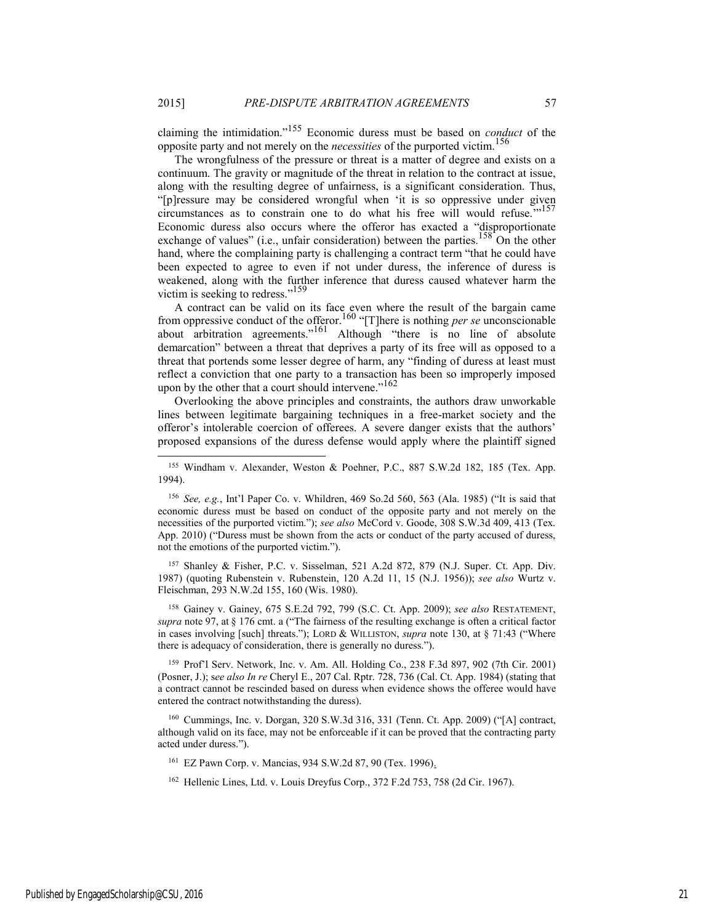claiming the intimidation."155 Economic duress must be based on *conduct* of the opposite party and not merely on the *necessities* of the purported victim.<sup>156</sup>

The wrongfulness of the pressure or threat is a matter of degree and exists on a continuum. The gravity or magnitude of the threat in relation to the contract at issue, along with the resulting degree of unfairness, is a significant consideration. Thus, "[p]ressure may be considered wrongful when 'it is so oppressive under given circumstances as to constrain one to do what his free will would refuse. $157$ Economic duress also occurs where the offeror has exacted a "disproportionate exchange of values" (i.e., unfair consideration) between the parties.<sup>158</sup> On the other hand, where the complaining party is challenging a contract term "that he could have been expected to agree to even if not under duress, the inference of duress is weakened, along with the further inference that duress caused whatever harm the victim is seeking to redress."<sup>159</sup>

A contract can be valid on its face even where the result of the bargain came from oppressive conduct of the offeror.160 "[T]here is nothing *per se* unconscionable about arbitration agreements." $161$  Although "there is no line of absolute demarcation" between a threat that deprives a party of its free will as opposed to a threat that portends some lesser degree of harm, any "finding of duress at least must reflect a conviction that one party to a transaction has been so improperly imposed upon by the other that a court should intervene."<sup>162</sup>

Overlooking the above principles and constraints, the authors draw unworkable lines between legitimate bargaining techniques in a free-market society and the offeror's intolerable coercion of offerees. A severe danger exists that the authors' proposed expansions of the duress defense would apply where the plaintiff signed

157 Shanley & Fisher, P.C. v. Sisselman, 521 A.2d 872, 879 (N.J. Super. Ct. App. Div. 1987) (quoting Rubenstein v. Rubenstein, 120 A.2d 11, 15 (N.J. 1956)); *see also* Wurtz v. Fleischman, 293 N.W.2d 155, 160 (Wis. 1980).

158 Gainey v. Gainey, 675 S.E.2d 792, 799 (S.C. Ct. App. 2009); *see also* RESTATEMENT, *supra* note 97, at § 176 cmt. a ("The fairness of the resulting exchange is often a critical factor in cases involving [such] threats."); LORD & WILLISTON, *supra* note 130, at § 71:43 ("Where there is adequacy of consideration, there is generally no duress.").

159 Prof'l Serv. Network, Inc. v. Am. All. Holding Co., 238 F.3d 897, 902 (7th Cir. 2001) (Posner, J.); s*ee also In re* Cheryl E., 207 Cal. Rptr. 728, 736 (Cal. Ct. App. 1984) (stating that a contract cannot be rescinded based on duress when evidence shows the offeree would have entered the contract notwithstanding the duress).

160 Cummings, Inc. v. Dorgan, 320 S.W.3d 316, 331 (Tenn. Ct. App. 2009) ("[A] contract, although valid on its face, may not be enforceable if it can be proved that the contracting party acted under duress.").

161 EZ Pawn Corp. v. Mancias, 934 S.W.2d 87, 90 (Tex. 1996).

162 Hellenic Lines, Ltd. v. Louis Dreyfus Corp., 372 F.2d 753, 758 (2d Cir. 1967).

<sup>155</sup> Windham v. Alexander, Weston & Poehner, P.C., 887 S.W.2d 182, 185 (Tex. App. 1994).

<sup>156</sup> *See, e.g.*, Int'l Paper Co. v. Whildren, 469 So.2d 560, 563 (Ala. 1985) ("It is said that economic duress must be based on conduct of the opposite party and not merely on the necessities of the purported victim."); *see also* McCord v. Goode, 308 S.W.3d 409, 413 (Tex. App. 2010) ("Duress must be shown from the acts or conduct of the party accused of duress, not the emotions of the purported victim.").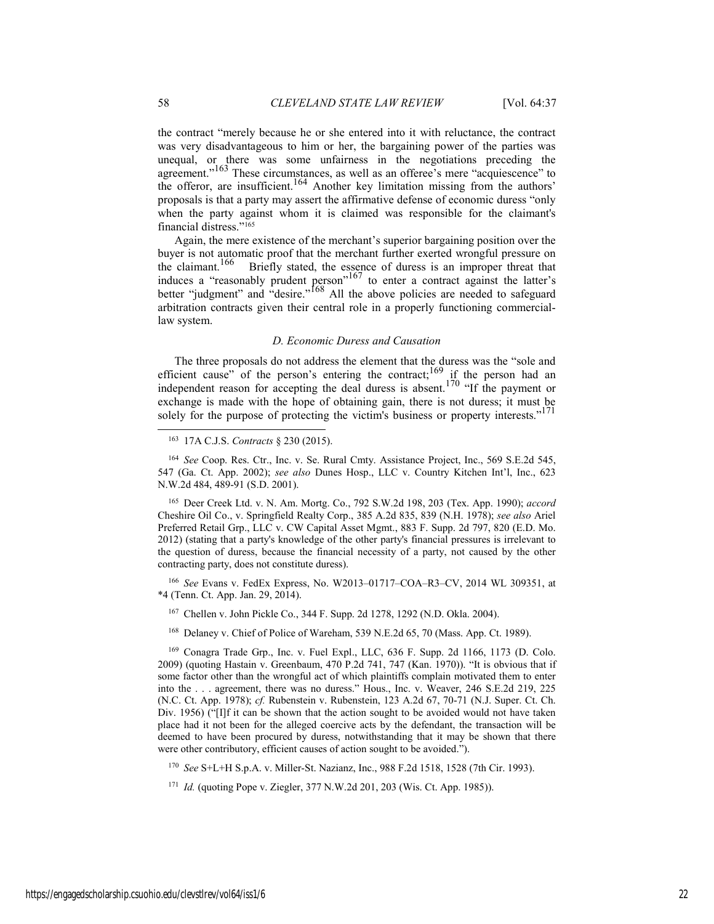the contract "merely because he or she entered into it with reluctance, the contract was very disadvantageous to him or her, the bargaining power of the parties was unequal, or there was some unfairness in the negotiations preceding the agreement."<sup>163</sup> These circumstances, as well as an offeree's mere "acquiescence" to the offeror, are insufficient.<sup>164</sup> Another key limitation missing from the authors' proposals is that a party may assert the affirmative defense of economic duress "only when the party against whom it is claimed was responsible for the claimant's financial distress."165

Again, the mere existence of the merchant's superior bargaining position over the buyer is not automatic proof that the merchant further exerted wrongful pressure on the claimant.<sup>166</sup> Briefly stated, the essence of duress is an improper threat that Briefly stated, the essence of duress is an improper threat that induces a "reasonably prudent person"<sup>167</sup> to enter a contract against the latter's better "judgment" and "desire."<sup>168</sup> All the above policies are needed to safeguard arbitration contracts given their central role in a properly functioning commerciallaw system.

#### *D. Economic Duress and Causation*

The three proposals do not address the element that the duress was the "sole and efficient cause" of the person's entering the contract;<sup>169</sup> if the person had an independent reason for accepting the deal duress is absent.<sup>170</sup> "If the payment or exchange is made with the hope of obtaining gain, there is not duress; it must be solely for the purpose of protecting the victim's business or property interests."<sup>171</sup>

163 17A C.J.S. *Contracts* § 230 (2015).

<sup>164</sup> *See* Coop. Res. Ctr., Inc. v. Se. Rural Cmty. Assistance Project, Inc., 569 S.E.2d 545, 547 (Ga. Ct. App. 2002); *see also* Dunes Hosp., LLC v. Country Kitchen Int'l, Inc., 623 N.W.2d 484, 489-91 (S.D. 2001).

165 Deer Creek Ltd. v. N. Am. Mortg. Co., 792 S.W.2d 198, 203 (Tex. App. 1990); *accord* Cheshire Oil Co., v. Springfield Realty Corp., 385 A.2d 835, 839 (N.H. 1978); *see also* Ariel Preferred Retail Grp., LLC v. CW Capital Asset Mgmt., 883 F. Supp. 2d 797, 820 (E.D. Mo. 2012) (stating that a party's knowledge of the other party's financial pressures is irrelevant to the question of duress, because the financial necessity of a party, not caused by the other contracting party, does not constitute duress).

<sup>166</sup> *See* Evans v. FedEx Express, No. W2013–01717–COA–R3–CV, 2014 WL 309351, at \*4 (Tenn. Ct. App. Jan. 29, 2014).

167 Chellen v. John Pickle Co., 344 F. Supp. 2d 1278, 1292 (N.D. Okla. 2004).

168 Delaney v. Chief of Police of Wareham, 539 N.E.2d 65, 70 (Mass. App. Ct. 1989).

169 Conagra Trade Grp., Inc. v. Fuel Expl., LLC, 636 F. Supp. 2d 1166, 1173 (D. Colo. 2009) (quoting Hastain v. Greenbaum, 470 P.2d 741, 747 (Kan. 1970)). "It is obvious that if some factor other than the wrongful act of which plaintiffs complain motivated them to enter into the . . . agreement, there was no duress." Hous., Inc. v. Weaver, 246 S.E.2d 219, 225 (N.C. Ct. App. 1978); *cf.* Rubenstein v. Rubenstein, 123 A.2d 67, 70-71 (N.J. Super. Ct. Ch. Div. 1956) ("[I]f it can be shown that the action sought to be avoided would not have taken place had it not been for the alleged coercive acts by the defendant, the transaction will be deemed to have been procured by duress, notwithstanding that it may be shown that there were other contributory, efficient causes of action sought to be avoided.").

<sup>170</sup> *See* S+L+H S.p.A. v. Miller-St. Nazianz, Inc., 988 F.2d 1518, 1528 (7th Cir. 1993).

<sup>171</sup> *Id.* (quoting Pope v. Ziegler, 377 N.W.2d 201, 203 (Wis. Ct. App. 1985)).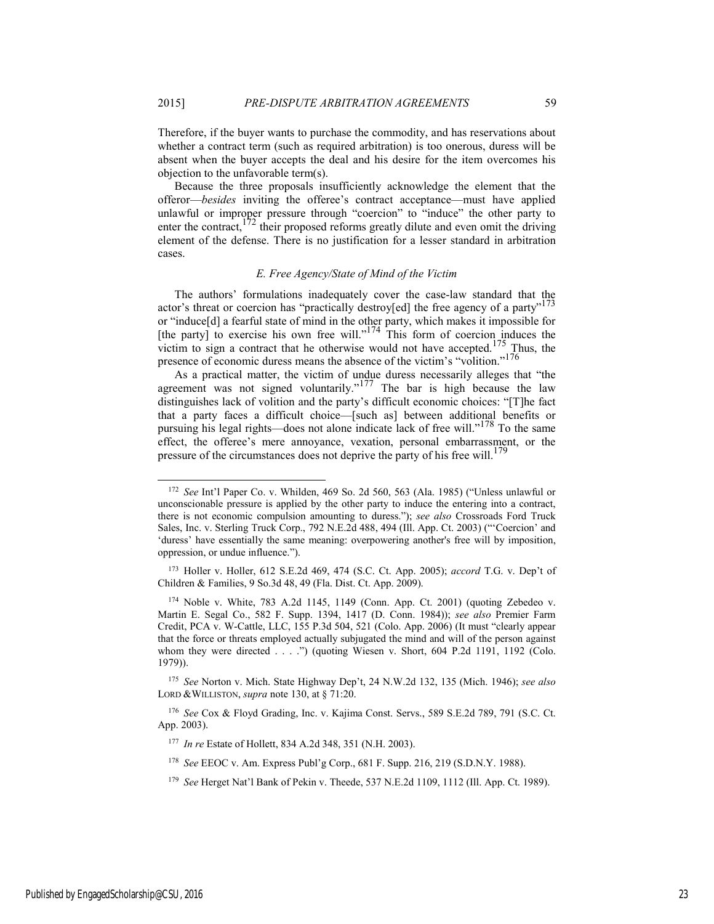Therefore, if the buyer wants to purchase the commodity, and has reservations about whether a contract term (such as required arbitration) is too onerous, duress will be absent when the buyer accepts the deal and his desire for the item overcomes his objection to the unfavorable term(s).

Because the three proposals insufficiently acknowledge the element that the offeror—*besides* inviting the offeree's contract acceptance—must have applied unlawful or improper pressure through "coercion" to "induce" the other party to enter the contract,<sup>172</sup> their proposed reforms greatly dilute and even omit the driving element of the defense. There is no justification for a lesser standard in arbitration cases.

#### *E. Free Agency/State of Mind of the Victim*

The authors' formulations inadequately cover the case-law standard that the actor's threat or coercion has "practically destroy[ed] the free agency of a party"<sup>173</sup> or "induce[d] a fearful state of mind in the other party, which makes it impossible for [the party] to exercise his own free will."<sup>174</sup> This form of coercion induces the victim to sign a contract that he otherwise would not have accepted.<sup>175</sup> Thus, the presence of economic duress means the absence of the victim's "volition."176

As a practical matter, the victim of undue duress necessarily alleges that "the agreement was not signed voluntarily." $177$  The bar is high because the law distinguishes lack of volition and the party's difficult economic choices: "[T]he fact that a party faces a difficult choice—[such as] between additional benefits or pursuing his legal rights—does not alone indicate lack of free will."178 To the same effect, the offeree's mere annoyance, vexation, personal embarrassment, or the pressure of the circumstances does not deprive the party of his free will.<sup>179</sup>

<sup>175</sup> *See* Norton v. Mich. State Highway Dep't, 24 N.W.2d 132, 135 (Mich. 1946); *see also* LORD &WILLISTON, *supra* note 130, at § 71:20.

<sup>176</sup> *See* Cox & Floyd Grading, Inc. v. Kajima Const. Servs., 589 S.E.2d 789, 791 (S.C. Ct. App. 2003).

Published by EngagedScholarship@CSU, 2016 23

 <sup>172</sup> *See* Int'l Paper Co. v. Whilden, 469 So. 2d 560, 563 (Ala. 1985) ("Unless unlawful or unconscionable pressure is applied by the other party to induce the entering into a contract, there is not economic compulsion amounting to duress."); *see also* Crossroads Ford Truck Sales, Inc. v. Sterling Truck Corp., 792 N.E.2d 488, 494 (Ill. App. Ct. 2003) ("'Coercion' and 'duress' have essentially the same meaning: overpowering another's free will by imposition, oppression, or undue influence.").

<sup>173</sup> Holler v. Holler, 612 S.E.2d 469, 474 (S.C. Ct. App. 2005); *accord* T.G. v. Dep't of Children & Families, 9 So.3d 48, 49 (Fla. Dist. Ct. App. 2009).

<sup>174</sup> Noble v. White, 783 A.2d 1145, 1149 (Conn. App. Ct. 2001) (quoting Zebedeo v. Martin E. Segal Co., 582 F. Supp. 1394, 1417 (D. Conn. 1984)); *see also* Premier Farm Credit, PCA v. W-Cattle, LLC, 155 P.3d 504, 521 (Colo. App. 2006) (It must "clearly appear that the force or threats employed actually subjugated the mind and will of the person against whom they were directed . . . .") (quoting Wiesen v. Short, 604 P.2d 1191, 1192 (Colo. 1979)).

<sup>177</sup> *In re* Estate of Hollett, 834 A.2d 348, 351 (N.H. 2003).

<sup>178</sup> *See* EEOC v. Am. Express Publ'g Corp., 681 F. Supp. 216, 219 (S.D.N.Y. 1988).

<sup>179</sup> *See* Herget Nat'l Bank of Pekin v. Theede, 537 N.E.2d 1109, 1112 (Ill. App. Ct. 1989).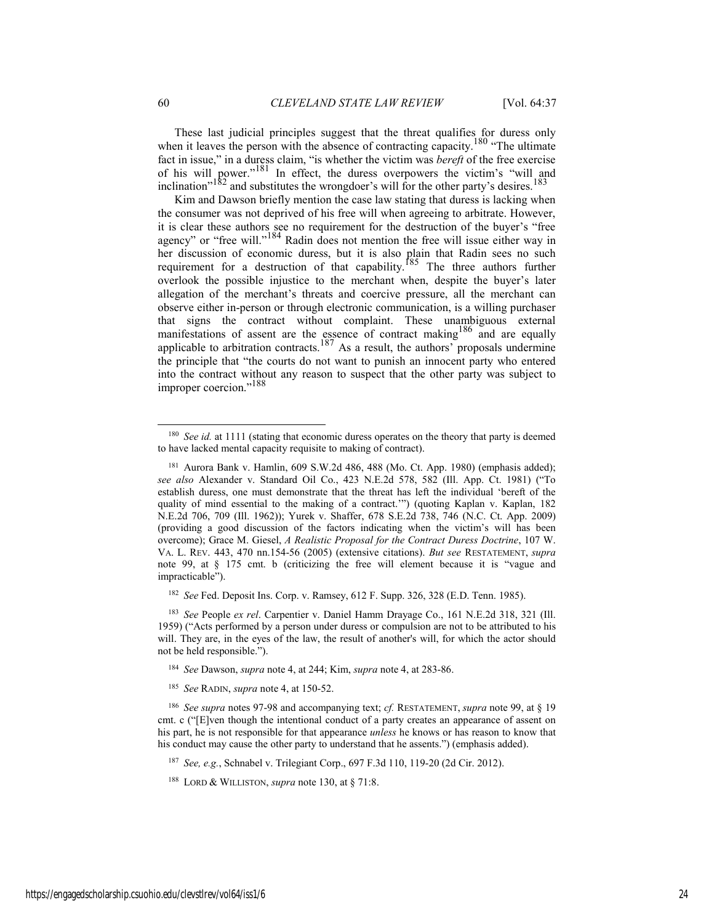These last judicial principles suggest that the threat qualifies for duress only when it leaves the person with the absence of contracting capacity.<sup>180</sup> "The ultimate fact in issue," in a duress claim, "is whether the victim was *bereft* of the free exercise of his will power."<sup>181</sup> In effect, the duress overpowers the victim's "will and inclination"<sup>182</sup> and substitutes the wrongdoer's will for the other party's desires.<sup>183</sup>

Kim and Dawson briefly mention the case law stating that duress is lacking when the consumer was not deprived of his free will when agreeing to arbitrate. However, it is clear these authors see no requirement for the destruction of the buyer's "free agency" or "free will."<sup>184</sup> Radin does not mention the free will issue either way in her discussion of economic duress, but it is also plain that Radin sees no such requirement for a destruction of that capability.<sup>185</sup> The three authors further overlook the possible injustice to the merchant when, despite the buyer's later allegation of the merchant's threats and coercive pressure, all the merchant can observe either in-person or through electronic communication, is a willing purchaser that signs the contract without complaint. These unambiguous external manifestations of assent are the essence of contract making<sup>186</sup> and are equally applicable to arbitration contracts.<sup>187</sup> As a result, the authors' proposals undermine the principle that "the courts do not want to punish an innocent party who entered into the contract without any reason to suspect that the other party was subject to improper coercion."188

<sup>182</sup> *See* Fed. Deposit Ins. Corp. v. Ramsey, 612 F. Supp. 326, 328 (E.D. Tenn. 1985).

- <sup>184</sup> *See* Dawson, *supra* note 4, at 244; Kim, *supra* note 4, at 283-86.
- <sup>185</sup> *See* RADIN, *supra* note 4, at 150-52.

<sup>187</sup> *See, e.g.*, Schnabel v. Trilegiant Corp., 697 F.3d 110, 119-20 (2d Cir. 2012).

 <sup>180</sup> *See id.* at 1111 (stating that economic duress operates on the theory that party is deemed to have lacked mental capacity requisite to making of contract).

<sup>181</sup> Aurora Bank v. Hamlin, 609 S.W.2d 486, 488 (Mo. Ct. App. 1980) (emphasis added); *see also* Alexander v. Standard Oil Co., 423 N.E.2d 578, 582 (Ill. App. Ct. 1981) ("To establish duress, one must demonstrate that the threat has left the individual 'bereft of the quality of mind essential to the making of a contract.'") (quoting Kaplan v. Kaplan, 182 N.E.2d 706, 709 (Ill. 1962)); Yurek v. Shaffer, 678 S.E.2d 738, 746 (N.C. Ct. App. 2009) (providing a good discussion of the factors indicating when the victim's will has been overcome); Grace M. Giesel, *A Realistic Proposal for the Contract Duress Doctrine*, 107 W. VA. L. REV. 443, 470 nn.154-56 (2005) (extensive citations). *But see* RESTATEMENT, *supra* note 99, at § 175 cmt. b (criticizing the free will element because it is "vague and impracticable").

<sup>183</sup> *See* People *ex rel*. Carpentier v. Daniel Hamm Drayage Co., 161 N.E.2d 318, 321 (Ill. 1959) ("Acts performed by a person under duress or compulsion are not to be attributed to his will. They are, in the eyes of the law, the result of another's will, for which the actor should not be held responsible.").

<sup>186</sup> *See supra* notes 97-98 and accompanying text; *cf.* RESTATEMENT, *supra* note 99, at § 19 cmt. c ("[E]ven though the intentional conduct of a party creates an appearance of assent on his part, he is not responsible for that appearance *unless* he knows or has reason to know that his conduct may cause the other party to understand that he assents.") (emphasis added).

<sup>188</sup> LORD & WILLISTON, *supra* note 130, at § 71:8.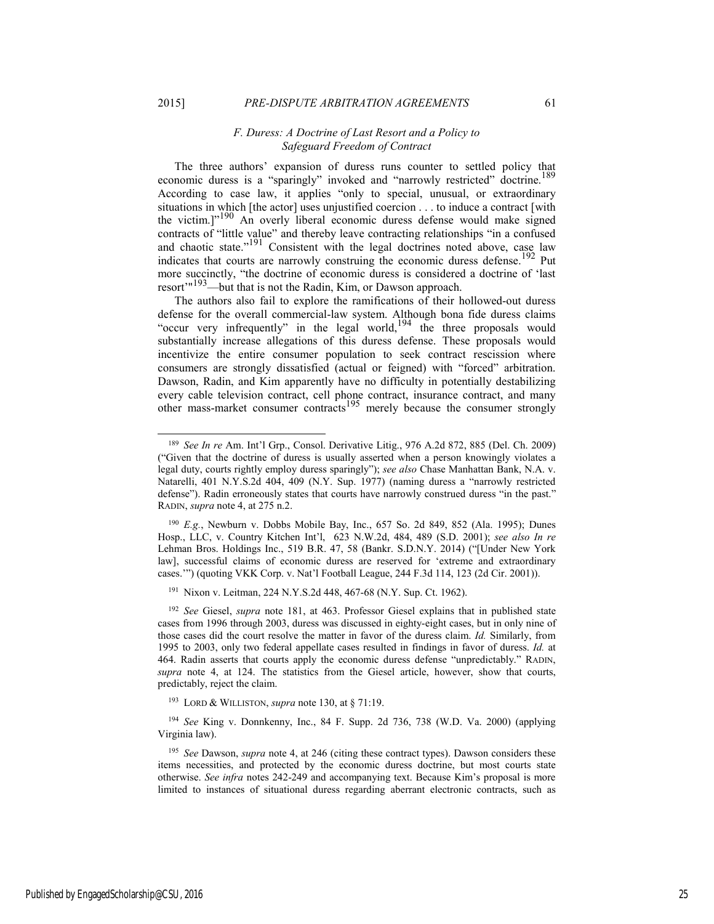#### *F. Duress: A Doctrine of Last Resort and a Policy to Safeguard Freedom of Contract*

The three authors' expansion of duress runs counter to settled policy that economic duress is a "sparingly" invoked and "narrowly restricted" doctrine.<sup>189</sup> According to case law, it applies "only to special, unusual, or extraordinary situations in which [the actor] uses unjustified coercion . . . to induce a contract [with the victim.]<sup>"190</sup> An overly liberal economic duress defense would make signed contracts of "little value" and thereby leave contracting relationships "in a confused and chaotic state."<sup>191</sup> Consistent with the legal doctrines noted above, case law indicates that courts are narrowly construing the economic duress defense.<sup>192</sup> Put more succinctly, "the doctrine of economic duress is considered a doctrine of 'last resort'<sup>"193</sup>—but that is not the Radin, Kim, or Dawson approach.

The authors also fail to explore the ramifications of their hollowed-out duress defense for the overall commercial-law system. Although bona fide duress claims "occur very infrequently" in the legal world,  $194$  the three proposals would substantially increase allegations of this duress defense. These proposals would incentivize the entire consumer population to seek contract rescission where consumers are strongly dissatisfied (actual or feigned) with "forced" arbitration. Dawson, Radin, and Kim apparently have no difficulty in potentially destabilizing every cable television contract, cell phone contract, insurance contract, and many other mass-market consumer contracts<sup>195</sup> merely because the consumer strongly

 <sup>189</sup> *See In re* Am. Int'l Grp., Consol. Derivative Litig., 976 A.2d 872, 885 (Del. Ch. 2009) ("Given that the doctrine of duress is usually asserted when a person knowingly violates a legal duty, courts rightly employ duress sparingly"); *see also* Chase Manhattan Bank, N.A. v. Natarelli, 401 N.Y.S.2d 404, 409 (N.Y. Sup. 1977) (naming duress a "narrowly restricted defense"). Radin erroneously states that courts have narrowly construed duress "in the past." RADIN, *supra* note 4, at 275 n.2.

<sup>190</sup> *E.g.*, Newburn v. Dobbs Mobile Bay, Inc., 657 So. 2d 849, 852 (Ala. 1995); Dunes Hosp., LLC, v. Country Kitchen Int'l, 623 N.W.2d, 484, 489 (S.D. 2001); *see also In re*  Lehman Bros. Holdings Inc., 519 B.R. 47, 58 (Bankr. S.D.N.Y. 2014) ("[Under New York law], successful claims of economic duress are reserved for 'extreme and extraordinary cases.'") (quoting VKK Corp. v. Nat'l Football League, 244 F.3d 114, 123 (2d Cir. 2001)).

<sup>191</sup> Nixon v. Leitman, 224 N.Y.S.2d 448, 467-68 (N.Y. Sup. Ct. 1962).

<sup>192</sup> *See* Giesel, *supra* note 181, at 463. Professor Giesel explains that in published state cases from 1996 through 2003, duress was discussed in eighty-eight cases, but in only nine of those cases did the court resolve the matter in favor of the duress claim. *Id.* Similarly, from 1995 to 2003, only two federal appellate cases resulted in findings in favor of duress. *Id.* at 464. Radin asserts that courts apply the economic duress defense "unpredictably." RADIN, *supra* note 4, at 124. The statistics from the Giesel article, however, show that courts, predictably, reject the claim.

<sup>193</sup> LORD & WILLISTON, *supra* note 130, at § 71:19.

<sup>194</sup> *See* King v. Donnkenny, Inc., 84 F. Supp. 2d 736, 738 (W.D. Va. 2000) (applying Virginia law).

<sup>195</sup> *See* Dawson, *supra* note 4, at 246 (citing these contract types). Dawson considers these items necessities, and protected by the economic duress doctrine, but most courts state otherwise. *See infra* notes 242-249 and accompanying text. Because Kim's proposal is more limited to instances of situational duress regarding aberrant electronic contracts, such as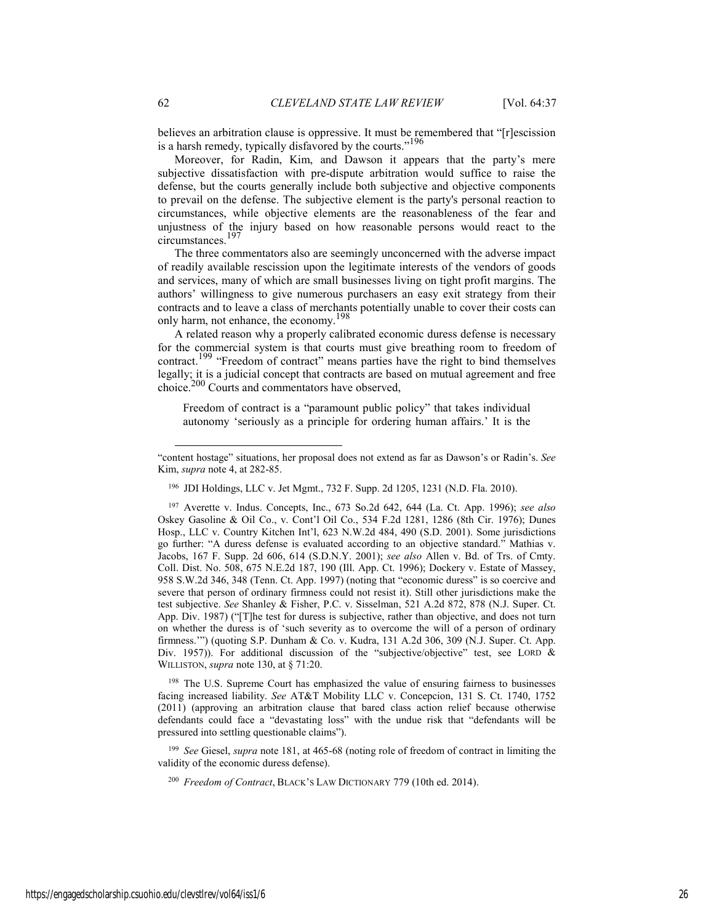believes an arbitration clause is oppressive. It must be remembered that "[r]escission is a harsh remedy, typically disfavored by the courts."<sup>196</sup>

Moreover, for Radin, Kim, and Dawson it appears that the party's mere subjective dissatisfaction with pre-dispute arbitration would suffice to raise the defense, but the courts generally include both subjective and objective components to prevail on the defense. The subjective element is the party's personal reaction to circumstances, while objective elements are the reasonableness of the fear and unjustness of the injury based on how reasonable persons would react to the circumstances.197

The three commentators also are seemingly unconcerned with the adverse impact of readily available rescission upon the legitimate interests of the vendors of goods and services, many of which are small businesses living on tight profit margins. The authors' willingness to give numerous purchasers an easy exit strategy from their contracts and to leave a class of merchants potentially unable to cover their costs can only harm, not enhance, the economy.<sup>198</sup>

A related reason why a properly calibrated economic duress defense is necessary for the commercial system is that courts must give breathing room to freedom of contract.<sup>199</sup> "Freedom of contract" means parties have the right to bind themselves legally; it is a judicial concept that contracts are based on mutual agreement and free choice.200 Courts and commentators have observed,

Freedom of contract is a "paramount public policy" that takes individual autonomy 'seriously as a principle for ordering human affairs.' It is the

196 JDI Holdings, LLC v. Jet Mgmt., 732 F. Supp. 2d 1205, 1231 (N.D. Fla. 2010).

197 Averette v. Indus. Concepts, Inc., 673 So.2d 642, 644 (La. Ct. App. 1996); *see also* Oskey Gasoline & Oil Co., v. Cont'l Oil Co., 534 F.2d 1281, 1286 (8th Cir. 1976); Dunes Hosp., LLC v. Country Kitchen Int'l, 623 N.W.2d 484, 490 (S.D. 2001). Some jurisdictions go further: "A duress defense is evaluated according to an objective standard." Mathias v. Jacobs, 167 F. Supp. 2d 606, 614 (S.D.N.Y. 2001); *see also* Allen v. Bd. of Trs. of Cmty. Coll. Dist. No. 508, 675 N.E.2d 187, 190 (Ill. App. Ct. 1996); Dockery v. Estate of Massey, 958 S.W.2d 346, 348 (Tenn. Ct. App. 1997) (noting that "economic duress" is so coercive and severe that person of ordinary firmness could not resist it). Still other jurisdictions make the test subjective. *See* Shanley & Fisher, P.C. v. Sisselman, 521 A.2d 872, 878 (N.J. Super. Ct. App. Div. 1987) ("[T]he test for duress is subjective, rather than objective, and does not turn on whether the duress is of 'such severity as to overcome the will of a person of ordinary firmness.'") (quoting S.P. Dunham & Co. v. Kudra, 131 A.2d 306, 309 (N.J. Super. Ct. App. Div. 1957)). For additional discussion of the "subjective/objective" test, see LORD & WILLISTON, *supra* note 130, at § 71:20.

<sup>198</sup> The U.S. Supreme Court has emphasized the value of ensuring fairness to businesses facing increased liability. *See* AT&T Mobility LLC v. Concepcion, 131 S. Ct. 1740, 1752 (2011) (approving an arbitration clause that bared class action relief because otherwise defendants could face a "devastating loss" with the undue risk that "defendants will be pressured into settling questionable claims").

<sup>199</sup> *See* Giesel, *supra* note 181, at 465-68 (noting role of freedom of contract in limiting the validity of the economic duress defense).

<sup>200</sup> *Freedom of Contract*, BLACK'S LAW DICTIONARY 779 (10th ed. 2014).

 $\overline{\phantom{a}}$ 

<sup>&</sup>quot;content hostage" situations, her proposal does not extend as far as Dawson's or Radin's. *See* Kim, *supra* note 4, at 282-85.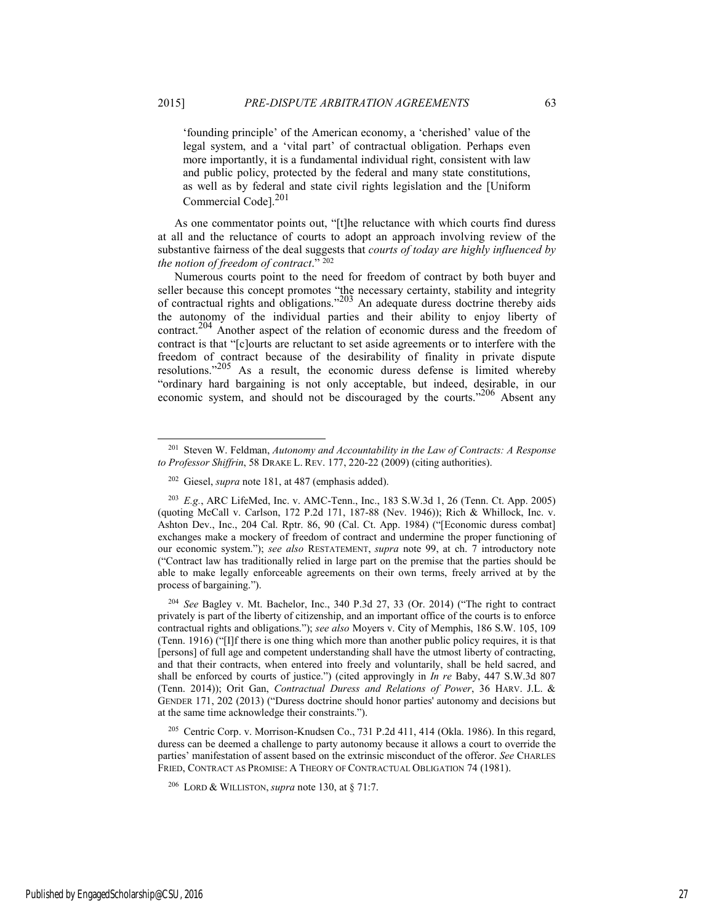'founding principle' of the American economy, a 'cherished' value of the legal system, and a 'vital part' of contractual obligation. Perhaps even more importantly, it is a fundamental individual right, consistent with law and public policy, protected by the federal and many state constitutions, as well as by federal and state civil rights legislation and the [Uniform Commercial Code].<sup>201</sup>

As one commentator points out, "[t]he reluctance with which courts find duress at all and the reluctance of courts to adopt an approach involving review of the substantive fairness of the deal suggests that *courts of today are highly influenced by the notion of freedom of contract*." 202

Numerous courts point to the need for freedom of contract by both buyer and seller because this concept promotes "the necessary certainty, stability and integrity of contractual rights and obligations."203 An adequate duress doctrine thereby aids the autonomy of the individual parties and their ability to enjoy liberty of contract.204 Another aspect of the relation of economic duress and the freedom of contract is that "[c]ourts are reluctant to set aside agreements or to interfere with the freedom of contract because of the desirability of finality in private dispute resolutions."205 As a result, the economic duress defense is limited whereby "ordinary hard bargaining is not only acceptable, but indeed, desirable, in our economic system, and should not be discouraged by the courts."206 Absent any

205 Centric Corp. v. Morrison-Knudsen Co., 731 P.2d 411, 414 (Okla. 1986). In this regard, duress can be deemed a challenge to party autonomy because it allows a court to override the parties' manifestation of assent based on the extrinsic misconduct of the offeror. *See* CHARLES FRIED, CONTRACT AS PROMISE: A THEORY OF CONTRACTUAL OBLIGATION 74 (1981).

 <sup>201</sup> Steven W. Feldman, *Autonomy and Accountability in the Law of Contracts: A Response to Professor Shiffrin*, 58 DRAKE L. REV. 177, 220-22 (2009) (citing authorities).

<sup>202</sup> Giesel, *supra* note 181, at 487 (emphasis added).

<sup>203</sup> *E.g.*, ARC LifeMed, Inc. v. AMC-Tenn., Inc., 183 S.W.3d 1, 26 (Tenn. Ct. App. 2005) (quoting McCall v. Carlson, 172 P.2d 171, 187-88 (Nev. 1946)); Rich & Whillock, Inc. v. Ashton Dev., Inc., 204 Cal. Rptr. 86, 90 (Cal. Ct. App. 1984) ("[Economic duress combat] exchanges make a mockery of freedom of contract and undermine the proper functioning of our economic system."); *see also* RESTATEMENT, *supra* note 99, at ch. 7 introductory note ("Contract law has traditionally relied in large part on the premise that the parties should be able to make legally enforceable agreements on their own terms, freely arrived at by the process of bargaining.").

<sup>204</sup> *See* Bagley v. Mt. Bachelor, Inc., 340 P.3d 27, 33 (Or. 2014) ("The right to contract privately is part of the liberty of citizenship, and an important office of the courts is to enforce contractual rights and obligations."); *see also* Moyers v. City of Memphis, 186 S.W. 105, 109 (Tenn. 1916) ("[I]f there is one thing which more than another public policy requires, it is that [persons] of full age and competent understanding shall have the utmost liberty of contracting, and that their contracts, when entered into freely and voluntarily, shall be held sacred, and shall be enforced by courts of justice.") (cited approvingly in *In re* Baby, 447 S.W.3d 807 (Tenn. 2014)); Orit Gan, *Contractual Duress and Relations of Power*, 36 HARV. J.L. & GENDER 171, 202 (2013) ("Duress doctrine should honor parties' autonomy and decisions but at the same time acknowledge their constraints.").

<sup>206</sup> LORD & WILLISTON, *supra* note 130, at § 71:7.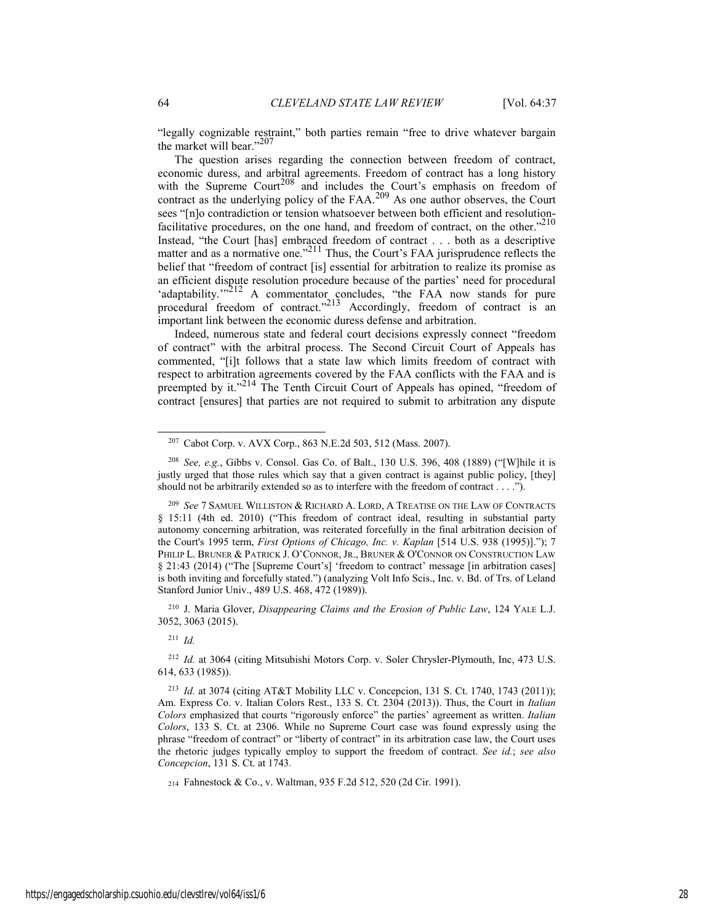"legally cognizable restraint," both parties remain "free to drive whatever bargain the market will bear."<sup>207</sup>

The question arises regarding the connection between freedom of contract, economic duress, and arbitral agreements. Freedom of contract has a long history with the Supreme Court<sup>208</sup> and includes the Court's emphasis on freedom of contract as the underlying policy of the FAA.<sup>209</sup> As one author observes, the Court sees "[n]o contradiction or tension whatsoever between both efficient and resolutionfacilitative procedures, on the one hand, and freedom of contract, on the other."<sup>210</sup> Instead, "the Court [has] embraced freedom of contract . . . both as a descriptive matter and as a normative one."<sup>211</sup> Thus, the Court's FAA jurisprudence reflects the belief that "freedom of contract [is] essential for arbitration to realize its promise as an efficient dispute resolution procedure because of the parties' need for procedural 'adaptability."<sup>212</sup> A commentator concludes, "the FAA now stands for pure procedural freedom of contract."<sup>213</sup> Accordingly, freedom of contract is an important link between the economic duress defense and arbitration.

Indeed, numerous state and federal court decisions expressly connect "freedom of contract" with the arbitral process. The Second Circuit Court of Appeals has commented, "[i]t follows that a state law which limits freedom of contract with respect to arbitration agreements covered by the FAA conflicts with the FAA and is preempted by it."<sup>214</sup> The Tenth Circuit Court of Appeals has opined, "freedom of contract [ensures] that parties are not required to submit to arbitration any dispute

210 J. Maria Glover, *Disappearing Claims and the Erosion of Public Law*, 124 YALE L.J. 3052, 3063 (2015).

<sup>211</sup> *Id.* 

<sup>212</sup> *Id.* at 3064 (citing Mitsubishi Motors Corp. v. Soler Chrysler-Plymouth, Inc, 473 U.S. 614, 633 (1985)).

214 Fahnestock & Co., v. Waltman, 935 F.2d 512, 520 (2d Cir. 1991).

 <sup>207</sup> Cabot Corp. v. AVX Corp., 863 N.E.2d 503, 512 (Mass. 2007).

<sup>208</sup> *See, e.g.*, Gibbs v. Consol. Gas Co. of Balt., 130 U.S. 396, 408 (1889) ("[W]hile it is justly urged that those rules which say that a given contract is against public policy, [they] should not be arbitrarily extended so as to interfere with the freedom of contract . . . .").

<sup>209</sup> *See* 7 SAMUEL WILLISTON & RICHARD A. LORD, A TREATISE ON THE LAW OF CONTRACTS § 15:11 (4th ed. 2010) ("This freedom of contract ideal, resulting in substantial party autonomy concerning arbitration, was reiterated forcefully in the final arbitration decision of the Court's 1995 term, *First Options of Chicago, Inc. v. Kaplan* [514 U.S. 938 (1995)]."); 7 PHILIP L. BRUNER & PATRICK J. O'CONNOR, JR., BRUNER & O'CONNOR ON CONSTRUCTION LAW § 21:43 (2014) ("The [Supreme Court's] 'freedom to contract' message [in arbitration cases] is both inviting and forcefully stated.") (analyzing Volt Info Scis., Inc. v. Bd. of Trs. of Leland Stanford Junior Univ., 489 U.S. 468, 472 (1989)).

<sup>213</sup> *Id.* at 3074 (citing AT&T Mobility LLC v. Concepcion, 131 S. Ct. 1740, 1743 (2011)); Am. Express Co. v. Italian Colors Rest., 133 S. Ct. 2304 (2013)). Thus, the Court in *Italian Colors* emphasized that courts "rigorously enforce" the parties' agreement as written. *Italian Colors*, 133 S. Ct. at 2306. While no Supreme Court case was found expressly using the phrase "freedom of contract" or "liberty of contract" in its arbitration case law, the Court uses the rhetoric judges typically employ to support the freedom of contract. *See id.*; *see also Concepcion*, 131 S. Ct. at 1743*.*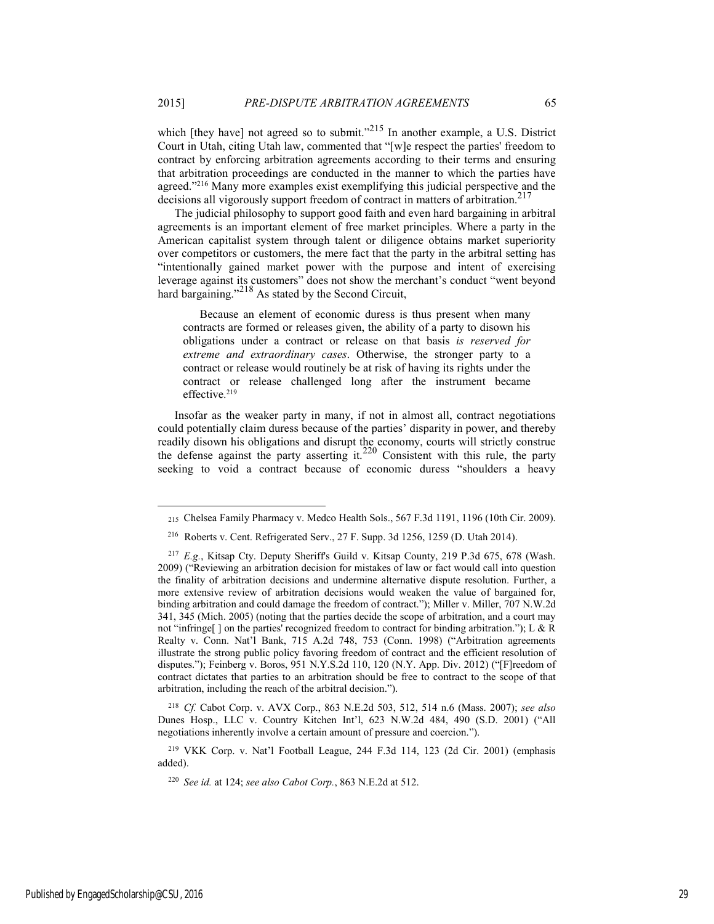which [they have] not agreed so to submit."<sup>215</sup> In another example, a U.S. District Court in Utah, citing Utah law, commented that "[w]e respect the parties' freedom to contract by enforcing arbitration agreements according to their terms and ensuring that arbitration proceedings are conducted in the manner to which the parties have agreed."216 Many more examples exist exemplifying this judicial perspective and the decisions all vigorously support freedom of contract in matters of arbitration.<sup>217</sup>

The judicial philosophy to support good faith and even hard bargaining in arbitral agreements is an important element of free market principles. Where a party in the American capitalist system through talent or diligence obtains market superiority over competitors or customers, the mere fact that the party in the arbitral setting has "intentionally gained market power with the purpose and intent of exercising leverage against its customers" does not show the merchant's conduct "went beyond hard bargaining."<sup>218</sup> As stated by the Second Circuit,

 Because an element of economic duress is thus present when many contracts are formed or releases given, the ability of a party to disown his obligations under a contract or release on that basis *is reserved for extreme and extraordinary cases*. Otherwise, the stronger party to a contract or release would routinely be at risk of having its rights under the contract or release challenged long after the instrument became effective. 219

Insofar as the weaker party in many, if not in almost all, contract negotiations could potentially claim duress because of the parties' disparity in power, and thereby readily disown his obligations and disrupt the economy, courts will strictly construe the defense against the party asserting it.<sup>220</sup> Consistent with this rule, the party seeking to void a contract because of economic duress "shoulders a heavy

<sup>218</sup> *Cf.* Cabot Corp. v. AVX Corp., 863 N.E.2d 503, 512, 514 n.6 (Mass. 2007); *see also*  Dunes Hosp., LLC v. Country Kitchen Int'l, 623 N.W.2d 484, 490 (S.D. 2001) ("All negotiations inherently involve a certain amount of pressure and coercion.").

219 VKK Corp. v. Nat'l Football League, 244 F.3d 114, 123 (2d Cir. 2001) (emphasis added).

<sup>220</sup> *See id.* at 124; *see also Cabot Corp.*, 863 N.E.2d at 512.

Published by EngagedScholarship@CSU, 2016 29

l

<sup>215</sup> Chelsea Family Pharmacy v. Medco Health Sols., 567 F.3d 1191, 1196 (10th Cir. 2009).

<sup>216</sup> Roberts v. Cent. Refrigerated Serv., 27 F. Supp. 3d 1256, 1259 (D. Utah 2014).

<sup>&</sup>lt;sup>217</sup> *E.g.*, Kitsap Cty. Deputy Sheriff's Guild v. Kitsap County, 219 P.3d 675, 678 (Wash. 2009) ("Reviewing an arbitration decision for mistakes of law or fact would call into question the finality of arbitration decisions and undermine alternative dispute resolution. Further, a more extensive review of arbitration decisions would weaken the value of bargained for, binding arbitration and could damage the freedom of contract."); Miller v. Miller, 707 N.W.2d 341, 345 (Mich. 2005) (noting that the parties decide the scope of arbitration, and a court may not "infringe[ ] on the parties' recognized freedom to contract for binding arbitration."); L & R Realty v. Conn. Nat'l Bank, 715 A.2d 748, 753 (Conn. 1998) ("Arbitration agreements illustrate the strong public policy favoring freedom of contract and the efficient resolution of disputes."); Feinberg v. Boros, 951 N.Y.S.2d 110, 120 (N.Y. App. Div. 2012) ("[F]reedom of contract dictates that parties to an arbitration should be free to contract to the scope of that arbitration, including the reach of the arbitral decision.").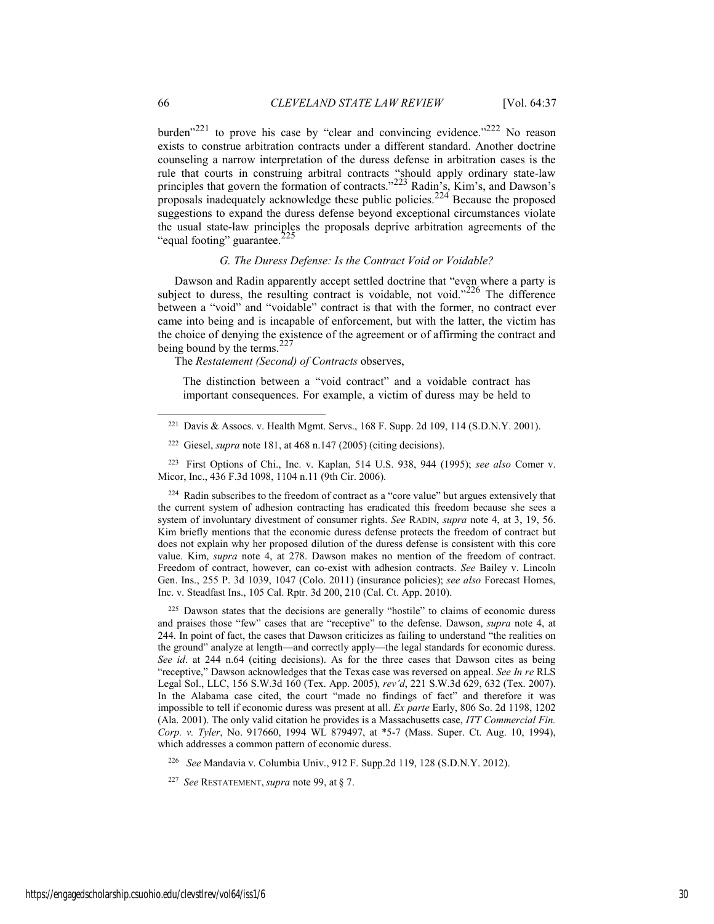burden<sup> $221$ </sup> to prove his case by "clear and convincing evidence."<sup>222</sup> No reason exists to construe arbitration contracts under a different standard. Another doctrine counseling a narrow interpretation of the duress defense in arbitration cases is the rule that courts in construing arbitral contracts "should apply ordinary state-law principles that govern the formation of contracts."<sup>223</sup> Radin's, Kim's, and Dawson's proposals inadequately acknowledge these public policies.<sup>224</sup> Because the proposed suggestions to expand the duress defense beyond exceptional circumstances violate the usual state-law principles the proposals deprive arbitration agreements of the "equal footing" guarantee.<sup>2</sup>

#### *G. The Duress Defense: Is the Contract Void or Voidable?*

Dawson and Radin apparently accept settled doctrine that "even where a party is subject to duress, the resulting contract is voidable, not void."<sup>226</sup> The difference between a "void" and "voidable" contract is that with the former, no contract ever came into being and is incapable of enforcement, but with the latter, the victim has the choice of denying the existence of the agreement or of affirming the contract and being bound by the terms.  $227$ 

The *Restatement (Second) of Contracts* observes,

The distinction between a "void contract" and a voidable contract has important consequences. For example, a victim of duress may be held to

<sup>224</sup> Radin subscribes to the freedom of contract as a "core value" but argues extensively that the current system of adhesion contracting has eradicated this freedom because she sees a system of involuntary divestment of consumer rights. *See* RADIN, *supra* note 4, at 3, 19, 56. Kim briefly mentions that the economic duress defense protects the freedom of contract but does not explain why her proposed dilution of the duress defense is consistent with this core value. Kim, *supra* note 4, at 278. Dawson makes no mention of the freedom of contract. Freedom of contract, however, can co-exist with adhesion contracts. *See* Bailey v. Lincoln Gen. Ins., 255 P. 3d 1039, 1047 (Colo. 2011) (insurance policies); *see also* Forecast Homes, Inc. v. Steadfast Ins., 105 Cal. Rptr. 3d 200, 210 (Cal. Ct. App. 2010).

225 Dawson states that the decisions are generally "hostile" to claims of economic duress and praises those "few" cases that are "receptive" to the defense. Dawson, *supra* note 4, at 244. In point of fact, the cases that Dawson criticizes as failing to understand "the realities on the ground" analyze at length—and correctly apply—the legal standards for economic duress. *See id*. at 244 n.64 (citing decisions). As for the three cases that Dawson cites as being "receptive," Dawson acknowledges that the Texas case was reversed on appeal. *See In re* RLS Legal Sol., LLC, 156 S.W.3d 160 (Tex. App. 2005), *rev'd*, 221 S.W.3d 629, 632 (Tex. 2007). In the Alabama case cited, the court "made no findings of fact" and therefore it was impossible to tell if economic duress was present at all. *Ex parte* Early, 806 So. 2d 1198, 1202 (Ala. 2001). The only valid citation he provides is a Massachusetts case, *ITT Commercial Fin. Corp. v. Tyler*, No. 917660, 1994 WL 879497, at \*5-7 (Mass. Super. Ct. Aug. 10, 1994), which addresses a common pattern of economic duress.

226 *See* Mandavia v. Columbia Univ., 912 F. Supp.2d 119, 128 (S.D.N.Y. 2012).

<sup>227</sup> *See* RESTATEMENT, *supra* note 99, at § 7.

 <sup>221</sup> Davis & Assocs. v. Health Mgmt. Servs., 168 F. Supp. 2d 109, 114 (S.D.N.Y. 2001).

<sup>222</sup> Giesel, *supra* note 181, at 468 n.147 (2005) (citing decisions).

<sup>223</sup> First Options of Chi., Inc. v. Kaplan, 514 U.S. 938, 944 (1995); *see also* Comer v. Micor, Inc., 436 F.3d 1098, 1104 n.11 (9th Cir. 2006).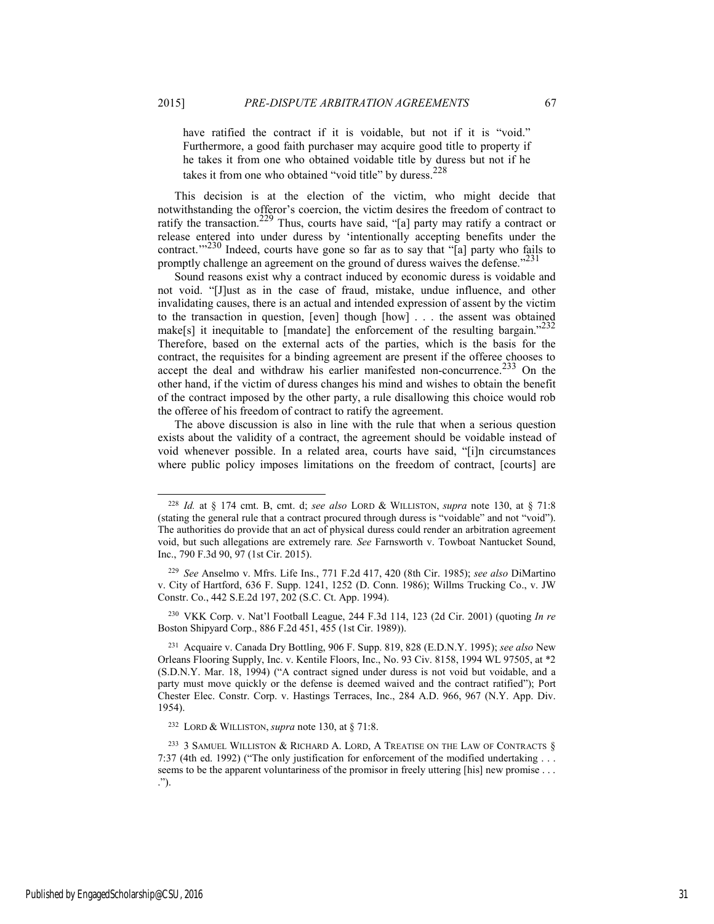have ratified the contract if it is voidable, but not if it is "void." Furthermore, a good faith purchaser may acquire good title to property if he takes it from one who obtained voidable title by duress but not if he takes it from one who obtained "void title" by duress.<sup>228</sup>

This decision is at the election of the victim, who might decide that notwithstanding the offeror's coercion, the victim desires the freedom of contract to ratify the transaction.<sup>229</sup> Thus, courts have said, "[a] party may ratify a contract or release entered into under duress by 'intentionally accepting benefits under the contract."<sup>230</sup> Indeed, courts have gone so far as to say that "[a] party who fails to promptly challenge an agreement on the ground of duress waives the defense."<sup>231</sup>

Sound reasons exist why a contract induced by economic duress is voidable and not void. "[J]ust as in the case of fraud, mistake, undue influence, and other invalidating causes, there is an actual and intended expression of assent by the victim to the transaction in question, [even] though [how] . . . the assent was obtained make[s] it inequitable to [mandate] the enforcement of the resulting bargain.<sup> $232$ </sup> Therefore, based on the external acts of the parties, which is the basis for the contract, the requisites for a binding agreement are present if the offeree chooses to accept the deal and withdraw his earlier manifested non-concurrence.<sup>233</sup> On the other hand, if the victim of duress changes his mind and wishes to obtain the benefit of the contract imposed by the other party, a rule disallowing this choice would rob the offeree of his freedom of contract to ratify the agreement.

The above discussion is also in line with the rule that when a serious question exists about the validity of a contract, the agreement should be voidable instead of void whenever possible. In a related area, courts have said, "[i]n circumstances where public policy imposes limitations on the freedom of contract, [courts] are

230 VKK Corp. v. Nat'l Football League, 244 F.3d 114, 123 (2d Cir. 2001) (quoting *In re* Boston Shipyard Corp., 886 F.2d 451, 455 (1st Cir. 1989)).

 <sup>228</sup> *Id.* at § 174 cmt. B, cmt. d; *see also* LORD & WILLISTON, *supra* note 130, at § 71:8 (stating the general rule that a contract procured through duress is "voidable" and not "void"). The authorities do provide that an act of physical duress could render an arbitration agreement void, but such allegations are extremely rare*. See* Farnsworth v. Towboat Nantucket Sound, Inc., 790 F.3d 90, 97 (1st Cir. 2015).

<sup>229</sup> *See* Anselmo v. Mfrs. Life Ins., 771 F.2d 417, 420 (8th Cir. 1985); *see also* DiMartino v. City of Hartford, 636 F. Supp. 1241, 1252 (D. Conn. 1986); Willms Trucking Co., v. JW Constr. Co., 442 S.E.2d 197, 202 (S.C. Ct. App. 1994).

<sup>231</sup> Acquaire v. Canada Dry Bottling, 906 F. Supp. 819, 828 (E.D.N.Y. 1995); *see also* New Orleans Flooring Supply, Inc. v. Kentile Floors, Inc., No. 93 Civ. 8158, 1994 WL 97505, at \*2 (S.D.N.Y. Mar. 18, 1994) ("A contract signed under duress is not void but voidable, and a party must move quickly or the defense is deemed waived and the contract ratified"); Port Chester Elec. Constr. Corp. v. Hastings Terraces, Inc., 284 A.D. 966, 967 (N.Y. App. Div. 1954).

<sup>232</sup> LORD & WILLISTON, *supra* note 130, at § 71:8.

<sup>&</sup>lt;sup>233</sup> 3 SAMUEL WILLISTON & RICHARD A. LORD, A TREATISE ON THE LAW OF CONTRACTS  $\S$ 7:37 (4th ed. 1992) ("The only justification for enforcement of the modified undertaking . . . seems to be the apparent voluntariness of the promisor in freely uttering [his] new promise . . . .").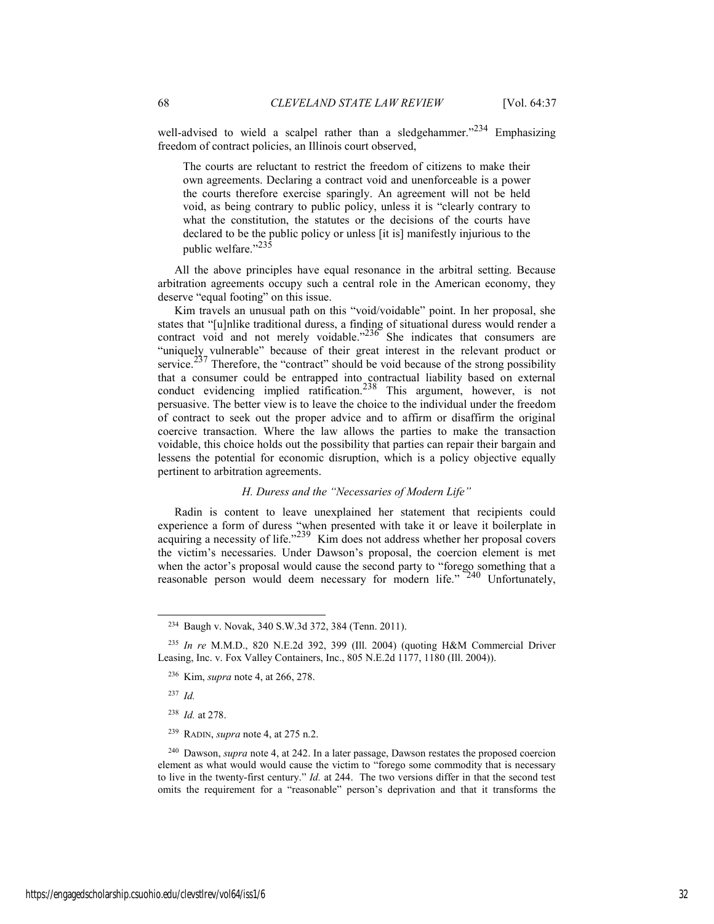well-advised to wield a scalpel rather than a sledgehammer."<sup>234</sup> Emphasizing freedom of contract policies, an Illinois court observed,

The courts are reluctant to restrict the freedom of citizens to make their own agreements. Declaring a contract void and unenforceable is a power the courts therefore exercise sparingly. An agreement will not be held void, as being contrary to public policy, unless it is "clearly contrary to what the constitution, the statutes or the decisions of the courts have declared to be the public policy or unless [it is] manifestly injurious to the public welfare." $^{23\overline{5}}$ 

All the above principles have equal resonance in the arbitral setting. Because arbitration agreements occupy such a central role in the American economy, they deserve "equal footing" on this issue.

Kim travels an unusual path on this "void/voidable" point. In her proposal, she states that "[u]nlike traditional duress, a finding of situational duress would render a contract void and not merely voidable." $236$  She indicates that consumers are "uniquely vulnerable" because of their great interest in the relevant product or service.<sup>237</sup> Therefore, the "contract" should be void because of the strong possibility that a consumer could be entrapped into contractual liability based on external conduct evidencing implied ratification.<sup>238</sup> This argument, however, is not persuasive. The better view is to leave the choice to the individual under the freedom of contract to seek out the proper advice and to affirm or disaffirm the original coercive transaction. Where the law allows the parties to make the transaction voidable, this choice holds out the possibility that parties can repair their bargain and lessens the potential for economic disruption, which is a policy objective equally pertinent to arbitration agreements.

## *H. Duress and the "Necessaries of Modern Life"*

Radin is content to leave unexplained her statement that recipients could experience a form of duress "when presented with take it or leave it boilerplate in acquiring a necessity of life."<sup>239</sup> Kim does not address whether her proposal covers the victim's necessaries. Under Dawson's proposal, the coercion element is met when the actor's proposal would cause the second party to "forego something that a reasonable person would deem necessary for modern life." 240 Unfortunately,

<sup>237</sup> *Id.*

 <sup>234</sup> Baugh v. Novak, 340 S.W.3d 372, 384 (Tenn. 2011).

<sup>235</sup> *In re* M.M.D., 820 N.E.2d 392, 399 (Ill. 2004) (quoting H&M Commercial Driver Leasing, Inc. v. Fox Valley Containers, Inc., 805 N.E.2d 1177, 1180 (Ill. 2004)).

<sup>236</sup> Kim, *supra* note 4, at 266, 278.

<sup>238</sup> *Id.* at 278.

<sup>239</sup> RADIN, *supra* note 4, at 275 n.2.

<sup>240</sup> Dawson, *supra* note 4, at 242. In a later passage, Dawson restates the proposed coercion element as what would would cause the victim to "forego some commodity that is necessary to live in the twenty-first century." *Id.* at 244. The two versions differ in that the second test omits the requirement for a "reasonable" person's deprivation and that it transforms the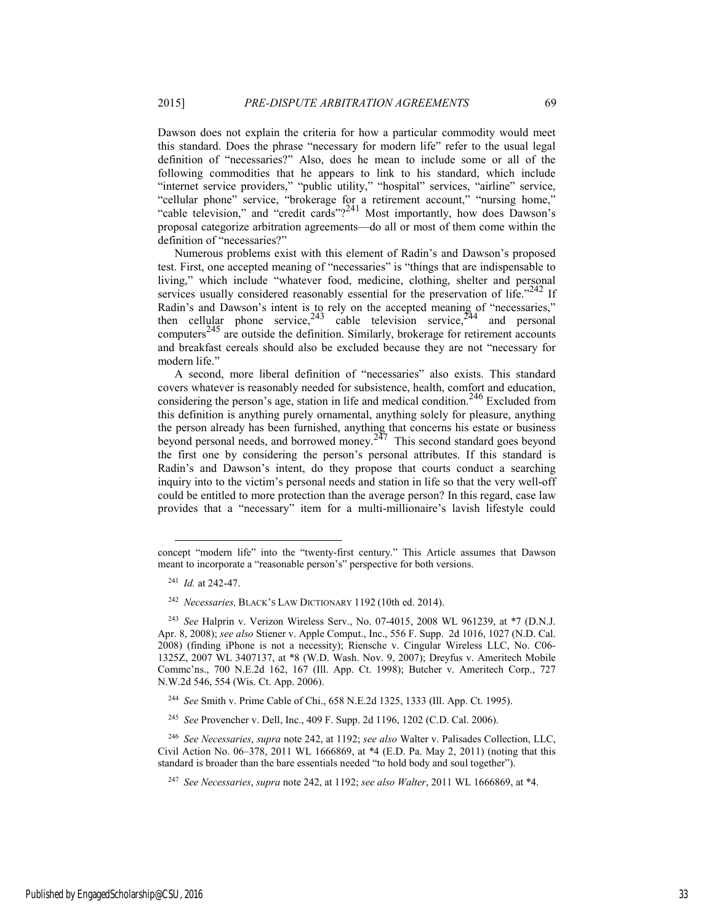Dawson does not explain the criteria for how a particular commodity would meet this standard. Does the phrase "necessary for modern life" refer to the usual legal definition of "necessaries?" Also, does he mean to include some or all of the following commodities that he appears to link to his standard, which include "internet service providers," "public utility," "hospital" services, "airline" service, "cellular phone" service, "brokerage for a retirement account," "nursing home," "cable television," and "credit cards"?<sup>241</sup> Most importantly, how does Dawson's proposal categorize arbitration agreements—do all or most of them come within the definition of "necessaries?"

Numerous problems exist with this element of Radin's and Dawson's proposed test. First, one accepted meaning of "necessaries" is "things that are indispensable to living," which include "whatever food, medicine, clothing, shelter and personal services usually considered reasonably essential for the preservation of life." $242$  If Radin's and Dawson's intent is to rely on the accepted meaning of "necessaries," then cellular phone service,  $243$  cable television service,  $244$  and personal computers<sup>245</sup> are outside the definition. Similarly, brokerage for retirement accounts and breakfast cereals should also be excluded because they are not "necessary for modern life."

A second, more liberal definition of "necessaries" also exists. This standard covers whatever is reasonably needed for subsistence, health, comfort and education, considering the person's age, station in life and medical condition.<sup>246</sup> Excluded from this definition is anything purely ornamental, anything solely for pleasure, anything the person already has been furnished, anything that concerns his estate or business beyond personal needs, and borrowed money.<sup>247</sup> This second standard goes beyond the first one by considering the person's personal attributes. If this standard is Radin's and Dawson's intent, do they propose that courts conduct a searching inquiry into to the victim's personal needs and station in life so that the very well-off could be entitled to more protection than the average person? In this regard, case law provides that a "necessary" item for a multi-millionaire's lavish lifestyle could

l

concept "modern life" into the "twenty-first century." This Article assumes that Dawson meant to incorporate a "reasonable person's" perspective for both versions.

<sup>241</sup> *Id.* at 242-47.

<sup>242</sup> *Necessaries,* BLACK'S LAW DICTIONARY 1192 (10th ed. 2014).

<sup>243</sup> *See* Halprin v. Verizon Wireless Serv., No. 07-4015, 2008 WL 961239, at \*7 (D.N.J. Apr. 8, 2008); *see also* Stiener v. Apple Comput., Inc., 556 F. Supp. 2d 1016, 1027 (N.D. Cal. 2008) (finding iPhone is not a necessity); Riensche v. Cingular Wireless LLC, No. C06- 1325Z, 2007 WL 3407137, at \*8 (W.D. Wash. Nov. 9, 2007); Dreyfus v. Ameritech Mobile Commc'ns., 700 N.E.2d 162, 167 (Ill. App. Ct. 1998); Butcher v. Ameritech Corp., 727 N.W.2d 546, 554 (Wis. Ct. App. 2006).

<sup>244</sup> *See* Smith v. Prime Cable of Chi., 658 N.E.2d 1325, 1333 (Ill. App. Ct. 1995).

<sup>245</sup> *See* Provencher v. Dell, Inc., 409 F. Supp. 2d 1196, 1202 (C.D. Cal. 2006).

<sup>246</sup> *See Necessaries*, *supra* note 242, at 1192; *see also* Walter v. Palisades Collection, LLC, Civil Action No. 06–378, 2011 WL 1666869, at \*4 (E.D. Pa. May 2, 2011) (noting that this standard is broader than the bare essentials needed "to hold body and soul together").

<sup>247</sup> *See Necessaries*, *supra* note 242, at 1192; *see also Walter*, 2011 WL 1666869, at \*4.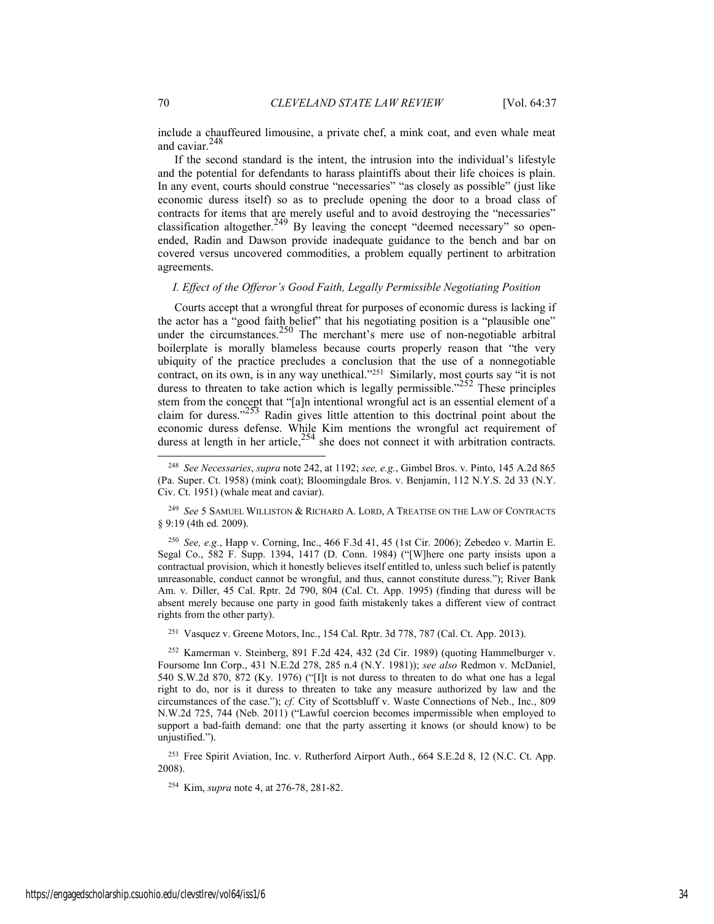include a chauffeured limousine, a private chef, a mink coat, and even whale meat and caviar.<sup>248</sup>

If the second standard is the intent, the intrusion into the individual's lifestyle and the potential for defendants to harass plaintiffs about their life choices is plain. In any event, courts should construe "necessaries" "as closely as possible" (just like economic duress itself) so as to preclude opening the door to a broad class of contracts for items that are merely useful and to avoid destroying the "necessaries" classification altogether.<sup>249</sup> By leaving the concept "deemed necessary" so openended, Radin and Dawson provide inadequate guidance to the bench and bar on covered versus uncovered commodities, a problem equally pertinent to arbitration agreements.

## *I. Effect of the Offeror's Good Faith, Legally Permissible Negotiating Position*

Courts accept that a wrongful threat for purposes of economic duress is lacking if the actor has a "good faith belief" that his negotiating position is a "plausible one" under the circumstances.<sup>250</sup> The merchant's mere use of non-negotiable arbitral boilerplate is morally blameless because courts properly reason that "the very ubiquity of the practice precludes a conclusion that the use of a nonnegotiable contract, on its own, is in any way unethical."<sup>251</sup> Similarly, most courts say "it is not duress to threaten to take action which is legally permissible." $252 \text{ These principles}$ stem from the concept that "[a]n intentional wrongful act is an essential element of a claim for duress." $253$  Radin gives little attention to this doctrinal point about the economic duress defense. While Kim mentions the wrongful act requirement of duress at length in her article,  $254$  she does not connect it with arbitration contracts.

<sup>250</sup> *See, e.g.*, Happ v. Corning, Inc., 466 F.3d 41, 45 (1st Cir. 2006); Zebedeo v. Martin E. Segal Co., 582 F. Supp. 1394, 1417 (D. Conn. 1984) ("[W]here one party insists upon a contractual provision, which it honestly believes itself entitled to, unless such belief is patently unreasonable, conduct cannot be wrongful, and thus, cannot constitute duress."); River Bank Am. v. Diller, 45 Cal. Rptr. 2d 790, 804 (Cal. Ct. App. 1995) (finding that duress will be absent merely because one party in good faith mistakenly takes a different view of contract rights from the other party).

251 Vasquez v. Greene Motors, Inc., 154 Cal. Rptr. 3d 778, 787 (Cal. Ct. App. 2013).

253 Free Spirit Aviation, Inc. v. Rutherford Airport Auth., 664 S.E.2d 8, 12 (N.C. Ct. App. 2008).

254 Kim, *supra* note 4, at 276-78, 281-82.

 <sup>248</sup> *See Necessaries*, *supra* note 242, at 1192; *see, e.g.*, Gimbel Bros. v. Pinto, 145 A.2d 865 (Pa. Super. Ct. 1958) (mink coat); Bloomingdale Bros. v. Benjamin, 112 N.Y.S. 2d 33 (N.Y. Civ. Ct. 1951) (whale meat and caviar).

<sup>249</sup> *See* 5 SAMUEL WILLISTON & RICHARD A. LORD, A TREATISE ON THE LAW OF CONTRACTS § 9:19 (4th ed. 2009).

<sup>252</sup> Kamerman v. Steinberg, 891 F.2d 424, 432 (2d Cir. 1989) (quoting Hammelburger v. Foursome Inn Corp., 431 N.E.2d 278, 285 n.4 (N.Y. 1981)); *see also* Redmon v. McDaniel, 540 S.W.2d 870, 872 (Ky. 1976) ("[I]t is not duress to threaten to do what one has a legal right to do, nor is it duress to threaten to take any measure authorized by law and the circumstances of the case."); *cf.* City of Scottsbluff v. Waste Connections of Neb., Inc., 809 N.W.2d 725, 744 (Neb. 2011) ("Lawful coercion becomes impermissible when employed to support a bad-faith demand: one that the party asserting it knows (or should know) to be unjustified.").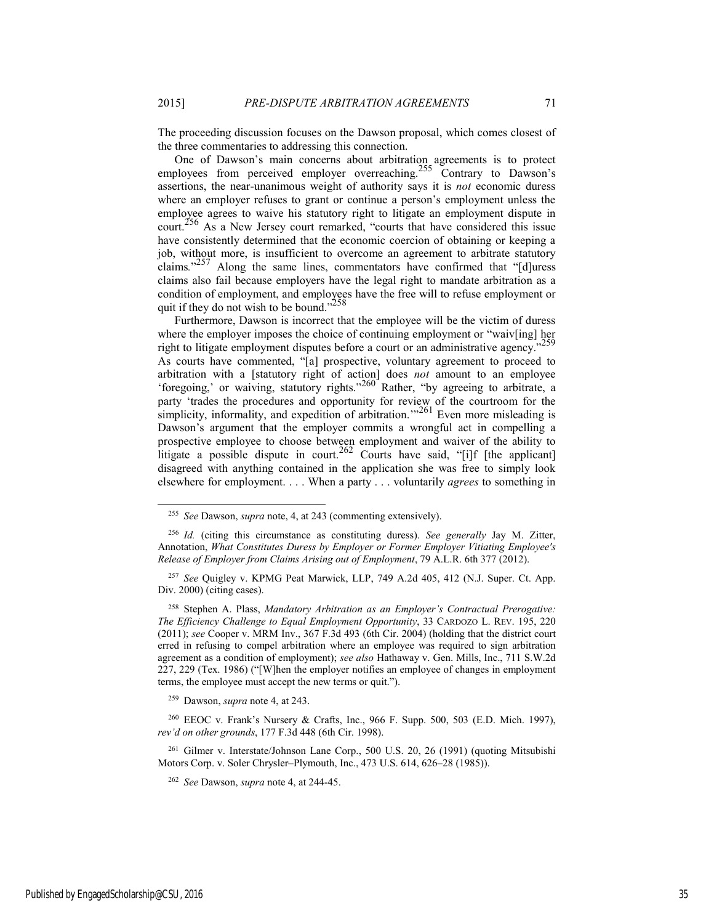The proceeding discussion focuses on the Dawson proposal, which comes closest of the three commentaries to addressing this connection.

One of Dawson's main concerns about arbitration agreements is to protect employees from perceived employer overreaching.<sup>255</sup> Contrary to Dawson's assertions, the near-unanimous weight of authority says it is *not* economic duress where an employer refuses to grant or continue a person's employment unless the employee agrees to waive his statutory right to litigate an employment dispute in court.256 As a New Jersey court remarked, "courts that have considered this issue have consistently determined that the economic coercion of obtaining or keeping a job, without more, is insufficient to overcome an agreement to arbitrate statutory claims*.*" 257 Along the same lines, commentators have confirmed that "[d]uress claims also fail because employers have the legal right to mandate arbitration as a condition of employment, and employees have the free will to refuse employment or quit if they do not wish to be bound."<sup>258</sup>

Furthermore, Dawson is incorrect that the employee will be the victim of duress where the employer imposes the choice of continuing employment or "waiv[ing] her right to litigate employment disputes before a court or an administrative agency." As courts have commented, "[a] prospective, voluntary agreement to proceed to arbitration with a [statutory right of action] does *not* amount to an employee 'foregoing,' or waiving, statutory rights."260 Rather, "by agreeing to arbitrate, a party 'trades the procedures and opportunity for review of the courtroom for the simplicity, informality, and expedition of arbitration."<sup>261</sup> Even more misleading is Dawson's argument that the employer commits a wrongful act in compelling a prospective employee to choose between employment and waiver of the ability to litigate a possible dispute in court.<sup>262</sup> Courts have said, "[i]f [the applicant] disagreed with anything contained in the application she was free to simply look elsewhere for employment. . . . When a party . . . voluntarily *agrees* to something in

258 Stephen A. Plass, *Mandatory Arbitration as an Employer's Contractual Prerogative: The Efficiency Challenge to Equal Employment Opportunity*, 33 CARDOZO L. REV. 195, 220 (2011); *see* Cooper v. MRM Inv., 367 F.3d 493 (6th Cir. 2004) (holding that the district court erred in refusing to compel arbitration where an employee was required to sign arbitration agreement as a condition of employment); *see also* Hathaway v. Gen. Mills, Inc., 711 S.W.2d 227, 229 (Tex. 1986) ("[W]hen the employer notifies an employee of changes in employment terms, the employee must accept the new terms or quit.").

259 Dawson, *supra* note 4, at 243.

260 EEOC v. Frank's Nursery & Crafts, Inc., 966 F. Supp. 500, 503 (E.D. Mich. 1997), *rev'd on other grounds*, 177 F.3d 448 (6th Cir. 1998).

261 Gilmer v. Interstate/Johnson Lane Corp., 500 U.S. 20, 26 (1991) (quoting Mitsubishi Motors Corp. v. Soler Chrysler–Plymouth, Inc., 473 U.S. 614, 626–28 (1985)).

 <sup>255</sup> *See* Dawson, *supra* note, 4, at 243 (commenting extensively).

<sup>256</sup> *Id.* (citing this circumstance as constituting duress). *See generally* Jay M. Zitter, Annotation, *What Constitutes Duress by Employer or Former Employer Vitiating Employee's Release of Employer from Claims Arising out of Employment*, 79 A.L.R. 6th 377 (2012).

<sup>257</sup> *See* Quigley v. KPMG Peat Marwick, LLP, 749 A.2d 405, 412 (N.J. Super. Ct. App. Div. 2000) (citing cases).

<sup>262</sup> *See* Dawson, *supra* note 4, at 244-45.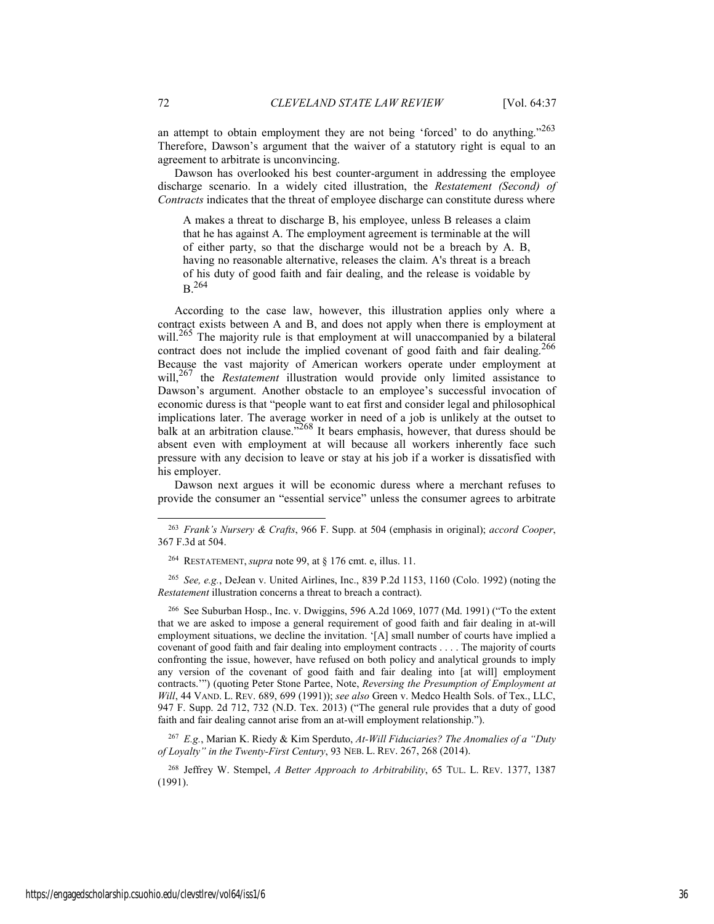an attempt to obtain employment they are not being 'forced' to do anything."<sup>263</sup> Therefore, Dawson's argument that the waiver of a statutory right is equal to an agreement to arbitrate is unconvincing.

Dawson has overlooked his best counter-argument in addressing the employee discharge scenario. In a widely cited illustration, the *Restatement (Second) of Contracts* indicates that the threat of employee discharge can constitute duress where

A makes a threat to discharge B, his employee, unless B releases a claim that he has against A. The employment agreement is terminable at the will of either party, so that the discharge would not be a breach by A. B, having no reasonable alternative, releases the claim. A's threat is a breach of his duty of good faith and fair dealing, and the release is voidable by  $B^{264}$ 

According to the case law, however, this illustration applies only where a contract exists between A and B, and does not apply when there is employment at will.<sup>265</sup> The majority rule is that employment at will unaccompanied by a bilateral contract does not include the implied covenant of good faith and fair dealing.<sup>266</sup> Because the vast majority of American workers operate under employment at will,<sup>267</sup> the *Restatement* illustration would provide only limited assistance to Dawson's argument. Another obstacle to an employee's successful invocation of economic duress is that "people want to eat first and consider legal and philosophical implications later. The average worker in need of a job is unlikely at the outset to balk at an arbitration clause.<sup>5268</sup> It bears emphasis, however, that duress should be absent even with employment at will because all workers inherently face such pressure with any decision to leave or stay at his job if a worker is dissatisfied with his employer.

Dawson next argues it will be economic duress where a merchant refuses to provide the consumer an "essential service" unless the consumer agrees to arbitrate

<sup>265</sup> *See, e.g.*, DeJean v. United Airlines, Inc., 839 P.2d 1153, 1160 (Colo. 1992) (noting the *Restatement* illustration concerns a threat to breach a contract).

266 See Suburban Hosp., Inc. v. Dwiggins, 596 A.2d 1069, 1077 (Md. 1991) ("To the extent that we are asked to impose a general requirement of good faith and fair dealing in at-will employment situations, we decline the invitation. '[A] small number of courts have implied a covenant of good faith and fair dealing into employment contracts . . . . The majority of courts confronting the issue, however, have refused on both policy and analytical grounds to imply any version of the covenant of good faith and fair dealing into [at will] employment contracts.'") (quoting Peter Stone Partee, Note, *Reversing the Presumption of Employment at Will*, 44 VAND. L. REV. 689, 699 (1991)); *see also* Green v. Medco Health Sols. of Tex., LLC, 947 F. Supp. 2d 712, 732 (N.D. Tex. 2013) ("The general rule provides that a duty of good faith and fair dealing cannot arise from an at-will employment relationship.").

<sup>267</sup> *E.g.*, Marian K. Riedy & Kim Sperduto, *At-Will Fiduciaries? The Anomalies of a "Duty of Loyalty" in the Twenty-First Century*, 93 NEB. L. REV. 267, 268 (2014).

268 Jeffrey W. Stempel, *A Better Approach to Arbitrability*, 65 TUL. L. REV. 1377, 1387 (1991).

 <sup>263</sup> *Frank's Nursery & Crafts*, 966 F. Supp. at 504 (emphasis in original); *accord Cooper*, 367 F.3d at 504.

<sup>264</sup> RESTATEMENT, *supra* note 99, at § 176 cmt. e, illus. 11.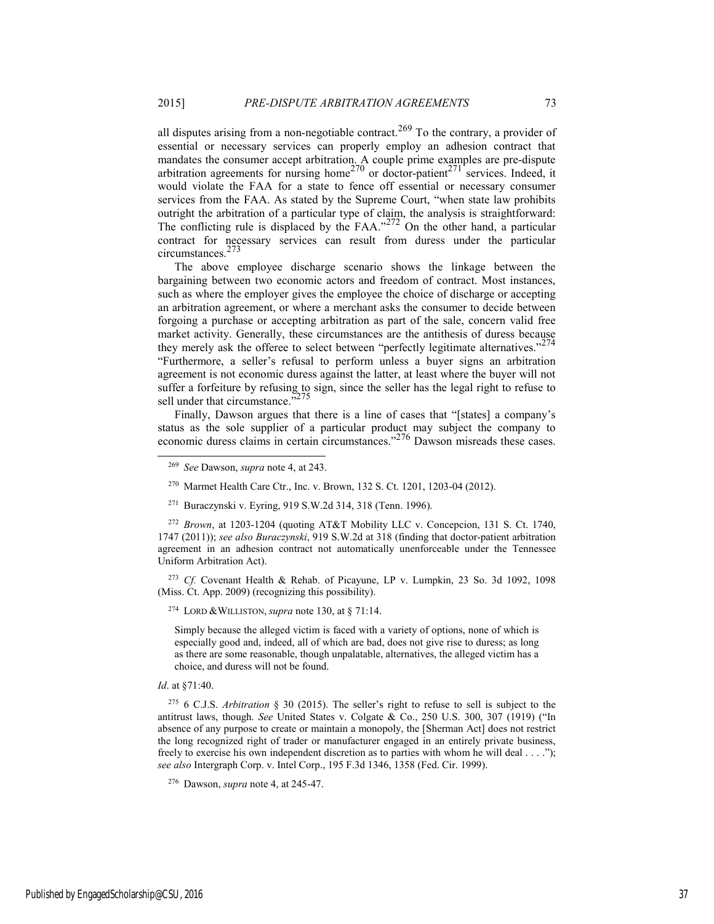all disputes arising from a non-negotiable contract.<sup>269</sup> To the contrary, a provider of essential or necessary services can properly employ an adhesion contract that mandates the consumer accept arbitration. A couple prime examples are pre-dispute arbitration agreements for nursing home<sup>270</sup> or doctor-patient<sup>271</sup> services. Indeed, it would violate the FAA for a state to fence off essential or necessary consumer services from the FAA. As stated by the Supreme Court, "when state law prohibits outright the arbitration of a particular type of claim, the analysis is straightforward: The conflicting rule is displaced by the FAA." $272$  On the other hand, a particular contract for necessary services can result from duress under the particular circumstances.<sup>273</sup>

The above employee discharge scenario shows the linkage between the bargaining between two economic actors and freedom of contract. Most instances, such as where the employer gives the employee the choice of discharge or accepting an arbitration agreement, or where a merchant asks the consumer to decide between forgoing a purchase or accepting arbitration as part of the sale, concern valid free market activity. Generally, these circumstances are the antithesis of duress because they merely ask the offeree to select between "perfectly legitimate alternatives."<sup>274</sup> "Furthermore, a seller's refusal to perform unless a buyer signs an arbitration agreement is not economic duress against the latter, at least where the buyer will not suffer a forfeiture by refusing to sign, since the seller has the legal right to refuse to sell under that circumstance.<sup>5275</sup>

Finally, Dawson argues that there is a line of cases that "[states] a company's status as the sole supplier of a particular product may subject the company to economic duress claims in certain circumstances."276 Dawson misreads these cases.

- 270 Marmet Health Care Ctr., Inc. v. Brown, 132 S. Ct. 1201, 1203-04 (2012).
- 271 Buraczynski v. Eyring, 919 S.W.2d 314, 318 (Tenn. 1996).

<sup>272</sup> *Brown*, at 1203-1204 (quoting AT&T Mobility LLC v. Concepcion, 131 S. Ct. 1740, 1747 (2011)); *see also Buraczynski*, 919 S.W.2d at 318 (finding that doctor-patient arbitration agreement in an adhesion contract not automatically unenforceable under the Tennessee Uniform Arbitration Act).

<sup>273</sup> *Cf.* Covenant Health & Rehab. of Picayune, LP v. Lumpkin, 23 So. 3d 1092, 1098 (Miss. Ct. App. 2009) (recognizing this possibility).

274 LORD &WILLISTON, *supra* note 130, at § 71:14.

Simply because the alleged victim is faced with a variety of options, none of which is especially good and, indeed, all of which are bad, does not give rise to duress; as long as there are some reasonable, though unpalatable, alternatives, the alleged victim has a choice, and duress will not be found.

*Id*. at §71:40.

275 6 C.J.S. *Arbitration* § 30 (2015). The seller's right to refuse to sell is subject to the antitrust laws, though. *See* United States v. Colgate & Co., 250 U.S. 300, 307 (1919) ("In absence of any purpose to create or maintain a monopoly, the [Sherman Act] does not restrict the long recognized right of trader or manufacturer engaged in an entirely private business, freely to exercise his own independent discretion as to parties with whom he will deal . . . ."); *see also* Intergraph Corp. v. Intel Corp., 195 F.3d 1346, 1358 (Fed. Cir. 1999).

276 Dawson, *supra* note 4, at 245-47.

 <sup>269</sup> *See* Dawson, *supra* note 4, at 243.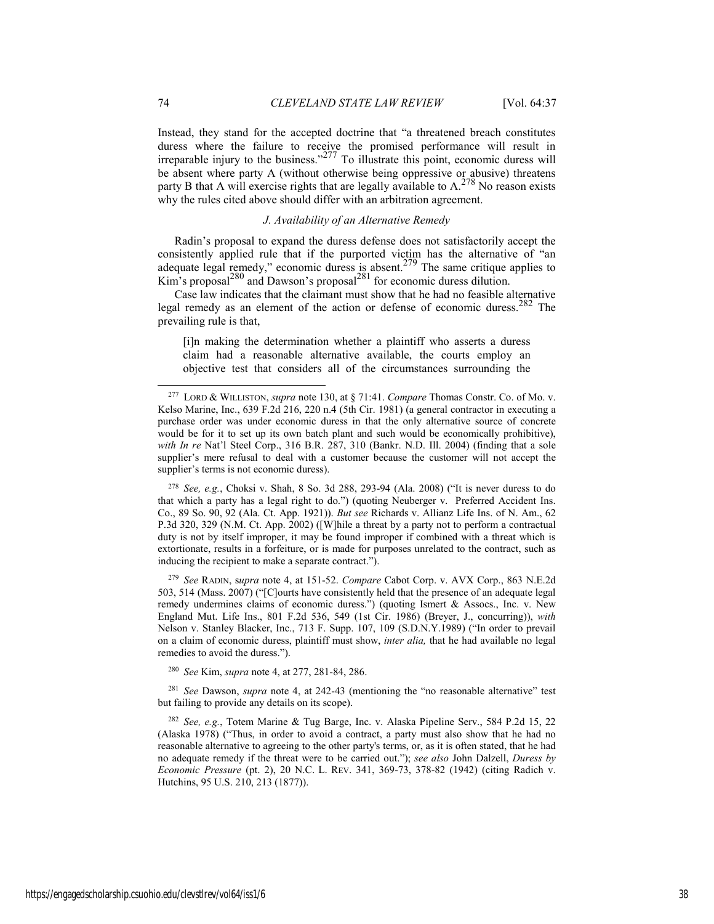Instead, they stand for the accepted doctrine that "a threatened breach constitutes duress where the failure to receive the promised performance will result in irreparable injury to the business."<sup>277</sup> To illustrate this point, economic duress will be absent where party A (without otherwise being oppressive or abusive) threatens party B that A will exercise rights that are legally available to  $A^{278}$  No reason exists why the rules cited above should differ with an arbitration agreement.

#### *J. Availability of an Alternative Remedy*

Radin's proposal to expand the duress defense does not satisfactorily accept the consistently applied rule that if the purported victim has the alternative of "an adequate legal remedy," economic duress is absent.<sup>279</sup> The same critique applies to Kim's proposal<sup>280</sup> and Dawson's proposal<sup>281</sup> for economic duress dilution.

Case law indicates that the claimant must show that he had no feasible alternative legal remedy as an element of the action or defense of economic duress.282 The prevailing rule is that,

[i]n making the determination whether a plaintiff who asserts a duress claim had a reasonable alternative available, the courts employ an objective test that considers all of the circumstances surrounding the

<sup>278</sup> *See, e.g.*, Choksi v. Shah, 8 So. 3d 288, 293-94 (Ala. 2008) ("It is never duress to do that which a party has a legal right to do.") (quoting Neuberger v. Preferred Accident Ins. Co., 89 So. 90, 92 (Ala. Ct. App. 1921)). *But see* Richards v. Allianz Life Ins. of N. Am., 62 P.3d 320, 329 (N.M. Ct. App. 2002) ([W]hile a threat by a party not to perform a contractual duty is not by itself improper, it may be found improper if combined with a threat which is extortionate, results in a forfeiture, or is made for purposes unrelated to the contract, such as inducing the recipient to make a separate contract.").

<sup>279</sup> *See* RADIN, s*upra* note 4, at 151-52. *Compare* Cabot Corp. v. AVX Corp., 863 N.E.2d 503, 514 (Mass. 2007) ("[C]ourts have consistently held that the presence of an adequate legal remedy undermines claims of economic duress.") (quoting Ismert & Assocs., Inc. v. New England Mut. Life Ins., 801 F.2d 536, 549 (1st Cir. 1986) (Breyer, J., concurring)), *with* Nelson v. Stanley Blacker, Inc., 713 F. Supp. 107, 109 (S.D.N.Y.1989) ("In order to prevail on a claim of economic duress, plaintiff must show, *inter alia,* that he had available no legal remedies to avoid the duress.").

<sup>280</sup> *See* Kim, *supra* note 4, at 277, 281-84, 286.

<sup>281</sup> *See* Dawson, *supra* note 4, at 242-43 (mentioning the "no reasonable alternative" test but failing to provide any details on its scope).

<sup>282</sup> *See, e.g.*, Totem Marine & Tug Barge, Inc. v. Alaska Pipeline Serv., 584 P.2d 15, 22 (Alaska 1978) ("Thus, in order to avoid a contract, a party must also show that he had no reasonable alternative to agreeing to the other party's terms, or, as it is often stated, that he had no adequate remedy if the threat were to be carried out."); *see also* John Dalzell, *Duress by Economic Pressure* (pt. 2), 20 N.C. L. REV. 341, 369-73, 378-82 (1942) (citing Radich v. Hutchins, 95 U.S. 210, 213 (1877)).

 <sup>277</sup> LORD & WILLISTON, *supra* note 130, at § 71:41. *Compare* Thomas Constr. Co. of Mo. v. Kelso Marine, Inc., 639 F.2d 216, 220 n.4 (5th Cir. 1981) (a general contractor in executing a purchase order was under economic duress in that the only alternative source of concrete would be for it to set up its own batch plant and such would be economically prohibitive), *with In re* Nat'l Steel Corp., 316 B.R. 287, 310 (Bankr. N.D. Ill. 2004) (finding that a sole supplier's mere refusal to deal with a customer because the customer will not accept the supplier's terms is not economic duress).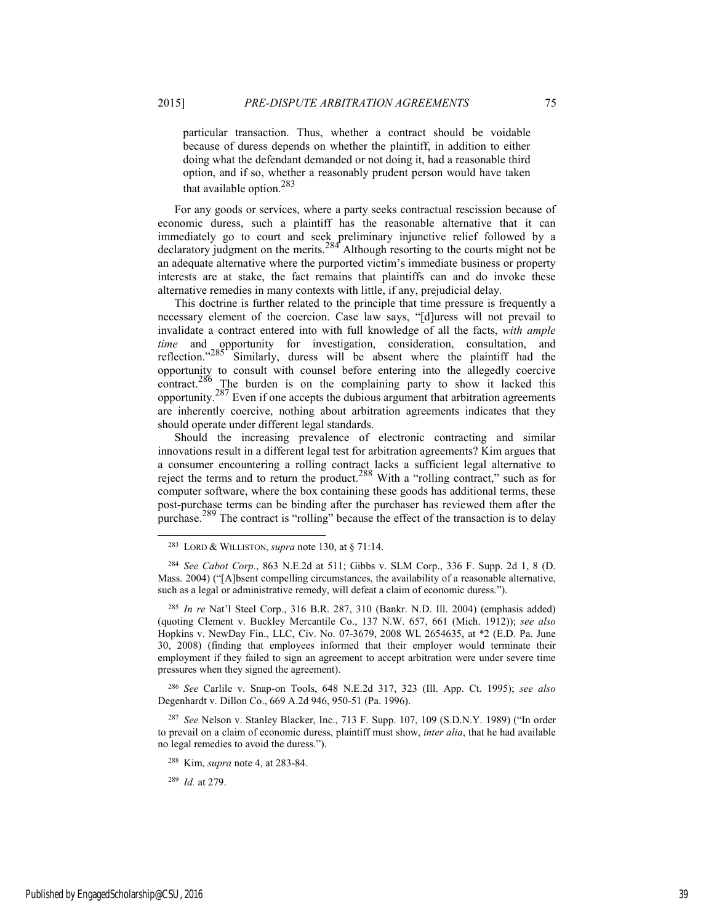particular transaction. Thus, whether a contract should be voidable because of duress depends on whether the plaintiff, in addition to either doing what the defendant demanded or not doing it, had a reasonable third option, and if so, whether a reasonably prudent person would have taken that available option.<sup>283</sup>

For any goods or services, where a party seeks contractual rescission because of economic duress, such a plaintiff has the reasonable alternative that it can immediately go to court and seek preliminary injunctive relief followed by a declaratory judgment on the merits. $284$ <sup>t</sup> Although resorting to the courts might not be an adequate alternative where the purported victim's immediate business or property interests are at stake, the fact remains that plaintiffs can and do invoke these alternative remedies in many contexts with little, if any, prejudicial delay.

This doctrine is further related to the principle that time pressure is frequently a necessary element of the coercion. Case law says, "[d]uress will not prevail to invalidate a contract entered into with full knowledge of all the facts, *with ample time* and opportunity for investigation, consideration, consultation, and reflection." $285$ <sup>r</sup> Similarly, duress will be absent where the plaintiff had the opportunity to consult with counsel before entering into the allegedly coercive contract.<sup>286</sup> The burden is on the complaining party to show it lacked this opportunity.287 Even if one accepts the dubious argument that arbitration agreements are inherently coercive, nothing about arbitration agreements indicates that they should operate under different legal standards.

Should the increasing prevalence of electronic contracting and similar innovations result in a different legal test for arbitration agreements? Kim argues that a consumer encountering a rolling contract lacks a sufficient legal alternative to reject the terms and to return the product.<sup>288</sup> With a "rolling contract," such as for computer software, where the box containing these goods has additional terms, these post-purchase terms can be binding after the purchaser has reviewed them after the purchase.<sup>289</sup> The contract is "rolling" because the effect of the transaction is to delay

<sup>285</sup> *In re* Nat'l Steel Corp., 316 B.R. 287, 310 (Bankr. N.D. Ill. 2004) (emphasis added) (quoting Clement v. Buckley Mercantile Co., 137 N.W. 657, 661 (Mich. 1912)); *see also* Hopkins v. NewDay Fin., LLC, Civ. No. 07-3679, 2008 WL 2654635, at \*2 (E.D. Pa. June 30, 2008) (finding that employees informed that their employer would terminate their employment if they failed to sign an agreement to accept arbitration were under severe time pressures when they signed the agreement).

<sup>286</sup> *See* Carlile v. Snap-on Tools, 648 N.E.2d 317, 323 (Ill. App. Ct. 1995); *see also* Degenhardt v. Dillon Co., 669 A.2d 946, 950-51 (Pa. 1996).

<sup>287</sup> *See* Nelson v. Stanley Blacker, Inc., 713 F. Supp. 107, 109 (S.D.N.Y. 1989) ("In order to prevail on a claim of economic duress, plaintiff must show, *inter alia*, that he had available no legal remedies to avoid the duress.").

288 Kim, *supra* note 4, at 283-84.

<sup>289</sup> *Id.* at 279.

 <sup>283</sup> LORD & WILLISTON, *supra* note 130, at § 71:14.

<sup>284</sup> *See Cabot Corp.*, 863 N.E.2d at 511; Gibbs v. SLM Corp., 336 F. Supp. 2d 1, 8 (D. Mass. 2004) ("[A]bsent compelling circumstances, the availability of a reasonable alternative, such as a legal or administrative remedy, will defeat a claim of economic duress.").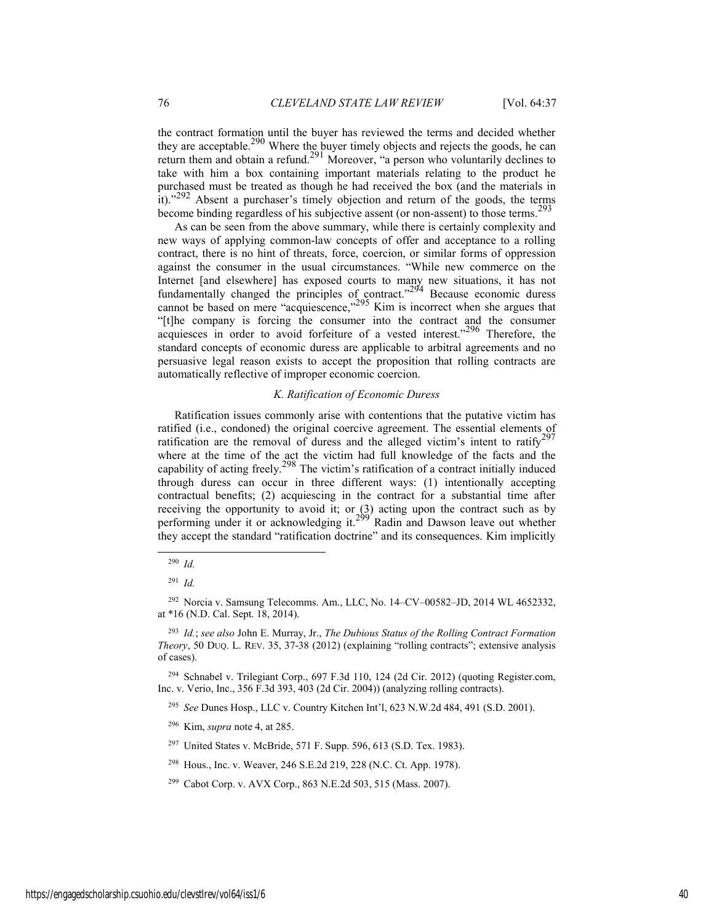the contract formation until the buyer has reviewed the terms and decided whether they are acceptable.<sup>290</sup> Where the buyer timely objects and rejects the goods, he can return them and obtain a refund.<sup>291</sup> Moreover, "a person who voluntarily declines to take with him a box containing important materials relating to the product he purchased must be treated as though he had received the box (and the materials in it). $^{292}$  Absent a purchaser's timely objection and return of the goods, the terms become binding regardless of his subjective assent (or non-assent) to those terms.293

As can be seen from the above summary, while there is certainly complexity and new ways of applying common-law concepts of offer and acceptance to a rolling contract, there is no hint of threats, force, coercion, or similar forms of oppression against the consumer in the usual circumstances. "While new commerce on the Internet [and elsewhere] has exposed courts to many new situations, it has not fundamentally changed the principles of contract."<sup>294</sup> Because economic duress cannot be based on mere "acquiescence," $295$  Kim is incorrect when she argues that "[t]he company is forcing the consumer into the contract and the consumer acquiesces in order to avoid forfeiture of a vested interest."<sup>296</sup> Therefore, the standard concepts of economic duress are applicable to arbitral agreements and no persuasive legal reason exists to accept the proposition that rolling contracts are automatically reflective of improper economic coercion.

#### *K. Ratification of Economic Duress*

Ratification issues commonly arise with contentions that the putative victim has ratified (i.e., condoned) the original coercive agreement. The essential elements of ratification are the removal of duress and the alleged victim's intent to ratify<sup>297</sup> where at the time of the act the victim had full knowledge of the facts and the capability of acting freely.<sup>298</sup> The victim's ratification of a contract initially induced through duress can occur in three different ways: (1) intentionally accepting contractual benefits; (2) acquiescing in the contract for a substantial time after receiving the opportunity to avoid it; or (3) acting upon the contract such as by performing under it or acknowledging it.<sup>299'</sup> Radin and Dawson leave out whether they accept the standard "ratification doctrine" and its consequences. Kim implicitly

 <sup>290</sup> *Id.*

<sup>291</sup> *Id.*

<sup>292</sup> Norcia v. Samsung Telecomms. Am., LLC, No. 14–CV–00582–JD, 2014 WL 4652332, at \*16 (N.D. Cal. Sept. 18, 2014).

<sup>293</sup> *Id.*; *see also* John E. Murray, Jr., *The Dubious Status of the Rolling Contract Formation Theory*, 50 DUQ. L. REV. 35, 37-38 (2012) (explaining "rolling contracts"; extensive analysis of cases).

<sup>294</sup> Schnabel v. Trilegiant Corp., 697 F.3d 110, 124 (2d Cir. 2012) (quoting Register.com, Inc. v. Verio, Inc., 356 F.3d 393, 403 (2d Cir. 2004)) (analyzing rolling contracts).

<sup>295</sup> *See* Dunes Hosp., LLC v. Country Kitchen Int'l, 623 N.W.2d 484, 491 (S.D. 2001).

<sup>296</sup> Kim, *supra* note 4, at 285.

<sup>297</sup> United States v. McBride, 571 F. Supp. 596, 613 (S.D. Tex. 1983).

<sup>298</sup> Hous., Inc. v. Weaver, 246 S.E.2d 219, 228 (N.C. Ct. App. 1978).

<sup>299</sup> Cabot Corp. v. AVX Corp., 863 N.E.2d 503, 515 (Mass. 2007).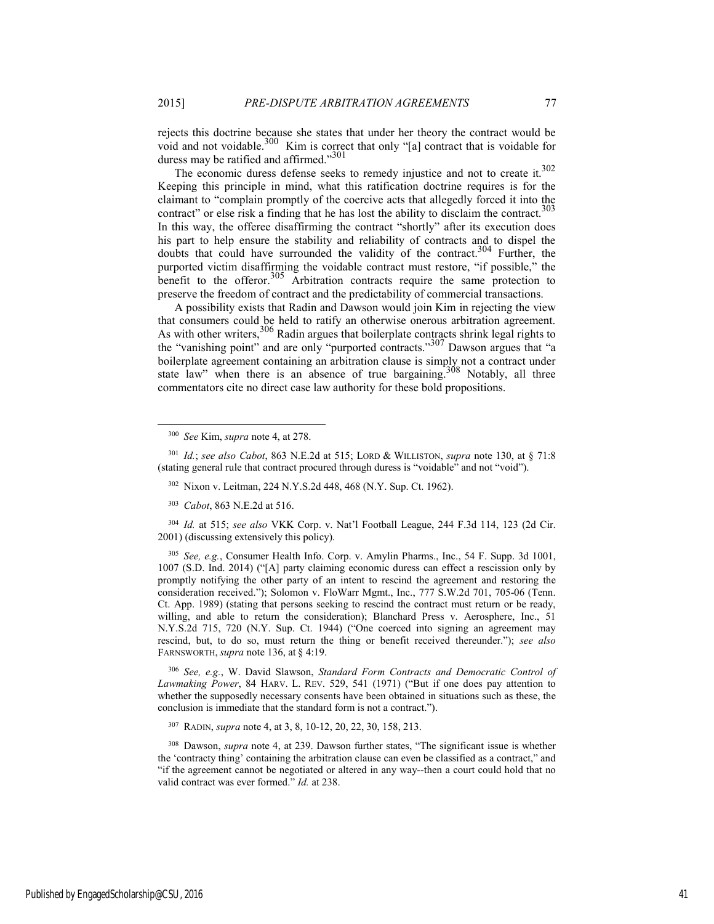rejects this doctrine because she states that under her theory the contract would be void and not voidable.<sup>300</sup> Kim is correct that only "[a] contract that is voidable for duress may be ratified and affirmed."<sup>301</sup>

The economic duress defense seeks to remedy injustice and not to create it.<sup>302</sup> Keeping this principle in mind, what this ratification doctrine requires is for the claimant to "complain promptly of the coercive acts that allegedly forced it into the contract" or else risk a finding that he has lost the ability to disclaim the contract.<sup>303</sup> In this way, the offeree disaffirming the contract "shortly" after its execution does his part to help ensure the stability and reliability of contracts and to dispel the doubts that could have surrounded the validity of the contract.<sup>304</sup> Further, the purported victim disaffirming the voidable contract must restore, "if possible," the benefit to the offeror.<sup>305</sup> Arbitration contracts require the same protection to preserve the freedom of contract and the predictability of commercial transactions.

A possibility exists that Radin and Dawson would join Kim in rejecting the view that consumers could be held to ratify an otherwise onerous arbitration agreement. As with other writers,  $306$  Radin argues that boilerplate contracts shrink legal rights to the "vanishing point" and are only "purported contracts."307 Dawson argues that "a boilerplate agreement containing an arbitration clause is simply not a contract under state law" when there is an absence of true bargaining.<sup>308</sup> Notably, all three commentators cite no direct case law authority for these bold propositions.

<sup>301</sup> *Id.*; *see also Cabot*, 863 N.E.2d at 515; LORD & WILLISTON, *supra* note 130, at § 71:8 (stating general rule that contract procured through duress is "voidable" and not "void").

<sup>303</sup> *Cabot*, 863 N.E.2d at 516.

<sup>304</sup> *Id.* at 515; *see also* VKK Corp. v. Nat'l Football League, 244 F.3d 114, 123 (2d Cir. 2001) (discussing extensively this policy).

<sup>305</sup> *See, e.g.*, Consumer Health Info. Corp. v. Amylin Pharms., Inc., 54 F. Supp. 3d 1001, 1007 (S.D. Ind. 2014) ("[A] party claiming economic duress can effect a rescission only by promptly notifying the other party of an intent to rescind the agreement and restoring the consideration received."); Solomon v. FloWarr Mgmt., Inc., 777 S.W.2d 701, 705-06 (Tenn. Ct. App. 1989) (stating that persons seeking to rescind the contract must return or be ready, willing, and able to return the consideration); Blanchard Press v. Aerosphere, Inc., 51 N.Y.S.2d 715, 720 (N.Y. Sup. Ct. 1944) ("One coerced into signing an agreement may rescind, but, to do so, must return the thing or benefit received thereunder."); *see also* FARNSWORTH, *supra* note 136, at § 4:19.

<sup>306</sup> *See, e.g.*, W. David Slawson, *Standard Form Contracts and Democratic Control of Lawmaking Power*, 84 HARV. L. REV. 529, 541 (1971) ("But if one does pay attention to whether the supposedly necessary consents have been obtained in situations such as these, the conclusion is immediate that the standard form is not a contract.").

307 RADIN, *supra* note 4, at 3, 8, 10-12, 20, 22, 30, 158, 213.

308 Dawson, *supra* note 4, at 239. Dawson further states, "The significant issue is whether the 'contracty thing' containing the arbitration clause can even be classified as a contract," and "if the agreement cannot be negotiated or altered in any way--then a court could hold that no valid contract was ever formed." *Id.* at 238.

 <sup>300</sup> *See* Kim, *supra* note 4, at 278.

<sup>302</sup> Nixon v. Leitman, 224 N.Y.S.2d 448, 468 (N.Y. Sup. Ct. 1962).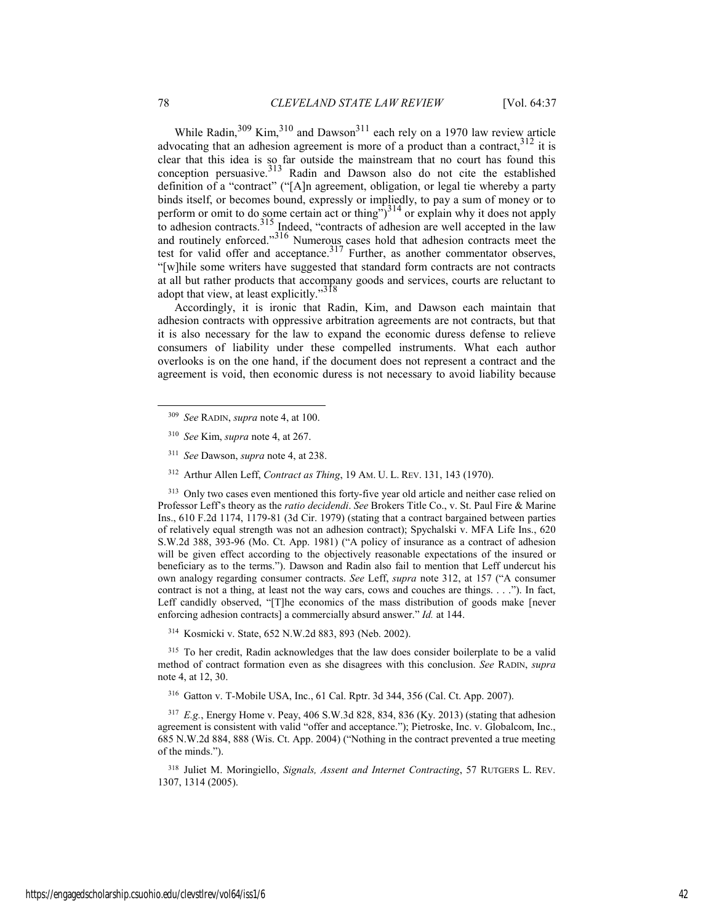While Radin,  $309$  Kim,  $310$  and Dawson  $311$  each rely on a 1970 law review article advocating that an adhesion agreement is more of a product than a contract,  $312$  it is clear that this idea is so far outside the mainstream that no court has found this conception persuasive. $313$  Radin and Dawson also do not cite the established definition of a "contract" ("[A]n agreement, obligation, or legal tie whereby a party binds itself, or becomes bound, expressly or impliedly, to pay a sum of money or to perform or omit to do some certain act or thing") $3^{14}$  or explain why it does not apply to adhesion contracts.<sup>315</sup> Indeed, "contracts of adhesion are well accepted in the law and routinely enforced."316 Numerous cases hold that adhesion contracts meet the test for valid offer and acceptance. $317$  Further, as another commentator observes, "[w]hile some writers have suggested that standard form contracts are not contracts at all but rather products that accompany goods and services, courts are reluctant to adopt that view, at least explicitly."<sup>318</sup>

Accordingly, it is ironic that Radin, Kim, and Dawson each maintain that adhesion contracts with oppressive arbitration agreements are not contracts, but that it is also necessary for the law to expand the economic duress defense to relieve consumers of liability under these compelled instruments. What each author overlooks is on the one hand, if the document does not represent a contract and the agreement is void, then economic duress is not necessary to avoid liability because

- <sup>311</sup> *See* Dawson, *supra* note 4, at 238.
- 312 Arthur Allen Leff, *Contract as Thing*, 19 AM. U. L. REV. 131, 143 (1970).

<sup>313</sup> Only two cases even mentioned this forty-five year old article and neither case relied on Professor Leff's theory as the *ratio decidendi*. *See* Brokers Title Co., v. St. Paul Fire & Marine Ins., 610 F.2d 1174, 1179-81 (3d Cir. 1979) (stating that a contract bargained between parties of relatively equal strength was not an adhesion contract); Spychalski v. MFA Life Ins., 620 S.W.2d 388, 393-96 (Mo. Ct. App. 1981) ("A policy of insurance as a contract of adhesion will be given effect according to the objectively reasonable expectations of the insured or beneficiary as to the terms."). Dawson and Radin also fail to mention that Leff undercut his own analogy regarding consumer contracts. *See* Leff, *supra* note 312, at 157 ("A consumer contract is not a thing, at least not the way cars, cows and couches are things. . . ."). In fact, Leff candidly observed, "[T]he economics of the mass distribution of goods make [never enforcing adhesion contracts] a commercially absurd answer." *Id.* at 144.

314 Kosmicki v. State, 652 N.W.2d 883, 893 (Neb. 2002).

315 To her credit, Radin acknowledges that the law does consider boilerplate to be a valid method of contract formation even as she disagrees with this conclusion. *See* RADIN, *supra* note 4, at 12, 30.

316 Gatton v. T-Mobile USA, Inc., 61 Cal. Rptr. 3d 344, 356 (Cal. Ct. App. 2007).

<sup>317</sup> *E.g.*, Energy Home v. Peay, 406 S.W.3d 828, 834, 836 (Ky. 2013) (stating that adhesion agreement is consistent with valid "offer and acceptance."); Pietroske, Inc. v. Globalcom, Inc., 685 N.W.2d 884, 888 (Wis. Ct. App. 2004) ("Nothing in the contract prevented a true meeting of the minds.").

318 Juliet M. Moringiello, *Signals, Assent and Internet Contracting*, 57 RUTGERS L. REV. 1307, 1314 (2005).

 <sup>309</sup> *See* RADIN, *supra* note 4, at 100.

<sup>310</sup> *See* Kim, *supra* note 4, at 267.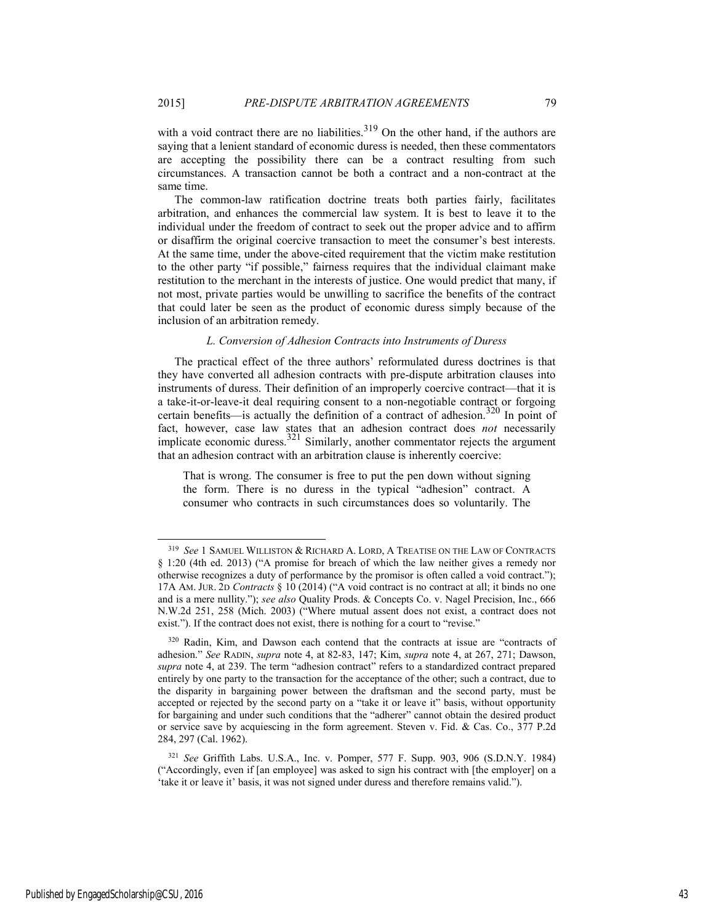with a void contract there are no liabilities. $319$  On the other hand, if the authors are saying that a lenient standard of economic duress is needed, then these commentators are accepting the possibility there can be a contract resulting from such circumstances. A transaction cannot be both a contract and a non-contract at the same time.

The common-law ratification doctrine treats both parties fairly, facilitates arbitration, and enhances the commercial law system. It is best to leave it to the individual under the freedom of contract to seek out the proper advice and to affirm or disaffirm the original coercive transaction to meet the consumer's best interests. At the same time, under the above-cited requirement that the victim make restitution to the other party "if possible," fairness requires that the individual claimant make restitution to the merchant in the interests of justice. One would predict that many, if not most, private parties would be unwilling to sacrifice the benefits of the contract that could later be seen as the product of economic duress simply because of the inclusion of an arbitration remedy.

#### *L. Conversion of Adhesion Contracts into Instruments of Duress*

The practical effect of the three authors' reformulated duress doctrines is that they have converted all adhesion contracts with pre-dispute arbitration clauses into instruments of duress. Their definition of an improperly coercive contract—that it is a take-it-or-leave-it deal requiring consent to a non-negotiable contract or forgoing certain benefits—is actually the definition of a contract of adhesion.<sup>320</sup> In point of fact, however, case law states that an adhesion contract does *not* necessarily implicate economic duress.<sup>321</sup> Similarly, another commentator rejects the argument that an adhesion contract with an arbitration clause is inherently coercive:

That is wrong. The consumer is free to put the pen down without signing the form. There is no duress in the typical "adhesion" contract. A consumer who contracts in such circumstances does so voluntarily. The

Published by EngagedScholarship@CSU, 2016 43

 <sup>319</sup> *See* 1 SAMUEL WILLISTON & RICHARD A. LORD, <sup>A</sup> TREATISE ON THE LAW OF CONTRACTS § 1:20 (4th ed. 2013) ("A promise for breach of which the law neither gives a remedy nor otherwise recognizes a duty of performance by the promisor is often called a void contract."); 17A AM. JUR. 2D *Contracts* § 10 (2014) ("A void contract is no contract at all; it binds no one and is a mere nullity."); *see also* Quality Prods. & Concepts Co. v. Nagel Precision, Inc., 666 N.W.2d 251, 258 (Mich. 2003) ("Where mutual assent does not exist, a contract does not exist."). If the contract does not exist, there is nothing for a court to "revise."

<sup>320</sup> Radin, Kim, and Dawson each contend that the contracts at issue are "contracts of adhesion." *See* RADIN, *supra* note 4, at 82-83, 147; Kim, *supra* note 4, at 267, 271; Dawson, *supra* note 4, at 239. The term "adhesion contract" refers to a standardized contract prepared entirely by one party to the transaction for the acceptance of the other; such a contract, due to the disparity in bargaining power between the draftsman and the second party, must be accepted or rejected by the second party on a "take it or leave it" basis, without opportunity for bargaining and under such conditions that the "adherer" cannot obtain the desired product or service save by acquiescing in the form agreement. Steven v. Fid. & Cas. Co., 377 P.2d 284, 297 (Cal. 1962).

<sup>321</sup> *See* Griffith Labs. U.S.A., Inc. v. Pomper, 577 F. Supp. 903, 906 (S.D.N.Y. 1984) ("Accordingly, even if [an employee] was asked to sign his contract with [the employer] on a 'take it or leave it' basis, it was not signed under duress and therefore remains valid.").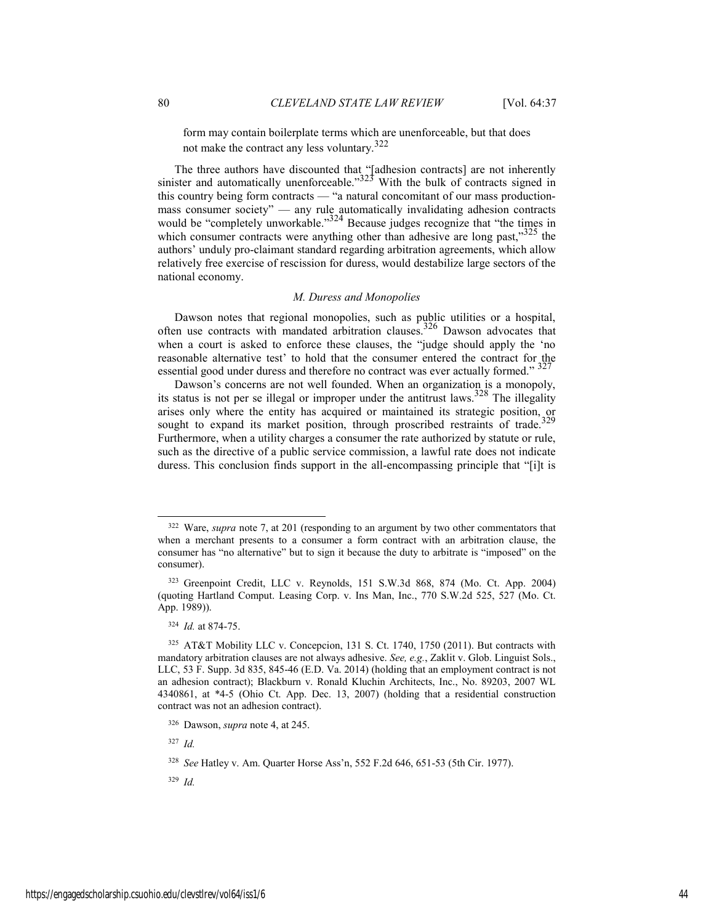form may contain boilerplate terms which are unenforceable, but that does not make the contract any less voluntary.<sup>322</sup>

The three authors have discounted that "[adhesion contracts] are not inherently sinister and automatically unenforceable." $323$  With the bulk of contracts signed in this country being form contracts — "a natural concomitant of our mass productionmass consumer society" — any rule automatically invalidating adhesion contracts would be "completely unworkable."<sup>324</sup> Because judges recognize that "the times in which consumer contracts were anything other than adhesive are long past,  $325$  the authors' unduly pro-claimant standard regarding arbitration agreements, which allow relatively free exercise of rescission for duress, would destabilize large sectors of the national economy.

#### *M. Duress and Monopolies*

Dawson notes that regional monopolies, such as public utilities or a hospital, often use contracts with mandated arbitration clauses.326 Dawson advocates that when a court is asked to enforce these clauses, the "judge should apply the 'no reasonable alternative test' to hold that the consumer entered the contract for the essential good under duress and therefore no contract was ever actually formed."  $327$ 

Dawson's concerns are not well founded. When an organization is a monopoly, its status is not per se illegal or improper under the antitrust laws.<sup>328</sup> The illegality arises only where the entity has acquired or maintained its strategic position, or sought to expand its market position, through proscribed restraints of trade.<sup>329</sup> Furthermore, when a utility charges a consumer the rate authorized by statute or rule, such as the directive of a public service commission, a lawful rate does not indicate duress. This conclusion finds support in the all-encompassing principle that "[i]t is

<sup>327</sup> *Id.*

<sup>329</sup> *Id.*

 <sup>322</sup> Ware, *supra* note 7, at 201 (responding to an argument by two other commentators that when a merchant presents to a consumer a form contract with an arbitration clause, the consumer has "no alternative" but to sign it because the duty to arbitrate is "imposed" on the consumer).

<sup>323</sup> Greenpoint Credit, LLC v. Reynolds, 151 S.W.3d 868, 874 (Mo. Ct. App. 2004) (quoting Hartland Comput. Leasing Corp. v. Ins Man, Inc., 770 S.W.2d 525, 527 (Mo. Ct. App. 1989)).

<sup>324</sup> *Id.* at 874-75.

<sup>325</sup> AT&T Mobility LLC v. Concepcion, 131 S. Ct. 1740, 1750 (2011). But contracts with mandatory arbitration clauses are not always adhesive. *See, e.g.*, Zaklit v. Glob. Linguist Sols., LLC, 53 F. Supp. 3d 835, 845-46 (E.D. Va. 2014) (holding that an employment contract is not an adhesion contract); Blackburn v. Ronald Kluchin Architects, Inc., No. 89203, 2007 WL 4340861, at \*4-5 (Ohio Ct. App. Dec. 13, 2007) (holding that a residential construction contract was not an adhesion contract).

<sup>326</sup> Dawson, *supra* note 4, at 245.

<sup>328</sup> *See* Hatley v. Am. Quarter Horse Ass'n, 552 F.2d 646, 651-53 (5th Cir. 1977).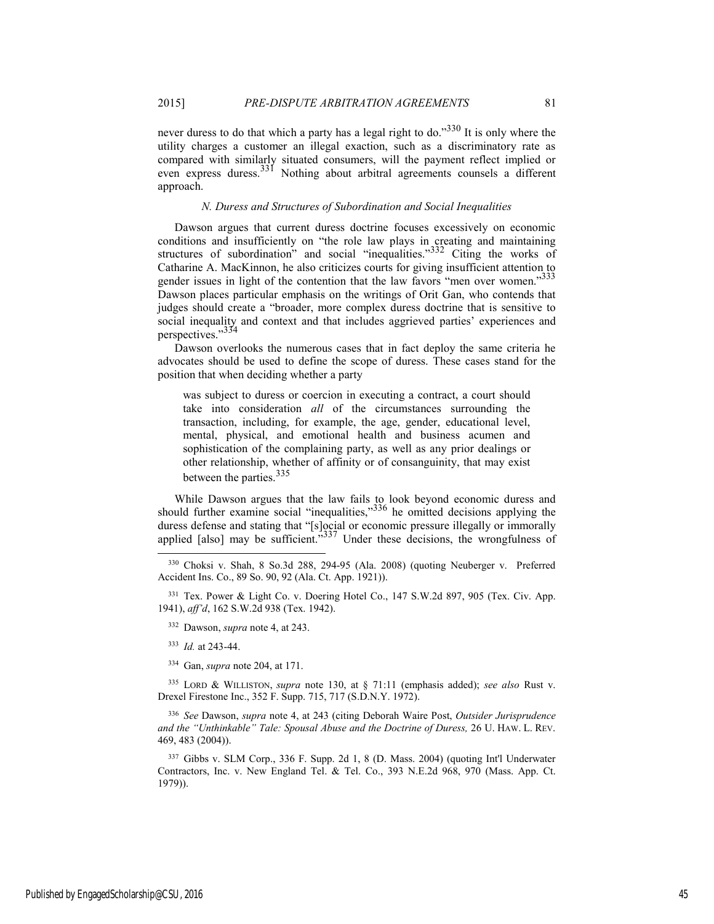approach.

never duress to do that which a party has a legal right to do."<sup>330</sup> It is only where the utility charges a customer an illegal exaction, such as a discriminatory rate as compared with similarly situated consumers, will the payment reflect implied or even express duress.<sup>331</sup> Nothing about arbitral agreements counsels a different

#### *N. Duress and Structures of Subordination and Social Inequalities*

Dawson argues that current duress doctrine focuses excessively on economic conditions and insufficiently on "the role law plays in creating and maintaining structures of subordination" and social "inequalities." $332$  Citing the works of Catharine A. MacKinnon, he also criticizes courts for giving insufficient attention to gender issues in light of the contention that the law favors "men over women."<sup>333</sup> Dawson places particular emphasis on the writings of Orit Gan, who contends that judges should create a "broader, more complex duress doctrine that is sensitive to social inequality and context and that includes aggrieved parties' experiences and perspectives."33

Dawson overlooks the numerous cases that in fact deploy the same criteria he advocates should be used to define the scope of duress. These cases stand for the position that when deciding whether a party

was subject to duress or coercion in executing a contract, a court should take into consideration *all* of the circumstances surrounding the transaction, including, for example, the age, gender, educational level, mental, physical, and emotional health and business acumen and sophistication of the complaining party, as well as any prior dealings or other relationship, whether of affinity or of consanguinity, that may exist between the parties.<sup>335</sup>

While Dawson argues that the law fails to look beyond economic duress and should further examine social "inequalities," $336$  he omitted decisions applying the duress defense and stating that "[s]ocial or economic pressure illegally or immorally applied [also] may be sufficient." $337$  Under these decisions, the wrongfulness of

331 Tex. Power & Light Co. v. Doering Hotel Co., 147 S.W.2d 897, 905 (Tex. Civ. App. 1941), *aff'd*, 162 S.W.2d 938 (Tex. 1942).

332 Dawson, *supra* note 4, at 243.

<sup>333</sup> *Id.* at 243-44.

334 Gan, *supra* note 204, at 171.

335 LORD & WILLISTON, *supra* note 130, at § 71:11 (emphasis added); *see also* Rust v. Drexel Firestone Inc., 352 F. Supp. 715, 717 (S.D.N.Y. 1972).

<sup>336</sup> *See* Dawson, *supra* note 4, at 243 (citing Deborah Waire Post, *Outsider Jurisprudence and the "Unthinkable" Tale: Spousal Abuse and the Doctrine of Duress,* 26 U. HAW. L. REV. 469, 483 (2004)).

337 Gibbs v. SLM Corp., 336 F. Supp. 2d 1, 8 (D. Mass. 2004) (quoting Int'l Underwater Contractors, Inc. v. New England Tel. & Tel. Co., 393 N.E.2d 968, 970 (Mass. App. Ct. 1979)).

 <sup>330</sup> Choksi v. Shah, 8 So.3d 288, 294-95 (Ala. 2008) (quoting Neuberger v. Preferred Accident Ins. Co., 89 So. 90, 92 (Ala. Ct. App. 1921)).